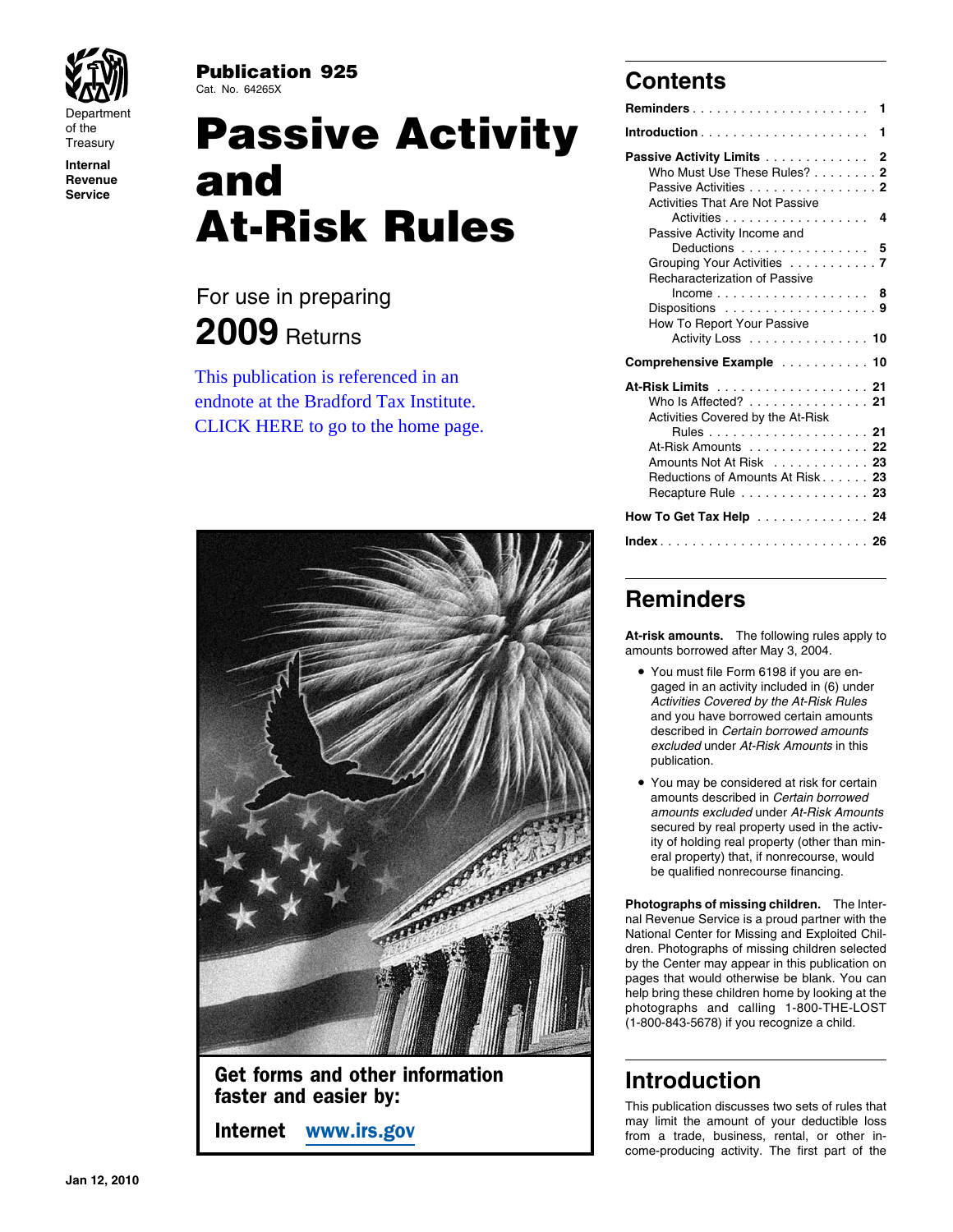

**Publication 925 PUDIICATION 925**<br>Cat. No. 64265X

# **Reminders** ...................... **<sup>1</sup>** Department Freasury **Passive Activity** Introduction. The Passive Activities Contraction and Treasury **Passive Activity Limits**<br>
Internal Revenue **and** Revenue **Passive Activities Contraction**<br>
Service **Passive Activities Contraction At-Risk Rules**

# For use in preparing **2009** Returns

This publication is referenced in an endnote at the Bradford Tax Institute. [CLICK HERE to go to the home page.](http://bradfordtaxinstitute.com/)



Get forms and other information **Introduction**<br> **Introduction**<br>
This publication discusses two sets of rules that<br>
May limit the amount of your deductible loss

| Passive Activity Limits 2<br>Who Must Use These Rules? 2<br>Passive Activities 2                                                 |  |
|----------------------------------------------------------------------------------------------------------------------------------|--|
| <b>Activities That Are Not Passive</b><br>Activities 4<br>Passive Activity Income and                                            |  |
| Deductions 5<br>Grouping Your Activities 7<br><b>Recharacterization of Passive</b>                                               |  |
| $Income \ldots \ldots \ldots \ldots \ldots 8$<br>Dispositions $\ldots \ldots \ldots \ldots \ldots$<br>How To Report Your Passive |  |
| Activity Loss 10<br>Comprehensive Example 10                                                                                     |  |
| At-Risk Limits 21<br>Who Is Affected? 21<br>Activities Covered by the At-Risk                                                    |  |
| At-Risk Amounts 22<br>Amounts Not At Risk 23<br>Reductions of Amounts At Risk 23<br>Recapture Rule 23                            |  |
| How To Get Tax Help $\ldots \ldots \ldots \ldots 24$                                                                             |  |
| Index26                                                                                                                          |  |

# **Reminders**

**At-risk amounts.** The following rules apply to amounts borrowed after May 3, 2004.

- You must file Form 6198 if you are engaged in an activity included in (6) under Activities Covered by the At-Risk Rules and you have borrowed certain amounts described in Certain borrowed amounts excluded under At-Risk Amounts in this publication.
- You may be considered at risk for certain amounts described in Certain borrowed amounts excluded under At-Risk Amounts secured by real property used in the activity of holding real property (other than mineral property) that, if nonrecourse, would be qualified nonrecourse financing.

**Photographs of missing children.** The Internal Revenue Service is a proud partner with the National Center for Missing and Exploited Children. Photographs of missing children selected by the Center may appear in this publication on pages that would otherwise be blank. You can help bring these children home by looking at the photographs and calling 1-800-THE-LOST (1-800-843-5678) if you recognize a child.

Internet www.irs.gov **Internet www.irs.gov Fig. 1.1 Internet www.irs.gov from a trade**, business, rental, or other income-producing activity. The first part of the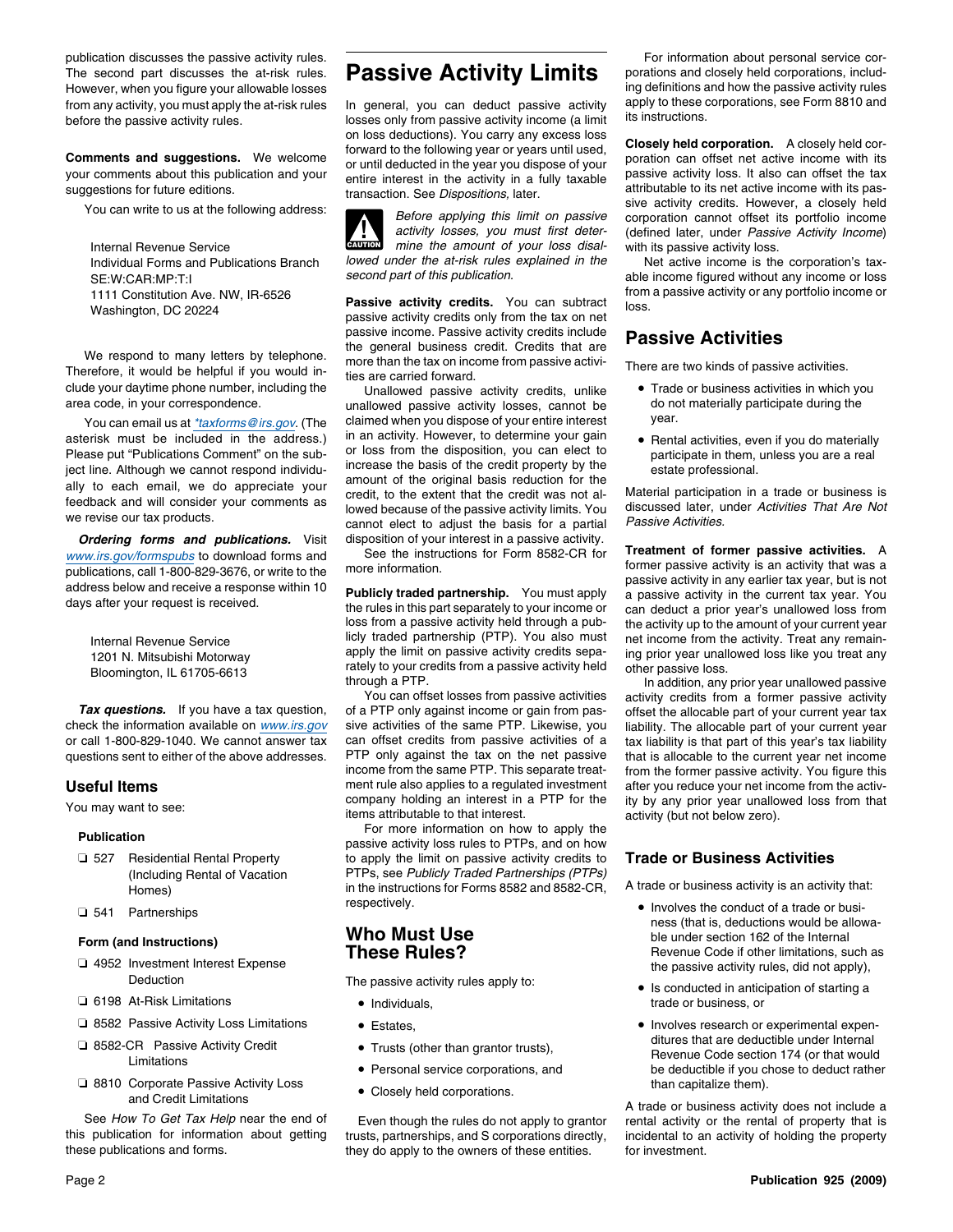publication discusses the passive activity rules. The match of the extended of the state of the passive cor-The second part discusses the at-risk rules. **Passive Activity Limits** porations and closely held corporations, includ-<br>However, when you figure your allowable losses However, when you figure your allowable losses<br>from any activity, you must apply the at-risk rules in general, you can deduct passive activity apply to these corporations, see Form 8810 and from any activity, you must apply the at-risk rules In general, you can deduct passive activity apply to these corporations, see Form 8810 and 1982 and 1981 and 1982 and 1981 and 1982 and 1981 and 1981 and 1981 and 1981 an

clude your daytime phone number, including the Unallowed passive activity credits, unlike • Trade or business activities in which you area code, in your correspondence.

**Ordering forms and publications.** Visit disposition of your interest in a passive activity.<br>ww.irs.gov/formspubs.to.download forms and See the instructions for Form 8582-CR for www.irs.gov/formspubs to download form and<br>
See the instructions for Form 8582-CR for **Treatment of former passive activities.** A<br>
nubligations call 1,900,920,9256 crurito to the more information.

check the information available on *www.irs.gov* sive activities of the same PTP. Likewise, you liability. The allocable part of your current year<br>or call 1-800-829-1040. We cannot answer tax can offset credits from passi or call 1-800-829-1040. We cannot answer tax can offset credits from passive activities of a tax liability is that part of this year's tax liability is that part of this year's tax liability is that part of this year's tax

- 
- 

- Investment Interest Expense<br>
Deduction the passive activity rules and to:<br>
Deduction the passive activity rules and to:
- ❏ 6198 At-Risk Limitations •
- ❏ <sup>8582</sup> Passive Activity Loss Limitations Estates, Involves research or experimental expen-
- 
- ❏ <sup>8810</sup> Corporate Passive Activity Loss than capitalize them). •

these publications and forms. they do apply to the owners of these entities. for investment.

before the passive activity rules. losses only from passive activity income (a limit<br>on loss deductions). You carry any excess loss on loss deductions). You carry any excess loss<br>forward to the following year or years until used,<br>your comments about this publication and your<br>suggestions for future editions. The state of the search of the search of the

Internal Revenue Service **CAUTION** mine the amount of your loss disal- with its passive activity loss.<br>Individual Forms and Publications Branch lowed under the at-risk rules explained in the Net active income is the **!** Individual Forms and Publications Branch lowed under the at-risk rules explained in the Net active income is the corporation's tax-<br>SE-W.C.AR.MP.T.I some or loss second part of this publication. And a able income figured w SE:W:CAR:MP:T:I second part of this publication. And the income figured without any income or loss

passive activity credits only from the tax on net<br>passive income. Passive activity credits include passive income. Passive activity credits include<br>We respond to many letters by telephone.<br>Therefore, it would be helpful if you would in-<br>ties are carried forward.<br>There are two kinds of passive activities.

unallowed passive activity losses, cannot be do not mallowed passive activity losses, cannot be do not You can email us at *\*taxforms@irs.gov*. (The claimed when you dispose of your entire interest year. You can entire interest year. You can entire interest your gain asterisk must be included in the address.) in an activity. However, to determine your gain **•** Rental activities, even if you do materially Please put "Publications Comment" on the sub-<br>Please put "Publications Comment" on Please put "Publications Comment" on the sub-<br>ject line. Although we cannot respond individuations of the sub-<br>ally to each email, we do appreciate your<br>feedback and will consider your comments as the extent that the credi

loss from a passive activity held through a pub-<br>licly traded partnership (PTP). You also must net income from the activity. Treat any remain-Internal Revenue Service **in the set of the state of the set of the set of the activity.** Treat any remain-<br>1201 N. Mitsubishi Motorway **now the Service Activity Creats** Sepactivity credits sepactive and prior vear unallow 1201 N. Mitsubishi Motorway apply the limit on passive activity credits sepa-<br>Bloomington II 61705-6613<br>Rloomington II 61705-6613

You can offset losses from passive activities activity credits from a former passive activity<br>Tax questions. If you have a tax question, of a PTP only against income or gain from pas-<br>check the information available on www PTP only against the tax on the net passive that is allocable to the current year net income<br>income from the same PTP. This separate treat-from the former passive activity. You figure this income from the same PTP. This separate treat-<br>ment rule also applies to a regulated investment after you reduce your net income from the activ-Useful Items<br> **Useful Items** ment rule also applies to a regulated investment after you reduce your net income from the activ-<br>
You are negative to see that company holding an interest in a PTP for the ity by any prior yea

For more information on how to apply the **Publication** passive activity loss rules to PTPs, and on how ❏ <sup>527</sup> Residential Rental Property to apply the limit on passive activity credits to **Trade or Business Activities** (Including Rental of Vacation PTPs, see Publicly Traded Partnerships (PTPs) Homes) **A trade or business activity is an activity that:** Homes activity is an activity that: respectively. The set of a trade or busi-

The passive activity rules apply to:

- 
- 
- 
- Personal service corporations, and
- 

sive activity credits. However, a closely held<br>You can write to us at the following address:<br>Providence applying this limit on passive corporation cannot offset its portfolio income<br>activity losses, you must first deter-<br>d (defined later, under Passive Activity Income)

1111 Constitution Ave. NW, IR-6526 **Passive activity credits.** You can subtract from a passive activity or any portfolio income or Washington, DC 20224 **Passive activity credits.** You can subtract loss.

- 
- 

publications, call 1-800-829-3676, or write to the more information. The merropositive is an activity that was a<br>address below and receive a response within 10 **Publicly traded partnership.** You must apply a passive activi

rately to your credits from a passive activity held other passive loss.<br>In addition, any prior year unallowed passive<br>You can offset losses from passive activities activity credits from a former passive activity You may want to see: it is company holding an interest in a PTP for the ity by any prior year unallowed loss from that items attributable to that interest.<br>For more information on how to apply the interest.

- <u>Δ</u> 541 Partnerships **Γενικής Γενικής (Γενικής Γενικής Φ** Γενούνες το θερματικό θαθαία τα τρατολύθηκα των προϊόνηση<br>Term (and instructions) **Who Must Use Withing Conductions** would be allowa-<br>ble under section 162 o **Form (and Instructions) <b>Who Must Use** ble under section 162 of the Internal **Form (and Instructions) These Rules?** Revenue Code if other limitations, such as a set of the Internal Revenue Code if other limitations, suc
	- Is conducted in anticipation of starting a trade or business, or
- ditures that are deductible under Internal ❏ 8582-CR Passive Activity Credit Trusts (other than grantor trusts), Revenue Code section 174 (or that would Limitations be deductible if you chose to deduct rather

and Credit Limitations<br>See How To Get Tax Help near the end of Even though the rules do not apply to grantor rental activity or the rental of property that is See How To Get Tax Help near the end of Even though the rules do not apply to grantor rental activity or the rental of property that is this publication for information about getting trusts partnerships and Scorporations d trusts, partnerships, and S corporations directly, incidental to an activity of holding the property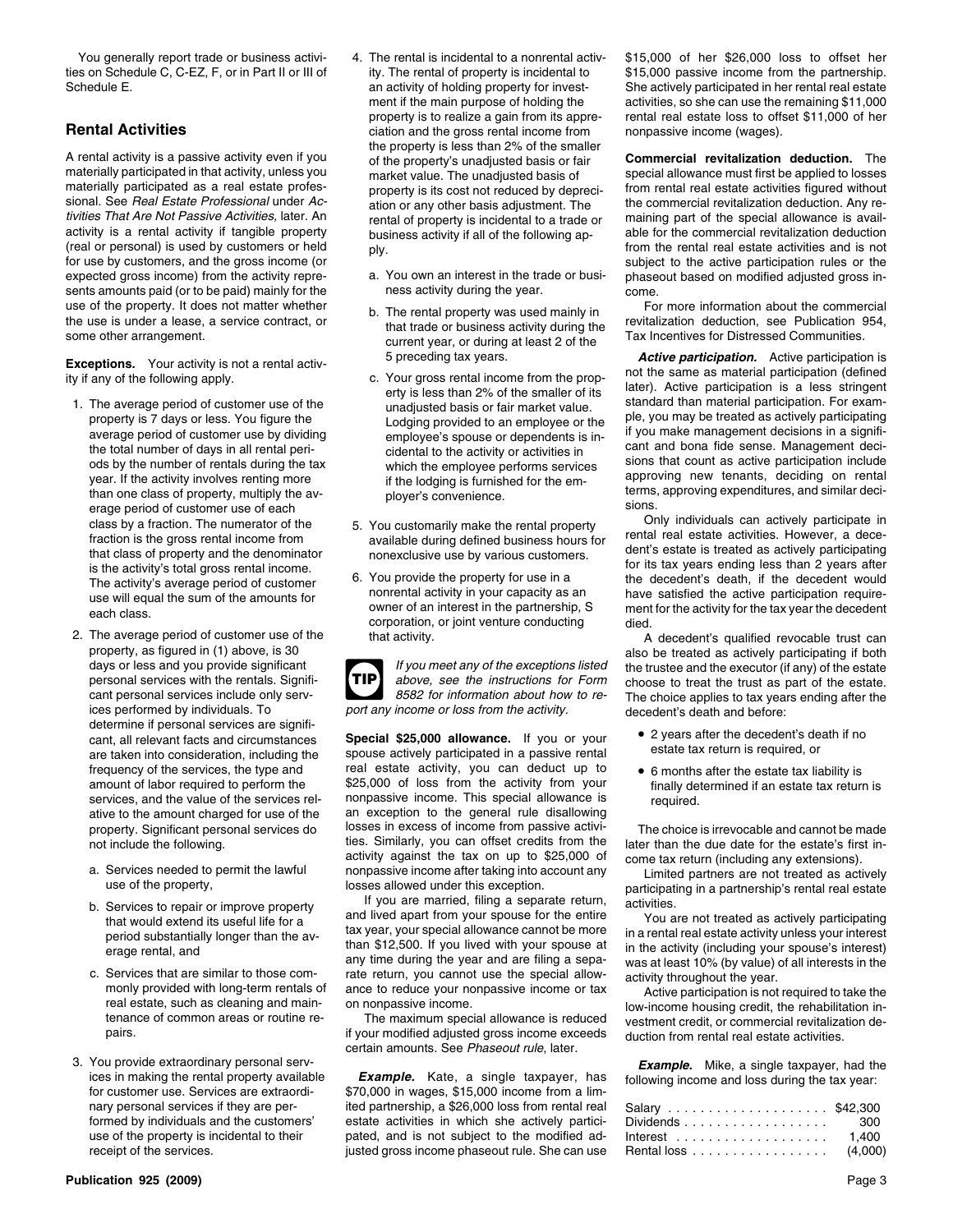ties on Schedule C, C-EZ, F, or in Part II or III of ity. The rental of property is incidental to \$15,000 passive income from the partnership. Schedule E. **An activity of holding property for invest-** She actively participated in her rental real estate

materially participated in that activity, unless you<br>market value. The unadjusted basis of<br>materially participated as a real estate profes-<br>property is its cost not reduced by depr materially participated as a real estate profes-<br>sional. See Real Estate Professional under Ac-<br>ation or any other hasis adjustment. The and the commercial revitalization deduction. Any resional. See Real Estate Professional under Ac- ation or any other basis adjustment. The the commercial revitalization deduction. Any re-<br>tivities That Are Not Passive Activities, later. An ental of property is incidental t tivities I hat Are Not Passive Activities, later. An ental of property is incidental to a trade or maining part of the special allowance is avail-<br>activity is a rental activity if tangible property business activity if all (real or personal) is used by customers or held ply.<br>for use by customers, and the gross income (or expected gross income) from the activity repre-<br>sents amounts paid (or to be paid) mainly for the ness activity during the year.<br>come.<br>come. sents amounts paid (or to be paid) mainly for the ness activity during the year. come.

- than one class of property, multiply the av-<br>erage period of customer use of each sinons.<br>class by a fraction. The numerator of the section is a sinon sinon sinons.<br>class by a fraction. The numerator of the section is a se
- 2. The average period of customer use of the that activity. A decedent's qualified revocable trust can property, as figured in (1) above, is 30 determine if personal services are significant, all relevant facts and circumstances<br>are taken into consideration, including the spouse actively participated in a passive rental estate tax return is required, or<br>frequency of the services, the type and real estate
	-
	-
	- c. Services that are similar to those com-<br>monly provided with long-term rentals of ance to reduce your nonpassive income or tax<br>real estate, such as cleaning and main-<br>tenance of common areas or routine re-<br>tenance of com
- 3. You provide extraordinary personal serv-<br>ices in making the rental property available **Example.** Kate, a single taxpayer, has following income and loss during the tax year:<br>for customer use. Services are extraordi- \$70,
- **Rental Activities ciation and the gross rental income from** nonpassive income (wages). the property is less than 2% of the smaller<br>A rental activity is a passive activity even if you of the property's unadjusted basis or fair **Commercial revitalization deduction.** The<br>market value The unadjusted basis of spe
	-
	-
	-
	-
	-



frequency of the services, the type and real estate activity, you can deduct up to  $\bullet$  6 months after the estate tax liability is<br>amount of labor required to perform the \$25,000 of loss from the activity from your finally \$25,000 of loss from the activity from your finally determined if an estate tax return is services, and the value of the services rel-<br>
nonpassive income. This special allowance is required. ative to the amount charged for use of the an exception to the general rule disallowing property. Significant personal services do losses in excess of income from passive activi- The choice is irrevocable and cannot be made<br>Inter than the due date for the estate's first in-<br>Intervident of the setate's first i not include the following. The state's first in-<br>not include the following. activity against the tax on up to \$25,000 of come tax return (including any extensions).

b. Services to repair or improve property<br>If you are married, filing a separate return, activities.<br>In a lived apart from your spouse for the entire and treated as actively participating that would extend its useful life for a and lived apart from your spouse for the entire that would extend its useful life for a  $\frac{1}{2}$  and lived apart from your spouse for the entire pariod cubetantially longer than th period substantially longer than the av-<br>erage rental, and<br>c. Services that are similar to those com-<br>c. Services that are similar to those com-<br>c. Services that are similar to those com-<br>rate return, you cannot use the sp

pairs. **income exceeds** duction from rental real estate activities. certain amounts. See Phaseout rule, later.

nary personal services if they are per- ited partnership, a \$26,000 loss from rental real ...<br>formed by individuals and the customers' estate activities in which she actively particiestate activities in which she actively particiuse of the property is incidental to their pated, and is not subject to the modified adreceipt of the services.  $j$ usted gross income phaseout rule. She can use

You generally report trade or business activi- 4. The rental is incidental to a nonrental activ- \$15,000 of her \$26,000 loss to offset her ment if the main purpose of holding the activities, so she can use the remaining \$11,000 property is to realize a gain from its appre- rental real estate loss to offset \$11,000 of her

for usubject to the active participation rules or the<br>a. You own an interest in the trade or busi-<br>phaseout based on modified adiusted gross in-

use of the property. It does not matter whether b. The rental property was used mainly in For more information about the commercial<br>the use is under a lease, a service contract, or the trade or business activity during the

**Exceptions.** Your activity is not a rental activentic in the same as material participation. Active participation is<br>
ity if any of the following apply.<br>
1. The average period of customer use of the<br>
property is 7 days or ods by the number of rentals during the tax<br>
year. If the activity involves renting more<br>
than one class of property, multiply the av-<br>
than one class of property, multiply the av-<br>
ployer's convenience.<br>
ployer's convenie

class by a fraction. The numerator of the the section is the gross rental income from available during defined business hours for that class of property and the denominator is the activity's total gross rental income.<br>
The

property, as figured in (1) above, is 30<br>days or less and you provide significant for the exceptions listed the trustee and the executor (if any) of the estate days or less and you provide significant leader the *If you meet any of the exceptions listed* the trustee and the executor (if any) of the estate personal services with the rentals. Signifi-<br>personal services with the ren personal services with the rentals. Signifi-<br> **EXECUTE:** above, see the instructions for Form choose to treat the trust as part of the estate.<br>
8582 for information about how to re-<br>
The choice applies to tax vears ending cant personal services include only serv-<br>
ices performed by individuals. To example of the activity of the activity decedent's death and before:<br>  $\frac{1}{2}$  of the activity.

- 
- 

a. Services needed to permit the lawful<br>use of the property,<br>he services to rensir or improve property<br>if you are married, filing a separate return,<br>the services to rensir or improve property<br>of the services to rensir or i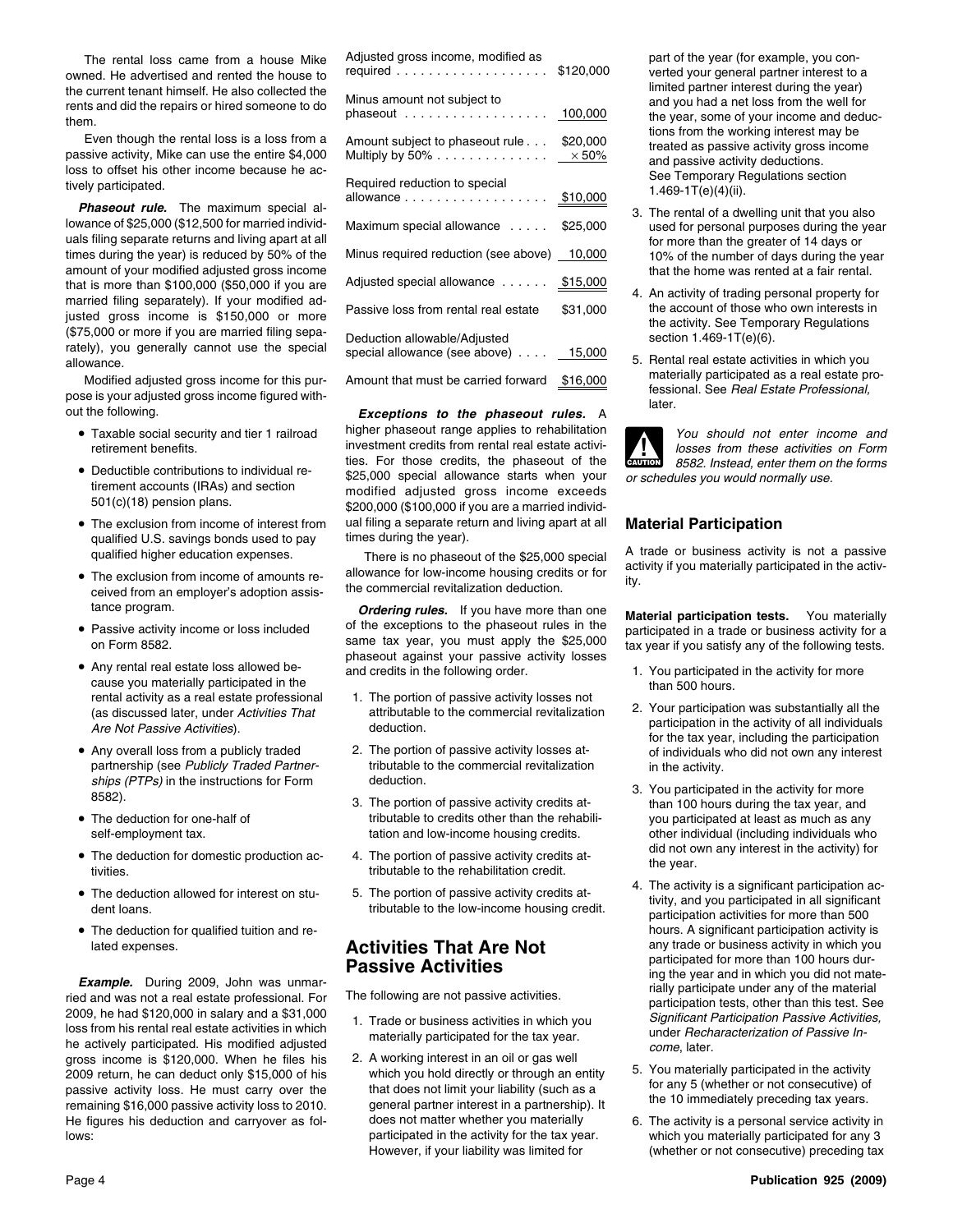Modified adjusted gross income for this pur-<br>pose is your adjusted gross income figured with-<br>pose is your adjusted gross income figured with-<br>pose is your adjusted gross income figured with-<br>**Exceptions to the phaseout ru** 

- 
- Deductible contributions to individual re-
- qualified U.S. savings bonds used to pay times during the year).
- The exclusion from income of amounts re-<br>ceived from an employer's adoption assis-<br>the commercial revitalization deduction.
- 
- Any rental real estate loss allowed be-Any rental real estate loss allowed be-<br>
cause you materially participated in the<br>
rental activity as a real estate professional 1. The portion of passive activity losses not<br>
rental activity as a real estate professional
- Any overall loss from a publicly traded partnership (see Publicly Traded Partner-<br>ships (PTPs) in the instructions for Form deduction.
- The deduction for one-half of
- The deduction for domestic production ac- 4. The portion of passive activity credit<br>tivities. tributable to the rehabilitation credit.
- 
- 

loss from his rental real estate activities in which<br>he actively participated. His modified adjusted materially participated for the tax year. The actively participated. His modified adjusted<br>gross income is \$120,000. When gross income is \$120,000. When he files his 2009 return, he can deduct only \$15,000 of his which you hold directly or through an entity  $\,$  5. You materially participated in the activity loss. He must carry over the that does not limit your liability (such as a for He figures his deduction and carryover as fol-<br>
lows: lows: lows: lows: lows: https://which.you materially participated for any 3 lows: participated in the activity for the tax year. which you materially participated for any 3

| THE TERRAL IVSS CARLE TIVITI A HUUSE IVIINE<br>owned. He advertised and rented the house to                                                          |                                                                                                     | \$120,000 | $P^{\alpha}$ . $P^{\alpha}$ , $P^{\alpha}$ , $P^{\alpha}$ , $P^{\alpha}$ , $P^{\alpha}$ , $P^{\alpha}$ , $P^{\alpha}$ , $P^{\alpha}$ , $P^{\alpha}$ , $P^{\alpha}$<br>verted your general partner interest to a<br>limited partner interest during the year) |
|------------------------------------------------------------------------------------------------------------------------------------------------------|-----------------------------------------------------------------------------------------------------|-----------|--------------------------------------------------------------------------------------------------------------------------------------------------------------------------------------------------------------------------------------------------------------|
| the current tenant himself. He also collected the<br>rents and did the repairs or hired someone to do<br>them.                                       | Minus amount not subject to<br>phaseout                                                             | 100,000   | and you had a net loss from the well for<br>the year, some of your income and deduc-                                                                                                                                                                         |
| Even though the rental loss is a loss from a<br>passive activity, Mike can use the entire \$4,000<br>loss to offset his other income because he ac-  | Amount subject to phaseout rule<br>Multiply by 50% $\ldots \ldots \ldots \ldots \ldots \times 50\%$ | \$20,000  | tions from the working interest may be<br>treated as passive activity gross income<br>and passive activity deductions.                                                                                                                                       |
| tively participated.                                                                                                                                 | Required reduction to special<br>allowance                                                          | \$10,000  | See Temporary Regulations section<br>1.469-1T(e)(4)(ii).                                                                                                                                                                                                     |
| Phaseout rule. The maximum special al-<br>lowance of \$25,000 (\$12,500 for married individ-<br>uals filing separate returns and living apart at all | Maximum special allowance                                                                           | \$25,000  | 3. The rental of a dwelling unit that you also<br>used for personal purposes during the year                                                                                                                                                                 |
| times during the year) is reduced by 50% of the<br>amount of your modified adjusted gross income                                                     | Minus required reduction (see above)                                                                | 10,000    | for more than the greater of 14 days or<br>10% of the number of days during the year<br>that the home was rented at a fair rental.                                                                                                                           |
| that is more than \$100,000 (\$50,000 if you are                                                                                                     | Adjusted special allowance                                                                          | \$15,000  | 4. An activity of trading personal property for                                                                                                                                                                                                              |
| married filing separately). If your modified ad-<br>justed gross income is \$150,000 or more                                                         | Passive loss from rental real estate                                                                | \$31,000  | the account of those who own interests in<br>the activity. See Temporary Regulations                                                                                                                                                                         |
| (\$75,000 or more if you are married filing sepa-<br>rately), you generally cannot use the special                                                   | Deduction allowable/Adjusted                                                                        |           | section 1.469-1T(e)(6).                                                                                                                                                                                                                                      |
| allowance.                                                                                                                                           | special allowance (see above) 15,000                                                                |           | 5. Rental real estate activities in which you<br>matarially nartiainated as a real astate nre                                                                                                                                                                |

higher phaseout range applies to rehabilitation •• Taxable social security and tier 1 railroad higher phaseout range applies to rehabilitation and You should not enter income and investment credits from rental real estate activi- retirement benefits. losses from these activities on Form ties. For those credits, the phaseout of the **CAUTION** 8582 Instead, enter them on the forms<br>\$25,000 special allowance starts when your or schedules you would normally use. • Deductible contributions to individual re-<br>tirement accounts (IRAs) and section<br>501(c)(18) pension plans.<br>501(c)(18) pension plans.<br> $\frac{1}{2}$  action<br> $\frac{1}{2}$  and section<br>501(c)(18) pension plans.<br>501(c)(18) pension pla • The exclusion from income of interest from ual filing a separate return and living apart at all **Material Participation**

tance program. *Ordering rules.* If you have more than one **Material participation tests.** You materially • Passive activity income or loss included of the exceptions to the phaseout rules in the participated in a trade same tax year, you must apply the \$25,000 paradiple and a date of backnow data, it a matter of the following tests.<br>On Form 8582. phaseout against your passive activity losses

- rental activity as a real estate professional 1. The portion of passive activity losses not<br>(as discussed later, under Activities That The attributable to the commercial revitalization 2. Your participation was substantial participation in the activity of all individuals<br>Are Not Passive Activities). deduction.
	-
- self-employment tax. **tation and low-income housing credits.** other individual (including individuals who
	-
	-

- 
- 

The rental loss came from a house Mike Adjusted gross income, modified as part of the year (for example, you con-

- 
- 
- allowance.<br>
Modified adjusted gross income for this pure and move that must be easily allowance.<br>
Modified adjusted gross income for this pure and mount that must be easily and the section of the one materially participate

**CAUTION** 

qualified higher education expenses.<br>There is no phaseout of the \$25,000 special<br>The exclusion from income of amounts re-<br>allowance for low-income housing credits or for<br>ity

- 
- for the tax year, including the participation 2. The portion of passive activity losses at-<br>tributable to the commercial revitalization in the activity.
- ships (PTPs) in the instructions for Form deduction. 3. The portion of passive activity credits at-<br>3. The portion of passive activity credits at-<br>3. The deduction for one-half of than 100 hours during the tax year, and<br>3. you participated at least as much as any 4. The portion of passive activity credits at didnot own any interest in the activity) for<br>tributable to the rebelijitation and it.
- 4. The activity is a significant participation ac-<br>The deduction allowed for interest on stu-<br>5. The portion of passive activity credits at-<br>induced in all significant The deduction allowed for interest on stu-<br>dent loans. dent tributable to the low-income housing credit. participation activities for more than 500 • The deduction for qualified tuition and re- hours. A significant participation activity is lated expenses. **Activities That Are Not** any trade or business activity in which you<br>**Resolve Activities Activities** and participated for more than 100 hours dur-**Example.** During 2009, John was unmar-<br>
ried and was not a real estate professional. For<br>
let on the following are not passive activities.<br>
let on the material participated for more than 100 hours dur-<br>
ried and was not a
	-
	- However, if your liability was limited for (whether or not consecutive) preceding tax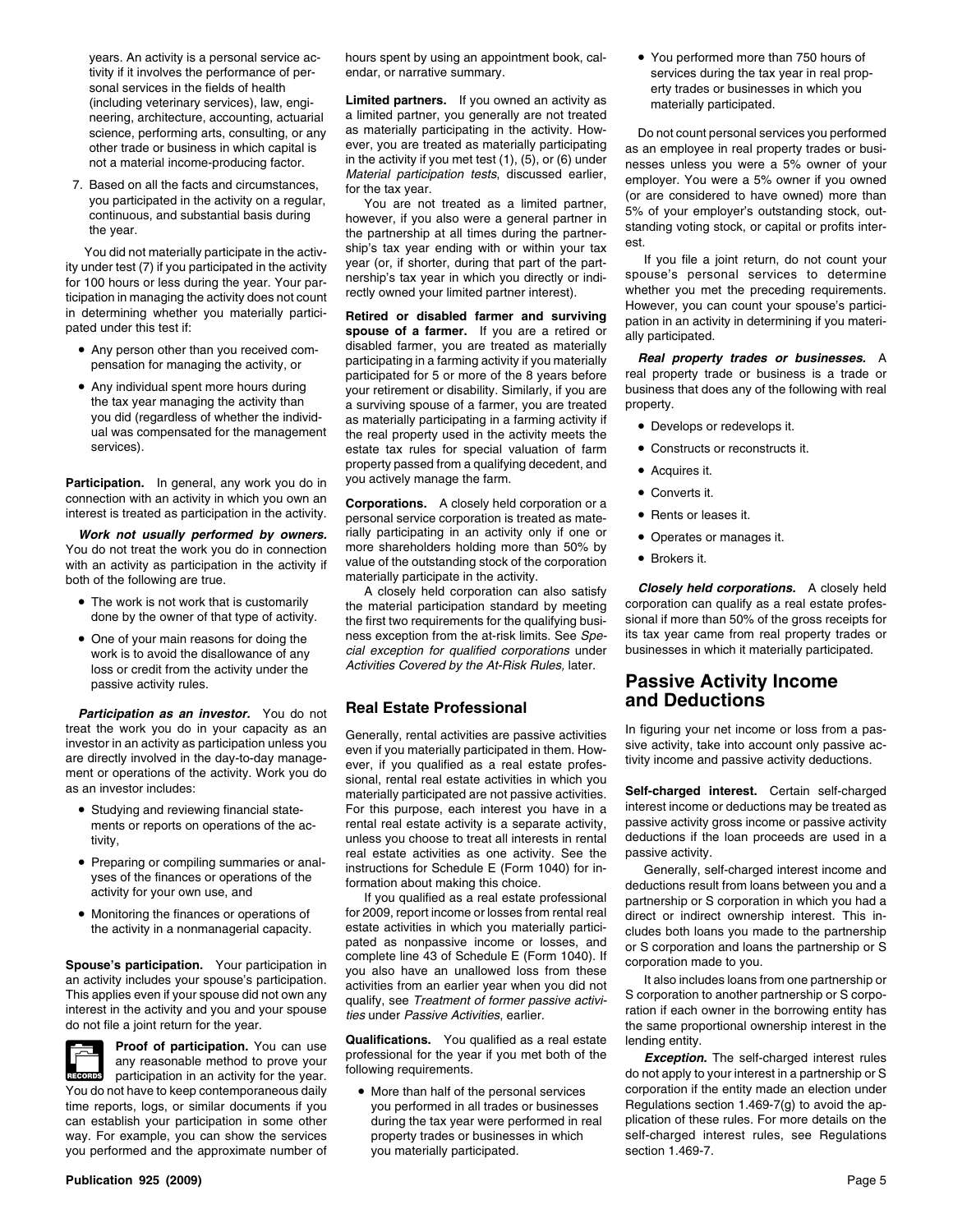sonal services in the fields of health error control to the state of the fields of health error control to the state of the state of trades or businesses in which you

- 
- Any individual spent more hours during

**Participation.** In general, any work you do in you actively manage the farm.<br>
connection with an activity in which you own an **Corporations** A closely held corporation or a

You do not treat the work you do in connection more shareholders holding more than 50% by<br>with an activity as participation in the activity if value of the outstanding stock of the corporation • Brokers it. both of the following are true. The materially participate in the activity.

- The work is not work that is customarily
- One of your main reasons for doing the loss or credit from the activity under the passive activity rules. **Passive Activity Income**

**Participation as an investor.** You do not **Real Estate Professional <b>Participation as an investor.** You do not **Real Estate Professional** 

- 
- 
- Monitoring the finances or operations of



years. An activity is a personal service ac-<br>
lours spent by using an appointment book, cal-<br>
• You performed more than 750 hours of tivity if it involves the performance of per- endar, or narrative summary. The services during the tax year in real prop-

(including veterinary services), law, engi- **Limited partners.** If you owned an activity as materially participated. neering, architecture, accounting, actuarial a limited partner, you generally are not treated<br>science, performing arts, consulting, or any as materially participating in the activity. Howscience, performing arts, consulting, or any as materially participating in the activity. How-<br>other trade or business in which capital is ever, you are treated as materially participating as an employee in real property t other trade or business in which capital is ever, you are treated as materially participating as an employee in real property trades or busi-<br>not a material income-producing factor in the activity if you met test (1), (5),

not a material income-producing factor. in the activity if you met test (1), (5), or (6) under<br>
T. Based on all the facts and circumstances, the tativity on the tativity of the tativity on the tativity on the tativity on t

• Any person other than you received com-<br>pensation for managing the activity, or participating in a farming activity if you materially<br>pensation for managing the activity, or participated for 5 or more of the 8 years befo Any individual spent more hours during your retirement or disability. Similarly, if you are business that does any of the following with real<br>the tax year managing the activity than a surviving spouse of a farmer, you are the tax year managing the activity than a surviving spouse of a farmer, you are treated property.<br>you did (regardless of whether the individ-as materially participating in a farming activity if you did (regardless of whether the individ-<br>ual was compensated for the management the real property used in the activity meets the <br>examples or redevelops it. ual was compensated for the management the real property used in the activity meets the services). estate tax rules for special valuation of farm • Constructs or reconstructs it. property passed from a qualifying decedent, and <br>you actively manage the farm.

connection with an activity in which you own an **Corporations.** A closely held corporation or a<br>interest is treated as participation in the activity. personal service corporation is treated as mate-<br>Rents or leases it. Work not usually performed by owners. In rially participating in an activity only if one or **•** Operates or manages it.<br>Ju do not treat the work you do in connection more shareholders holding more than 50% by value of the outstanding stock of the corporation

The work is not work that is customarily the material participation standard by meeting corporation can qualify as a real estate profes-<br>done by the owner of that type of activity. the first two requirements for the qualif ness exception from the at-risk limits. See Spe- its tax year came from real property trades or *cial exception for qualified corporations* under businesses in which it materially participated. work is to avoid the disallowance of any cial exception for qualified corporations under loss or credit from the activity under the  $\overline{a}$  Activities Covered by the At-Risk Rules, later.

treat the work you do in your capacity as an<br>investor in an activity as participation unless you<br>are directly involved in the day-to-day manage-<br>ment or operations of the activity. Work you do<br>as an investor includes:<br>as a • Studying and reviewing financial state-<br>For this purpose, each interest you have in a interest income or deductions may be treated as<br>ments or reports on operations of the ac-<br>rental real estate activity is a separate ac ments or reports on operations of the ac-<br>
unless you choose to treat all interests in rental deductions if the loan proceeds are used in a tivity, the local comparison of the loan proceeds with the loan proceeds are used in the loan proceeds are used in a media of the loan proceeds are used in a media proceeds are used in a media proceed in a media proceed in • Preparing or compiling summaries or anal-<br>
instructions for Schedule E (Form 1040) for in-<br>
Generally, self-charged interest income and<br>
exercise and the finance of the contrient of the contractions for Schedule E (Form

the activity in a nonmanagerial capacity.<br>
Spouse's participation. Your participation in<br>
an activity includes your spouse's participation. This applies even if your spouse's participation in<br>
This applies even if your spo

**Proof of participation.** You can use **Qualifications.** You qualified as a real estate lending entity.<br>**Proof of participation Professional** for the year if you met both of the **Exception** 

way. For example, you can show the services property trades or businesses in which you performed and the approximate number of you materially participated. Section 1.469-7.

- 
- 
- 
- 
- 
- 
- 

A closely held corporation can also satisfy **Closely held corporations.** A closely held<br>A closely held corporation can also satisfy **Closely held corporations.** A closely held<br>material participation standard by meeting cor

• Preparing or compiling summaries or anal-<br>yses of the finances or operations of the formation about making this choice.<br>activity for your own use, and lead to the finance or operations of the finances or operations of th Monitoring the finances or operations of for 2009, report income or losses from rental real direct or indirect ownership interest. This in-<br>the activity in a nonmanagerial capacity. estate activities in which you materiall

any reasonable method to prove your<br>professional for the year if you met both of the **Exception.** The self-charged interest rules<br>participation in an activity for the year.<br>of have to keep contemporaneous daily <br>of More th You do not have to keep contemporaneous daily  $\bullet$  More than half of the personal services corporation if the entity made an election under<br>time reports, logs, or similar documents if you service overformed in all trades o time reports, logs, or similar documents if you you performed in all trades or businesses Hegulations section 1.469-7(g) to avoid the ap-<br>can establish your participation in some other during the tax year were performed in can establish your participation in some other during the tax year were performed in real plication of these rules. For more details on the vay. For example, you can show the services property trades or businesses in which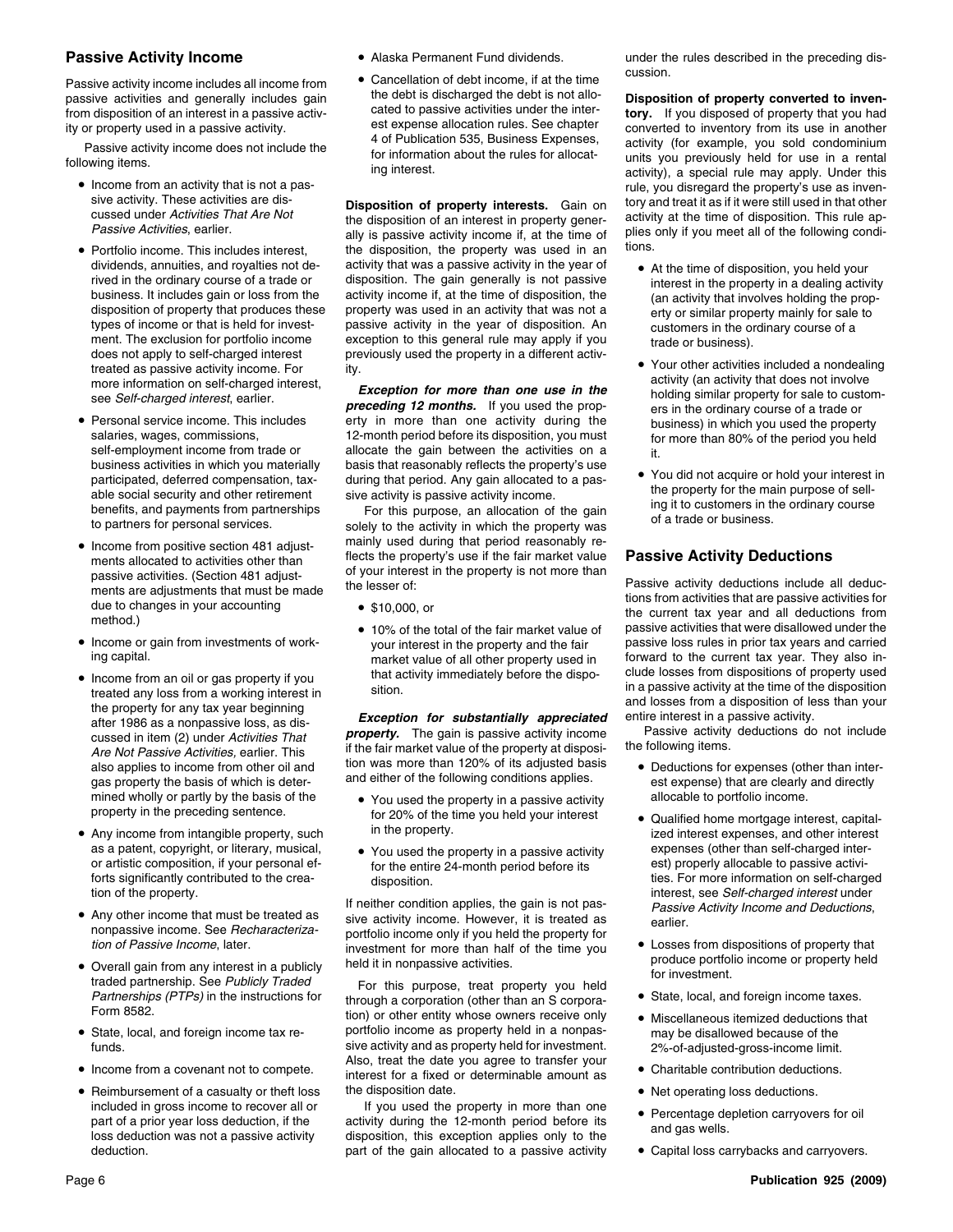- Income from an activity that is not a pas-
- treated as passive activity income. For ity.<br>more information on self-charged interest income.<br>more information on self-charged interest
- Personal service income. This includes participated, deferred compensation, tax-<br>able social security and other retirement sive activity is passive activity income.<br>benefits, and payments from partnerships from the social security and other retirement<br>to partne
- Income from positive section 481 adjustpassive activities. (Section 481 adjust-<br>ments are adjustments that must be made the lesser of: entity deductions include all deduc-<br>from estivities that are nonline adjustments that must be made the lesser of:
- Income or gain from investments of work-
- Income from an oil or gas property if you<br>treated any loss from a working interest in<br>the property for any tax year beginning<br>after 1986 as a nonpassive loss, as dis-<br>cussed in item (2) under *Activities That*<br>*Property.* also applies to income from other oil and<br>gas property the basis of which is deter-<br>and either of the following conditions applies.<br>est expense) that are clearly and directly mined wholly or partly by the basis of the •
- as a patent, copyright, or literary, musical, or artistic composition, if your personal ef-
- 
- Overall gain from any interest in a publicly held it in nonpassive activities.<br>
traded partnership. See Publicly Traded For this purpose, treat property you held<br>
Partnerships (PTPs) in the instructions for through a cor
- 
- 
- •
- 
- Cancellation of debt income, if at the time Passive activity income includes all income from<br>
passive activities and generally includes gain<br>
from disposition of property converted to inven-<br>
from disposition of an interest in a passive activi-<br>
if you disposed of p

cussed under Activities That Are Not the disposition of an interest in property gener-<br>Passive Activities, earlier.<br>Depthalia income This includes interest the disposition the preparty was used in any tions.  $\bullet$  Portfolio income. This includes interest,  $\qquad$  the disposition, the property was used in an  $\qquad$  tions. dividends, annuities, and royalties not de-<br>
rived in the ordinary course of a trade or bisposition. The gain generally is not passive rived in the ordinary course of a trade or disposition. The gain generally is not passive interest in the property in a dealing activity business. It includes gain or loss from the activity income if, at the time of dispos business. It includes gain or loss from the activity income it, at the time of disposition, the (an activity that involves holding the prop-<br>disposition of property that produces these property was used in an activity that disposition of property that produces these property was used in an activity that was not a<br>types of income or that is held for invest-<br>passive activity in the year of disposition. An experience in the ordinary course of a types of income or that is held for invest-<br>ment. The exclusion for portfolio income exception to this general rule may apply if you trade or business) ment. The exclusion for portfolio income exception to this general rule may apply if you trade or business).<br>does not apply to self-charged interest previously used the property in a different activpreviously used the property in a different activ-

Personal service income. This includes erty in more than one activity during the business) in which you used the property<br>Salaries, wages, commissions, state of the property of the period to the property of the period you salaries, wages, commissions, 12-month period before its disposition, you must for more than 80% of the period you held<br>self-employment income from trade or allocate the gain between the activities on a allocate the gain between the activities on a  $\mathbf{r}$  it. business activities in which you materially basis that reasonably reflects the property's use

mainly used during that period reasonably re- •ments allocated to activities other than flects the property's use if the fair market value **Passive Activity Deductions**<br>ments allocated to activities of the property is not more than

- 
- 

- You used the property in a passive activity allocable to portfolio income. property in the preceding sentence. for 20% of the time you held your interest
	- You used the property in a passive activity expenses (other than self-charged inter-<br>for the entire 24-month period before its est) properly allocable to passive activi-

If neither condition applies, the gain is not pas-<br>• Any other income that must be treated as sive activity income. However, it is treated as earlier. • Any other income that must be treated as<br>
nonpassive income. See *Recharacteriza*<br>
tion of Passive Income, later.<br> **•** Overall gain from any interest in a publicly held it in nonpassive activities.<br>
• Overall gain from a

• State, local, and foreign income tax re- portfolio income as property held in a nonpas- may be disallowed because of the funds. The sive activity and as property held for investment. 2%-of-adjusted-gross-income limit. Also, treat the date you agree to transfer your<br>Internet for a fixed or determinable amount as Interest for a fixed or determinable amount as **Charitable contribution deductions.** Reimbursement of a casualty or theft loss the disposition date. • Net operating loss deductions.

included in gross income to recover all or If you used the property in more than one **•** Percentage depletion carryovers for oil<br>part of a prior year loss deduction, if the activity during the 12-month period before its part of a prior year loss deduction, if the activity during the 12-month period before its<br>loss deduction was not a passive activity disposition, this exception applies only to the and gas wells. deduction. **part of the gain allocated to a passive activity** • Capital loss carrybacks and carryovers.

**Passive Activity Income** • Alaska Permanent Fund dividends. under the rules described in the preceding discussion.

Income from an activity that is not a pas-<br> **Represent property interacts** Cain on the total disregard the property's use as inven-<br> **Represent property interacts** Cain on the total disregard the property interacts cain on sive activity. These activities are dis-**<br>
<b>Disposition of property interest**. Gain on tory and treat it as if it were still used in that other<br>
the disposition of an interest in property gener- activity at the time of dis

- At the time of disposition, you held your
- Your other activities included a nondealing more information on self-charged interest,<br>see Self-charged interest, earlier.<br>**preceding 12 months.** If you used the prop-<br>**preceding 12 months.** If you used the prop-<br>ers in the ordinary course of a trade or
	- You did not acquire or hold your interest in

tions from activities that are passive activities for due to changes in your accounting  $\bullet$  \$10,000, or due to changes in your accounting<br>method.) example and all deductions from the current tax year and all deductions from<br>of the total of the fair market value of passive activities that were disallowed under the  $\bullet$  10% of the total of the fair market value of passive activities that were disallowed under the Income or gain from investments of work-<br>Ing capital. They also in-<br>market value of all other property used in forward to the current tax year. They also inmarket value of all other property used in forward to the current tax year. They also in-<br>that activity immediately before the dispo-<br>clude losses from dispositions of property used • Income from an oil or gas property if you that activity immediately before the dispo- clude losses from dispositions of property used • in a passive activity at the time of the disposition

- 
- property in the preceding sentence.<br>• Any income from intangible property, such in the property.<br>ized interest expenses, and other interest ized interest expenses, and other interest or artistic composition, if your personal ef-<br>for the entire 24-month period before its est) properly allocable to passive activi-<br>ties. For more information on self-charged<br>interest, see *Self-charged interest* under
	-
	-
	- Miscellaneous itemized deductions that
	-
	-
	-
	-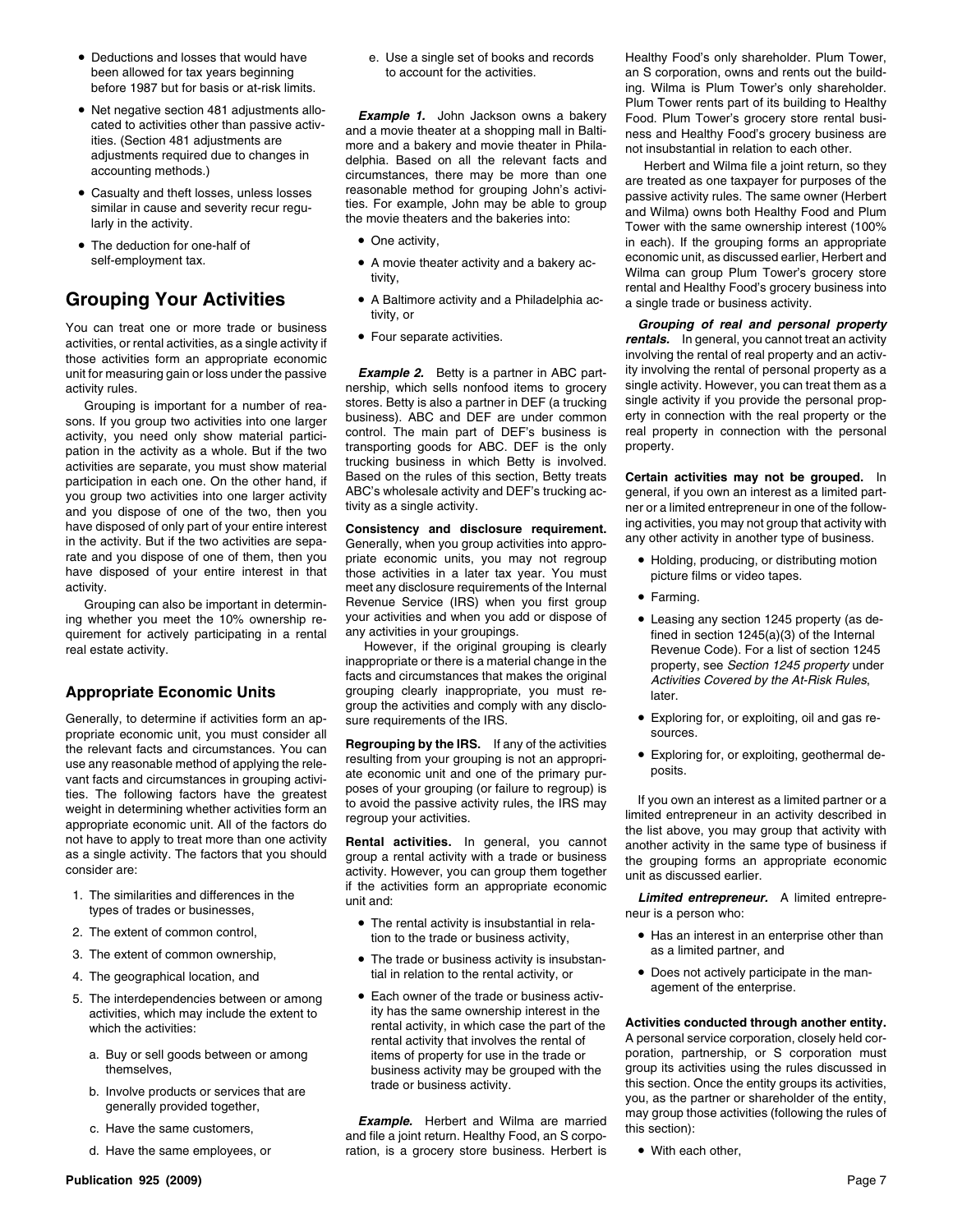- Deductions and losses that would have
- 
- 
- The deduction for one-half of

Grouping is important for a number of rea-<br>sons. If you group two activities into one larger<br>sons. If you group two activities into one larger<br>business). ABC and DEF are under or emony on enty in connection with the real p rate and you dispose of one of them, then you priate economic units, you may not regroup • Holding, producing, or distributing motion have disposed of your entire interest in that those activities in a later tax year. You

quirement for actively participating in a rental any activities in your groupings.<br>However, if the original grouping is clearly Bevenue Code). For a list of section 1245

Generally, to determine if activities form an ap-<br>
propriate economic unit, you must consider all propriate endevant facts and circumstances. You can **education Begrouping by the IRS.** If any of the activities the relevant facts and circumstances. You can **exploring by the IRS.** If any of the activities use any reasona We discussed earlier that saint discussed earlier. The factors that you should<br>and the factors that you should group is the factors that you should group is the factors have the greatest posses of your grouping (or failure

- types of trades or businesses, and the state of trades or businesses, and the state of trades or businesses,
- 
- 3. The extent of common ownership,
- 
- -
	-
	-
	-

• Net negative section 481 adjustments allo<br>
cated to activities other than passive activ-<br>
ities. (Section 481 adjustments are<br>
adjustments are<br>
adjustments are<br>
adjustments are<br>
adjustments are<br>
adjustments are<br>
adjustme

- 
- 
- tivity, or
- Four separate activities.

unit for measuring gain or loss under the passive **Example 2.** Betty is a partner in ABC part- ity involving the rental of personal property as a unit for measuring gain or loss under the passive nership, which sells nonfo nership, which sells nonfood items to grocery single activity. However, you can treat them as a<br>Grouping is important for a number of rea- stores. Betty is also a partner in DEF (a trucking single activity if you provide t

meet any disclosure requirements of the Internal Grouping can also be important in determin-<br>whether you meet the 10% ownership re-your activities and when you add or dispose of ing whether you meet the 10% ownership re-<br>
quirement for actively participating in a rental any activities in your groupings.<br>  $\frac{1}{\pi}$  any activities in your groupings.<br>  $\frac{1}{\pi}$  and or dispose of  $\frac{1}{\pi}$  Leasing

However, if the original grouping is clearly<br>inappropriate or there is a material change in the property see Section 1245 property under inappropriate or there is a material change in the property, see Section 1245 property under<br>facts and circumstances that makes the original property factivities Covered by the At-Bisk Bules facts and circumstances that makes the original Activities Covered by the At-Risk Rules,<br>**Appropriate Economic Units** grouping clearly inappropriate, you must re- later. group the activities and comply with any disclo-

if the activities form an appropriate economic 1. The similarities and differences in the unit and: *Limited entrepreneur.* A limited entrepre-

- The rental activity is insubstantial in rela-
- The trade or business activity is insubstan-
- activities, which may include the extent to ity has the same ownership interest in the **Activities conducted through another entity.**<br>which the activities: rental activity, in which case the part of the **Activities conduct**

d. Have the same employees, or ration, is a grocery store business. Herbert is • With each other,

e. Use a single set of books and records Healthy Food's only shareholder. Plum Tower, been allowed for tax years beginning become to account for the activities. The same S corporation, owns and rents out the build-<br>before 1987 but for basis or at-risk limits. The state of account for the activities. The sta ing. Wilma is Plum Tower's only shareholder. • Net negative section 481 adjustments allo-<br>exted to estivities other than poopive estive example 1. John Jackson owns a bakery Food. Plum Tower's grocery store rental busi-

• Casualty and theft losses, unless losses reasonable method for grouping John's activi-<br>similar in cause and severity recur regu-<br>larly in the activity.<br>larly in the activity.<br>larly in the activity.<br>larly in the same owne • One activity, **in each).** If the grouping forms an appropriate self-employment tax.<br>
self-employment tax.<br>
tivity, the theater activity and a bakery accerred and Healthy Food's grocery store<br>
The Chall and Healthy Food's grocery business into<br>
Grouping Your Activities • A Baltimore ac

You can treat one or more trade or business<br>activities or rental activities as a single activity if **Four separate activities. Grouping of real and personal property** activities, or rental activities, as a single activity if<br>those activities form an appropriate economic<br>unit for measuring gain or loss under the passive **Example 2**. Betty is a partner in ABC part. Ity involving the renta

- 
- Farming.
- 
- 
- 

- The rental activity is insubstantial in rela-<br>2. The extent of common control, the trade or business activity,  $\bullet$  Has an interest in an enterprise other than<br>3. The extent of common ownership
- 4. The geographical location, and<br>5. The interdependencies between or among<br>activities. which may include the extent to<br>the extent to<br>tive has the same ownership interest in the<br>tractivities. which may include the extent t

rental activity that involves the rental of Apersonal service corporation, closely held cora. Buy or sell goods between or among items of property for use in the trade or poration, partnership, or S corporation must themselves. themselves,<br>trade or business activity may be grouped with the group its activities using the rules discussed in<br>trade or business activity. b. Involve products or services that are trade or business activity. this section. Once the entity groups its activities,<br>generally provided together,<br>c. Have the same customers, **Example.** Herbert and Wilma are married an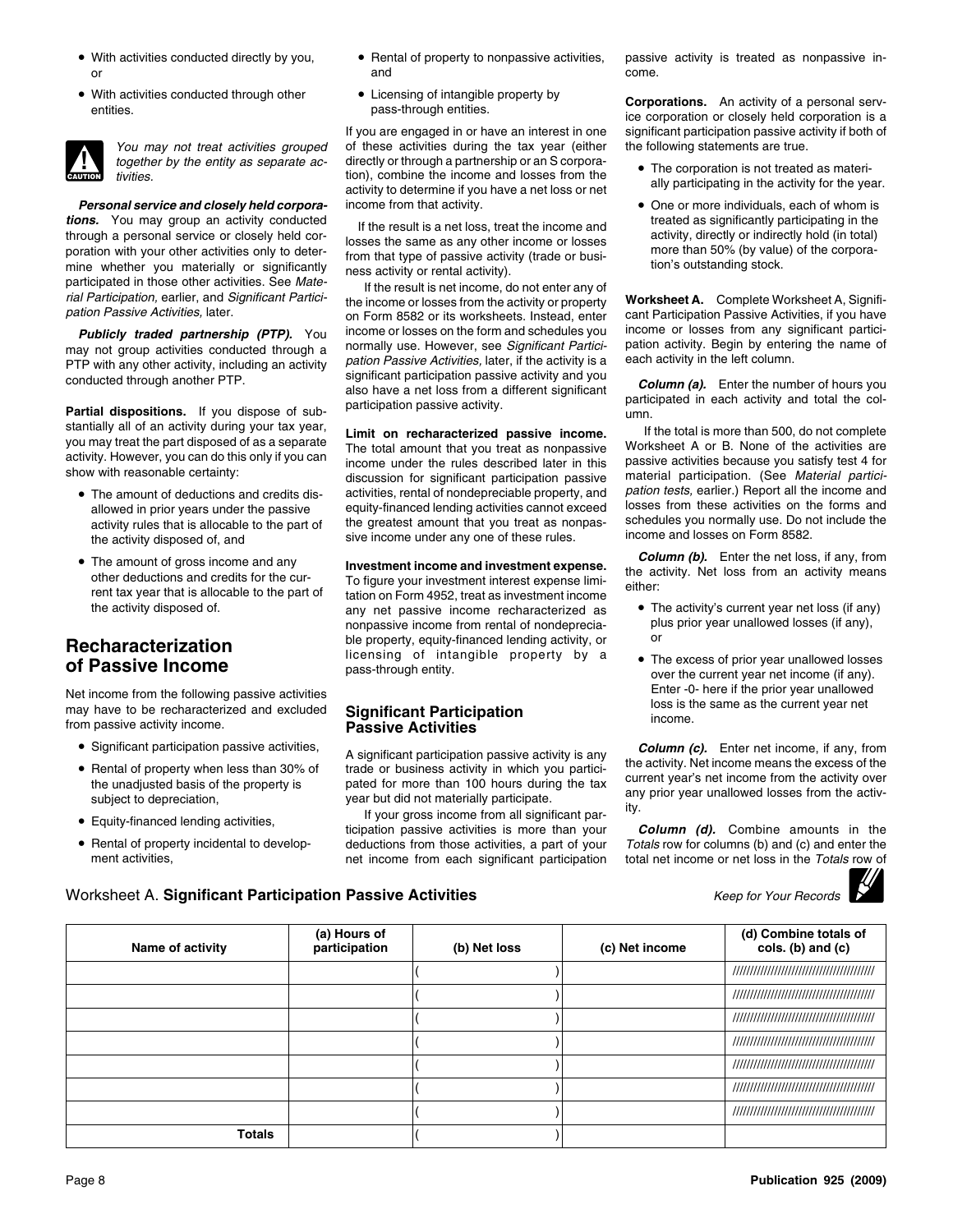- With activities conducted directly by you,
- With activities conducted through other



**tions.** You may group an activity conducted<br>through a personal service or closely held cor-<br>poration with your other activities only to deter-<br>mine whether you materially or significantly<br>participated in those other activ

stantially all of an activity during your tax year,<br>you may treat the part disposed of as a separate<br>activity. However, you can do this only if you can<br>income under the rules described later in this<br>passive activities beca

- the activity disposed of, and **income under any one of these rules**.
- 

Net income from the following passive activities<br>
may have to be recharacterized and excluded **Significant Participation** loss is the same as the current year net<br>
from passive activity income. **Passive Activities Passiv** 

- Significant participation passive activities,
- 
- 
- Rental of property incidental to develop-
- or and come. The come of the come and come of the come. The come of the come.
	-

You may not treat activities grouped of these activities during the tax year (either the following statements are true. together by the entity as separate ac-<br>tion), combine the income and losses from the Corporation is not treated as materi-<br>tivities tion), combine the income and losses from the **CAUTION** tiviting in the activity for the year. activity to determine if you have a net loss or net<br>income from that activity. **Personal service and closely held corpora-** income from that activity. **• One or more individuals, each of whom is** 

may not group activities conducted through a<br>
PTP with any other activity, including an activity<br>
conducted through another PTP.<br>
conducted through another PTP.<br> **PARTIAL dispositions.** If you dispose of sub-<br>
Participatio

activity. However, you can do this only if you can<br>income under the rules described later in this passive activities because you satisfy test 4 for<br>The amount of deductions and credits discussion for significant participat • The amount of deductions and credits dis-<br>equity-financed lending activities cannot exceed bosses from these activities on the forms and<br>allowed in prior vears under the passive equity-financed lending activities cannot allowed in prior years under the passive equity-financed lending activities cannot exceed losses from these activities on the forms and<br>activity rules that is allocable to the part of the greatest amount that you treat as activity rules that is allocable to the part of the greatest amount that you treat as nonpas-<br>the activity dispessed of and include the security rules income and losses on Form 8582.

The amount of gross income and any<br>
other deductions and credits for the cur-<br>
To figure your investment interest expense limi-<br>
To figure your investment interest expense limi-<br>
To figure your investment interest expense any net passive income recharacterized as • The activity's current year net loss (if any<br>nonpassive income from rental of nondeprecia-<br>plus prior year unallowed losses (if any), nonpassive income from rental of nondeprecia-<br>ble preparty, equity financed londing activity, or any **Recharacterization**<br>**of Passive Income** licensing of intangible property by a • The excess of prior year unallowed losses

 Equity-financed lending activities, ticipation passive activities is more than your *Column (d).* Combine amounts in the deductions from those activities, a part of your Totals row for columns (b) and (c) and enter the ment activities, net income from each significant participation total net income or net loss in the Totals row of

• Rental of property to nonpassive activities, passive activity is treated as nonpassive in-

With activities conducted through other • Licensing of intangible property by **Corporations.** An activity of a personal serv-<br>pass-through entities.<br>If you are engaged in or have an interest in one significant participatio significant participation passive activity if both of

- 
- 

pation Passive Activities, later.<br>On Form 8582 or its worksheets. Instead, enter cant Participation Passive Activities, if you have<br>Publicly traded partnership (PTP) You income or losses on the form and schedules you incom **Publicly traded partnership (PTP).** You income or losses on the form and schedules you income or losses from any significant partici-<br>ay not group activities conducted through a normally use. However, see *Significant Par* 

• The amount of gross income and any **extract income and investment expense.** Column (b). Enter the net loss, if any, from a her deductions and credits for the cur-<br>other deductions and credits for the cur-

- 
- pass-through entity.<br>over the current year net income (if any).

• Significant participation passive activities,<br>• Rental of property when less than 30% of trade or business activity in which you partici-<br>• the activity. Net income means the excess of the vertical particle is any the e • Rental of property when less than 30% of trade or business activity in which you partici-<br>the unadjusted basis of the property is pated for more than 100 hours during the tax current year's net income from the activity o



# Worksheet A. Significant Participation Passive Activities **Keep for Your Records** Keep for Your Records

| Name of activity | (a) Hours of<br>participation | (b) Net loss | (c) Net income | (d) Combine totals of<br>$\overline{\phantom{a}}$ cols. (b) and (c) |
|------------------|-------------------------------|--------------|----------------|---------------------------------------------------------------------|
|                  |                               |              |                |                                                                     |
|                  |                               |              |                |                                                                     |
|                  |                               |              |                |                                                                     |
|                  |                               |              |                |                                                                     |
|                  |                               |              |                |                                                                     |
|                  |                               |              |                |                                                                     |
|                  |                               |              |                |                                                                     |
| <b>Totals</b>    |                               |              |                |                                                                     |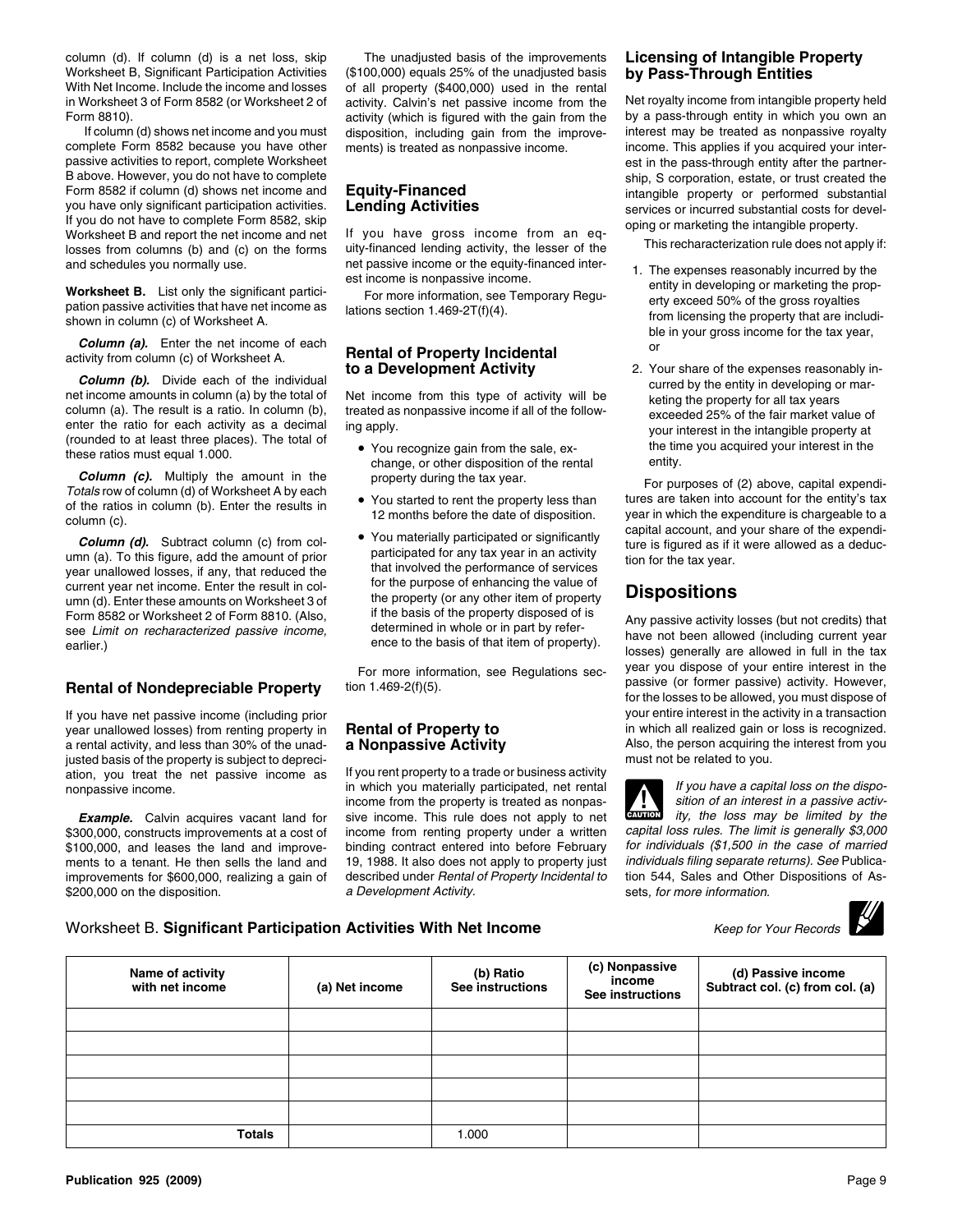column (d). If column (d) is a net loss, skip The unadjusted basis of the improvements **Licensing of Intangible Property**  Worksheet B, Significant Participation Activities (\$100,000) equals 25% of the unadjusted basis **by Pass-Through Entities** With Net Income. Include the income and losses of all property (\$400,000) used in the rental<br>in Worksheet 3 of Form 8582 (or Worksheet 2 of activity. Calvin's net passive income from the in Worksheet 3 of Form 8582 (or Worksheet 2 of activity. Calvin's net passive income from the Net royalty income from intangible property held<br>Form 8810). Form 8810

complete Form 8582 because you have other ments) is treated as nonpassive income. <br>income. This applies if you acquired your inter-<br>est in the pass-through entity after the partnerpassive activities to report, complete Worksheet est in the pass-through entity after the partner-<br>B above. However, you do not have to complete est in the pass-through entity after the partner-B above. However, you do not have to complete ship, S corporation, estate, or trust created the Form 8582 if column (d) shows net income and<br>you have only significant participation activities. Lending Activities<br>If you do not have to complete Form 8582, skip<br>If you do not have to complete Form 8582, skip It you do not have to complete Form 6562, skip<br>Worksheet B and report the net income and net If you have gross income from an eq-<br>losses from columns (b) and (c) on the forms uity-financed lending activity, the lesser of t

exceeded 25% of the fair market value of enter the ratio for each activity as a decimal ing apply.<br>
(rounded to at least three places). The total of exceeded to at least three places). The total of exceeded to at least thr

**Column (c).** Multiply the amount in the property during the tax year. For purposes of (2) above, capital expendi-<br>Totals row of column (d) of Worksheet A by each • You started to rent the property less than tures are take

**Column (d).** Subtract column (c) from col-<br>
umn (a). To this figure, add the amount of prior<br>
year unallowed losses, if any, that reduced the<br>
current year is figured as if it were allowed as a deduc-<br>
ver unallowed loss Form 8582 or Worksheet 2 of Form 8810. (Also, if the basis of the property disposed of is any passive activity losses (but not credits) that determined in whole or in part by refer-<br>see *Limit on recharacterized passive in* 

year unallowed losses) from renting property in **Rental of Property to** in which all realized gain or loss is recognized.<br>A rental activity, and less than 30% of the unad- **a Nonpassive Activity A Standard Also, the pers** a rental activity, and less than 30% of the unad-<br>
justed basis of the property is subject to depreci-<br>
property is subject to deprecijusted basis of the property is subject to depreci-<br>ation, you, treat, the net passive income as If you rent property to a trade or business activity ation, you treat the net passive income as

\$100,000, and leases the land and improve-<br>ments to a tenant. He then sells the land and 19, 1988. It also does not apply to property just *individuals filing separate returns). See* Publicaments to a tenant. He then sells the land and 19, 1988. It also does not apply to property just improvements for \$600,000, realizing a gain of described under Rental of Property Incidental to tion 544, Sales and Other Dispositions of As-\$200,000 on the disposition.  $\blacksquare$  a Development Activity.  $\blacksquare$  sets, for more information.

m 8810).<br>If column (d) shows net income and you must disposition, including gain from the improve- interest may be treated as nonpassive royalty disposition, including gain from the improve-

- $\frac{y_{\text{S}}}{y_{\text{S}}}$  ratios must equal 1.000.<br>  $\frac{y_{\text{S}}}{y_{\text{S}}}$  change, or other disposition of the rental entity.
	-
	-

nonpassive income.<br>in which you materially participated, net rental If you have a capital loss on the dispo-<br>income from the property is treated as nonpas-<br>sition of an interest in a passive activincome from the property is treated as nonpas-

- and schedules you normally use. The passive income or the equity-financed inter-<br> **Worksheet B.** List only the significant partici-<br>
pation passive activities that have net income as<br>
pation section 1.469-2T(f)(4).<br> **Solum** 
	-

of the ratios in column (b). Enter the results in<br>
of the ratios in column (b). Enter the results in<br>
of the ratios in column (c).<br>  $\bullet$  You materially participated or significantly<br>  $\bullet$  You materially participated or sig

For more information, see Regulations sec- year you dispose of your entire interest in the<br>passive (or former passive) activity. However,<br>for the losses to be allowed, you must dispose of If you have net passive income (including prior **Rental of Property to** your entire interest in the activity in a transaction year unallowed losses) from renting property in **Rental of Property to in** which all realized

**Example.** Calvin acquires vacant land for sive income. This rule does not apply to net **CAUTON** ity, the loss may be limited by the loss may be limited by the loss of the loss of the loss of the loss of the limit is gener **!** \$300,000, constructs improvements at a cost of income from renting property under a written capital loss rules. The limit is generally \$3,000<br>\$100,000, and leases the land and improve- binding contract entered into before

## Worksheet B. Significant Participation Activities With Net Income **Keep for Your Records** Keep for Your Records

| Name of activity<br>with net income | (a) Net income | (b) Ratio<br><b>See instructions</b> | (c) Nonpassive<br>income<br><b>See instructions</b> | (d) Passive income<br>Subtract col. (c) from col. (a) |
|-------------------------------------|----------------|--------------------------------------|-----------------------------------------------------|-------------------------------------------------------|
|                                     |                |                                      |                                                     |                                                       |
|                                     |                |                                      |                                                     |                                                       |
|                                     |                |                                      |                                                     |                                                       |
|                                     |                |                                      |                                                     |                                                       |
|                                     |                |                                      |                                                     |                                                       |
| <b>Totals</b>                       |                | 1.000                                |                                                     |                                                       |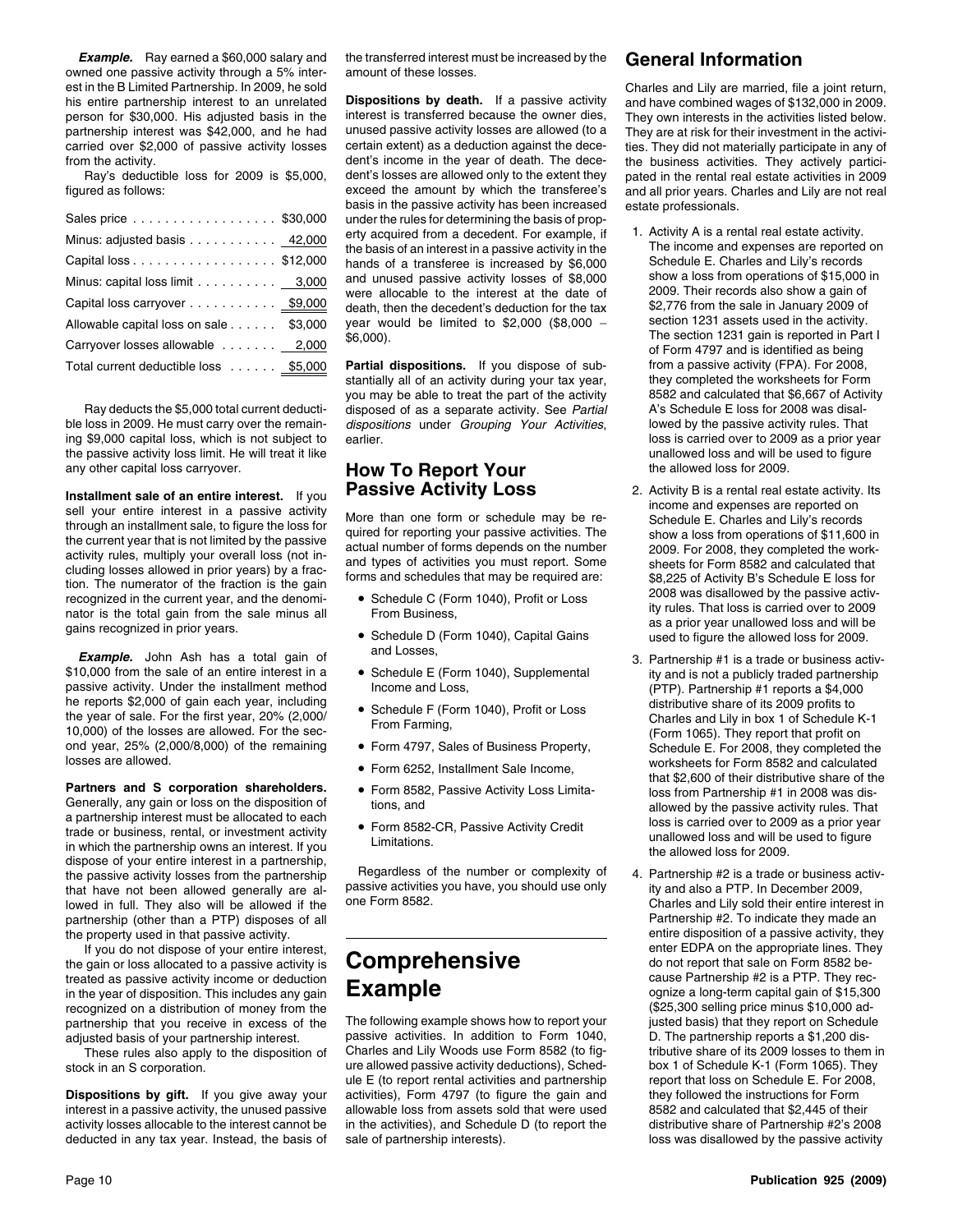owned one passive activity through a 5% inter-<br>est in the B Limited Partnership. In 2009, he sold<br>out amount of these losses.

| Sales price \$30,000                   |  |
|----------------------------------------|--|
| Minus: adjusted basis 42,000           |  |
| Capital loss \$12,000                  |  |
| Minus: capital loss limit 3,000        |  |
| Capital loss carryover 59,000          |  |
| Allowable capital loss on sale \$3,000 |  |
| Carryover losses allowable _ 2,000     |  |
| Total current deductible loss \$5,000  |  |
|                                        |  |

ing \$9,000 capital loss, which is not subject to earlier. In the passive activity loss is carried over to 2009 as a prior year<br>
the passive activity loss limit. He will treat it like the passive activity loss limit. He wil the passive activity loss limit. He will treat it like **unallowed loss and will be unallowed loss and will be unallowed loss and will be unallowed loss and will be any other capital loss carryover. <b>How To Renort Your** 

**Example.** John Ash has a total gain of <sup>2110 Losses, 1</sup> 11 and some that the sale of an entire interest in a **Condule E** (Form 1040), Supplemental 3. Partnership #1 is a trade or business activ-<br>ity and is not a publicly passive activity. Under the installment method Income and Loss,  $\overline{PTP}$ . Partnership #1 reports a \$4,000 he reports \$2,000 of gain each year, including <br>the year of sale. For the first year, 20% (2,000/ From Farming of the year of sale. For the first year, 20% (2,000/ the year of sale. For the first year, 20% (2,000/<br>10,000) of the losses are allowed. For the sec-<br>ond year, 25% (2,000/8,000) of the remaining • Form 4797, Sales of Business Property,<br>Prom Schedule E. For 2008, they report ond year, 25% (2,000/8,000) of the remaining • Form 4797, Sales of Business Property, Schedule E. For 2008, they completed the losses are allowed.

Partners and S corporation shareholders. • Form 8582, Passive Activity Loss Limita-<br>
loss from Partnership #1 in 2008 was dis-**Partners and S corporation shareholders.**<br>
Generally, any gain or loss on the disposition of the disposition of the disposition of the disposition of a partnership interest must be allocated to each **example of the passiv** Form 8582-CR, Passive Activity Credit in which the partnership owns an interest. If you<br>
investment activity unallowed loss is carried over to 2009 as a prior year<br>
in which the partnership owns an interest. If you Limitat the passive activity losses from the partnership<br>the passive activity losses from the partnership<br>that have not been allowed generally are al-<br>lowed in full. They also will be allowed if the one Form 8582.<br>lowed in full. T lowed in full. They also will be allowed if the <sup>one Form 8582</sup>.<br>
partnership the and Lily sold their entire interest in<br>
Partnership #2. To indicate they made an partnership (other than a PTP) disposes of all partnership #2. To indicate they made an<br>
Partnership #2. To indicate they made an<br>
entire disposition of a passive activity, they

If you do not dispose of your entire interest, the appropriate lines. They the gain or loss allocated to a passive activity is **Comprehensive** do not report that sale on Form 8582 be-<br>treated as passive activity income or treated as passive activity income or deduction<br>in the vear of disposition. This includes any gain  $\blacksquare$ <br>in the vear of disposition. This includes any gain  $\blacksquare$ in the year of disposition. This includes any gain **EXAMPIC**<br>recognized on a distribution of money from the example of the secognized on a distribution of money from the recognized on a distribution of money from the<br>nartnership that you receive in excess of the The following example shows how to report your justed basis) that they report on Schedule

*Example.* Ray earned a \$60,000 salary and the transferred interest must be increased by the **General Information**

his entire partnership interest to an unrelated **Dispositions by death.** If a passive activity and have combined wages of \$132,000 in 2009.<br>
person for \$30,000. His adjusted basis in the interest is transferred because the person for \$30,000. His adjusted basis in the interest is transferred because the owner dies, They own interests in the activities listed below.<br>partnership interest was \$42,000, and he had unused passive activity losses a unused passive activity losses are allowed (to a They are at risk for their investment in the activicertain extent) as a deduction against the dece-<br>ties. They did not materially participate in any of carried over \$2,000 of passive activity losses certain extent) as a deduction against the dece-<br>from the activity. They actively partici-<br>dent's income in the year of death. The dece-<br>the business activities. They actively dent's income in the year of death. The dece-<br>Hay's deductible loss for 2009 is \$5,000, dent's losses are allowed only to the extent they pated in the rental real estate activities in 2009 dent's losses are allowed only to the extent they pated in the rental real estate activities in 2009 exceed the amount by which the transferee's and all prior vears. Charles and Lily are not real figured as follows: exceed the amount by which the transferee's and all prior years. Charles and Lily are not real basis in the passive activity has been increased estate professionals. under the rules for determining the basis of property acquired from a decedent. For example, if 1. Activity A is a rental real estate activity.<br>
the basis of an interest in a passive activity in the The income and expenses are reported on<br>
hands of a transferee is increa hands of a transferee is increased by \$6,000 Schedule E. Charles and Lily's records<br>and unused passive activity losses of \$8,000 show a loss from operations of \$15,000 in and unused passive activity losses of \$8,000 were allocable to the interest at the date of death, then the decedent's deduction for the tax  $$2,776$  from the sale in January 2009 of vear would be limited to \$2,000 (\$8,000  $-$  section 1231 assets used in the activity. year would be limited to \$2,000 (\$8,000 − section 1231 assets used in the activity.  $\frac{1}{3}$ 

Partial dispositions. If you dispose of sub- from a passive activity (FPA). For 2008, stantially all of an activity during your tax year, they completed the worksheets for Form you may be able to treat the part of the activity 8582 and calculated that \$6,667 of Activity Ray deducts the \$5,000 total current deducti- disposed of as a separate activity. See Partial A's Schedule E loss for 2008 was disalble loss in 2009. He must carry over the remain- dispositions under Grouping Your Activities, lowed by the passive activity rules. That

# **How To Report Your.**

- 
- Schedule D (Form 1040), Capital Gains used to figure the allowed loss for 2009.
- 
- 
- 
- 
- 
- 

partnership that you receive in excess of the The following example shows how to report your justed basis) that they report on Schedul<br>adjusted basis of your partnership interest. passive activities. In addition to Form 10 adjusted basis of your partnership interest. passive activities. In addition to Form 1040, D. The partnership reports a \$1,200 dis-<br>These rules also apply to the disposition of Charles and Lily Woods use Form 8582 (to fig-These rules also apply to the disposition of Charles and Lily Woods use Form 8582 (to fig- tributive share of its 2009 losses to them in<br>ure allowed passive activity deductions), Sched- box 1 of Schedule K-1 (Form 1065). T stock in an S corporation. **ure allowed passive activity deductions**), Sched- box 1 of Schedule K-1 (Form 1065). They<br>ule E (to report rental activities and partnership report that loss on Schedule E. For 2008, ule E (to report rental activities and partnership Dispositions by gift. If you give away your activities), Form 4797 (to figure the gain and they followed the instructions for Form interest in a passive activity, the unused passive allowable loss from assets sold that were used 8582 and calculated that \$2,445 of their activity losses allocable to the interest cannot be in the activities), and Schedule D (to report the distributive share of Partnership #2's 2008 deducted in any tax year. Instead, the basis of sale of partnership interests). Show sallowed by the passive activity

Charles and Lily are married, file a joint return,<br>Dispositions by death. If a passive activity and have combined wages of \$132,000 in 2009.

- 2009. Their records also show a gain of The section 1231 gain is reported in Part I of Form 4797 and is identified as being
- Installment sale of an entire interest. If you<br>
sell your entire interest in a passive activity<br>
sell your entire interest in a passive activity<br>
More than one form or schedule may be re-<br>
Schedule E. Charles are reported
	- Schedule E (Form 1040), Supplemental ity and is not a publicly traded partnership<br>  $(PTP)$  Partnership #1 reports a \$4,000 • Form 6252, Installment Sale Income, vorksheets for Form 8582 and calculated • form 6252, Installment Sale Income,
- the property used in that passive activity.  $\overline{\phantom{a}}$  entire disposition of a passive activity, they<br>If you do not dispose of your entire interest,  $\overline{\phantom{a}}$  are in the angle one of the second the enter EDPA on the app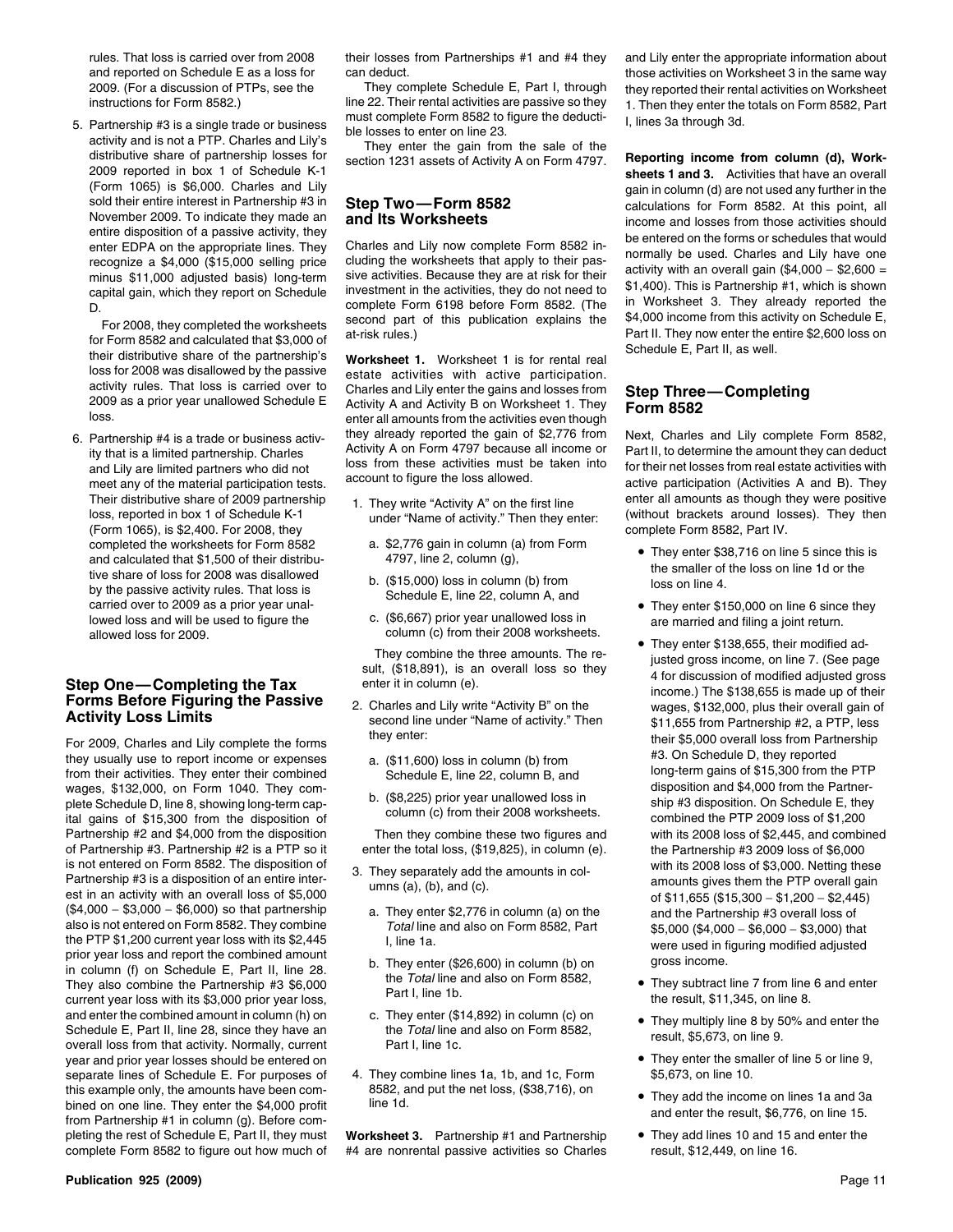instructions for Form 8582.) line 22. Their rental activities are passive so they<br>5. Partnership #3 is a single trade or business<br>5. Partnership #3 is a single trade or business<br>activity and is not a PTP. Charles and Lily'

Their distributive share of 2009 partnership 1. They write "Activity A" on the first line enter all amounts as though they were positive<br>
loss, reported in box 1 of Schedule K-1 under "Name of activity." Then they enter: ( completed the worksheets for Form 8582 a. \$2,776 gain in column (a) from Form • They enter \$38,716 on line 5 since this is and calculated that \$1,500 of their distribu-<br>and calculated that \$1,500 of their distribu-<br>4797, l and calculated that \$1,500 of their distribu-<br>tive share of loss for 2008 was disallowed<br>by the passive activity rules. That loss is<br>carried over to 2009 as a prior year unal-<br>carried over to 2009 as a prior year unal-<br>car carried over to 2009 as a prior year unal-<br>lowed loss and will be used to figure the c. (\$6,667) prior year unallowed loss in are married and filing a joint return.<br>allowed loss for 2009.

from their activities. They enter their combined Schedule E, line 22, column B, and long-term gains of \$15,300 from the PTP wages, \$132,000, on Form 1040. They complete Schedule D, line 8, showing long-term cap-<br>ital gains of \$15,300 from the disposition of column (c) from their 2008 worksheets. The example of the PTP 2009 loss of \$1,200 Partnership #2 and \$4,000 from the disposition Then they combine these two figures and with its 2008 loss of \$2,445, and combined of Partnership #3. Partnership #2 is a PTP so it enter the total loss, (\$19,825), in column (e). the Partnership #3 2009 loss of \$6,000 is not entered on Form 8582. The disposition of<br>
Partnership #3 is a disposition of an entire inter-<br>
(\$4,000 – \$6,000 so that partnership<br>
(\$4,000 – \$6,000 so that partnership<br>
an activity with an overall loss of \$3,000. and enter the combined amount in column (h) on c. They enter (\$14,892) in column (c) on **•** They multiply line 8 by 50% and enter the Schedule E, Part II, line 28, since they have an the Total line and also on Form 8582, They multiply line 8, since they have an the Total line and also on Form 8582,<br>overall loss from that activity. Normally, current Part I, line 1c.<br>vear and prior year losses should be entered on **Part I, line 1c. Part I,** year and prior year losses should be entered on separate lines of Schedule E. For purposes of 4. They combine lines 1a, 1b, and 1c, Form  $$5,673$ , on line 10.<br>this example only, the amounts have been com-  $8582$ , and put the net loss, (\$38,716), on this example only, the amounts have been com-<br>bined on one line. They enter the \$4,000 profit line 1d. They add the income on line. They enter the \$4,000 profit line 1d.<br>
from Partnership #1 in column (g). Before com-<br>
pleting the result, \$6,776, on line 15.<br>
pleting the rest of Schedule F. Part II. they must<br> **Norksheet 3.** pleting the rest of Schedule E, Part II, they must **Worksheet 3.** Partnership #1 and Partnership complete Form 8582 to figure out how much of #4 are nonrental passive activities so Charles result, \$12,449, on line 16.

rules. That loss is carried over from 2008 their losses from Partnerships #1 and #4 they and Lily enter the appropriate information about

2009. (For a discussion of PTPs, see the They complete Schedule E, Part I, through they reported their rental activities on Worksheet<br>instructions for Form 8582.) line 22. Their rental activities are passive so they inter

capital gain, which they report on Schedule investment in the activities, they do not need to<br>D. Complete Form 6198 before Form 8582. (The in Worksheet 3. They already reported the<br>D. Complete Portal of this publication ex

their distributive share of the partnership's **Worksheet 1.** Worksheet 1 is for rental real<br>loss for 2008 was disallowed by the passive estate activities with active participation.<br>activity rules. That loss is carried over activity rules. That loss is carried over to Charles and Lily enter the gains and losses from Step Three—Completing<br>2009 as a prior year unallowed Schedule E Activity A and Activity B on Worksheet 1. They Form 8582<br>loss. e 6. Partnership #4 is a trade or business activ- they already reported the gain of \$2,776 from Next, Charles and Lily complete Form 8582, ity that is a limited partnership. Charles<br>and Lily are limited partners who did not loss from these activities must be taken into<br>account to figure the loss allowed.

- -
	-
	- column (c) from their 2008 worksheets.

- -
	-

- -
	-
	-
- 

and reported on Schedule E as a loss for can deduct.<br>2009. (For a discussion of PTPs, see the They complete Schedule E, Part I, through they reported their rental activities on Worksheet

distributive share of partnership losses for section 1231 assets of Activity A on Form 4797. **Reporting income from column (d), Work-**<br>2009 reported in box 1 of Schedule K-1 section 1231 assets of Activity A on Form 4797. (Form 1065) is \$6,000. Charles and Lily<br>sold their entire interest in Partnership #3 in **Step Two—Form 8582** sold their entire interest in Partnership #3 in<br>November 2009. To indicate they made an **and Its Worksheets** inco entire disposition of a passive activity, they<br>enter EDPA on the appropriate lines. They Charles and Lily now complete Form 8582 in-<br>recognize a \$4,000 (\$15,000 selling price cluding the worksheets that apply to their pas-For 2008, they completed the worksheets second part of this publication explains the \$4,000 income from this activity on Schedule E,<br>for Form 8582 and calculated that \$3,000 of at-risk rules.)<br>their distributive share of t

meet any of the material participation tests. account to figure the loss allowed. The material participation (Activities A and B). They

- 
- 
- They enter \$138,655, their modified ad-Step One—Completing the Passive<br>
Activity Loss Limits<br>
Activity Loss Limits<br>
Activity Loss Limits<br>
Activity Loss Limits<br>
Activity Loss Limits<br>
Activity Loss Limits<br>
Activity Loss Limits<br>
Activity Loss Limits<br>
Activity Loss they enter:<br>
they enter:<br>
they usually use to report income or expenses a. (\$11,600) loss in column (b) from their \$5,000 overall loss from Partnership<br>
from their activities. They enter their combined Schedule E line 22 c
	-
	-
	-
	-
	-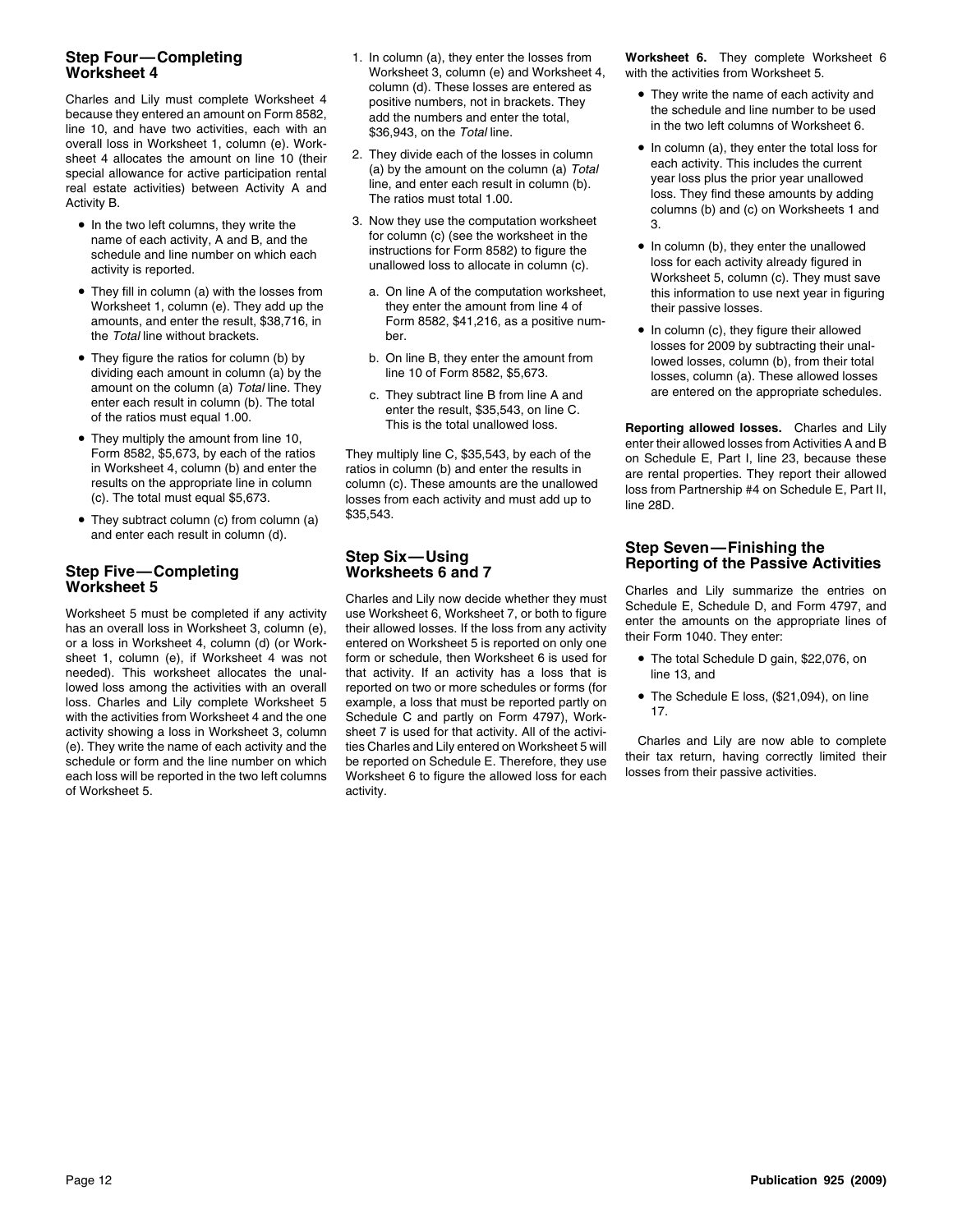Charles and Lily must complete Worksheet 4<br>because they entered an amount on Form 8582,<br>line 10, and have two activities, each with an \$36.943, on the Total line.<br>Sine 10, and have two activities, each with an \$36.943, on overall loss in Worksheet 1, column (e). Work-<br>sheet 4 allocates the amount on line 10 (their 2. They divide each of the losses in column overall loss in worksheet 1, column (e). Worksheet 1, column (e). Worksheet 2. They divide each of the losses in column (a), they enter the total loss for sheet 4 allocates the amount on line 10 (their (a) by the amount on

- 
- They fill in column (a) with the losses from
- They figure the ratios for column (b) by • They figure the ratios for column (b) by b. On line B, they enter the amount from dowed losses, column (b), from their total line 10 of Form 8582, \$5,673.<br>
amount on the column (a) Total line. They subtract line B from l
- They multiply the amount from line 10,
- They subtract column (c) from column (a) and enter each result in column (d).

sheet 1, column (e), if Worksheet 4 was not form or schedule, then Worksheet 6 is used for • The total Schedule D gain, \$22,076, on needed). This worksheet allocates the unal- that activity. If an activity has a loss that is line 13, and lowed loss among the activities with an overall reported on two or more schedules or forms (for  $\bullet$  The Schedule E loss, (\$21,094), on line loss. (\$21,094), on line with the activities from Worksheet 4 and the one Schedule C and partly on Form 4797), Work-17. activity showing a loss in Worksheet 3, column sheet 7 is used for that activity. All of the activi-<br>(e). They write the name of each activity and the ties Charles and Lily entered on Worksheet 5 will Charles and Lily are of Worksheet 5. **activity**.

- **Worksheet 4** Morksheet 3, column (e) and Worksheet 4, with the activities from Worksheet 5. column (d). These losses are entered as<br>positive numbers, not in brackets. They <br>entered as  $\bullet$  They write the name of each activity and
	-
	- 3. Now they use the computation worksheet In the two left columns, they write the  $\frac{3.000 \text{ m/s}}{2.000 \text{ s}}$  are nonputation worksheet  $\frac{3.000 \text{ m}}{2.000 \text{ s}}$ for column (c) (see the worksheet in the name of each activity, A and B, and the •
		- Worksheet 1, column (e). They add up the they enter the amount from line 4 of their passive losses.<br>amounts, and enter the result. \$38.716. in Form 8582, \$41.216, as a positive numamounts, and enter the result, \$38,716, in Form 8582, \$41,216, as a positive num-<br>the Total line without brackets. ber. ber.
			-
			-

Form 8582, \$5,673, by each of the ratios They multiply line C, \$35,543, by each of the considered and Column (b) and enter the results in column (b) and enter the results in column (b) and enter the results in column (c).

**Worksheet 5**<br>Worksheet 5 must be completed if any activity use Worksheet 6, Worksheet 7, or both to figure<br>has an overall loss in Worksheet 3, column (e), their allowed losses. If the loss from any activity<br>or a loss in W

**Step Four—Completing** 1. In column (a), they enter the losses from **Worksheet 6.** They complete Worksheet 6

- 
- 
- name of each activity, A and D, and the instructions for Form 8582) to figure the <br>schedule and line number on which each instructions for Form 8582) to figure the loss for each activity already figured in<br>activity is repo a. On line A of the computation worksheet, this information to use next year in figuring they enter the amount from line 4 of their passive losses.
	- $\bullet$  In column (c), they figure their allowed losses for 2009 by subtracting their unal-

This is the total unallowed loss.<br>They multiply the amount from line 10,<br>Form 8582, \$5,673, by each of the ratios They multiply line C, \$35,543, by each of the on Schedule E. Part Lline 23, because these

# **Step Seven—Finishing the Report Step Six—Using**<br>**Reporting of the Passive Activities**<br>Worksheet 5 **Mondal Integrand Lilly summarize** the entries or

- 
-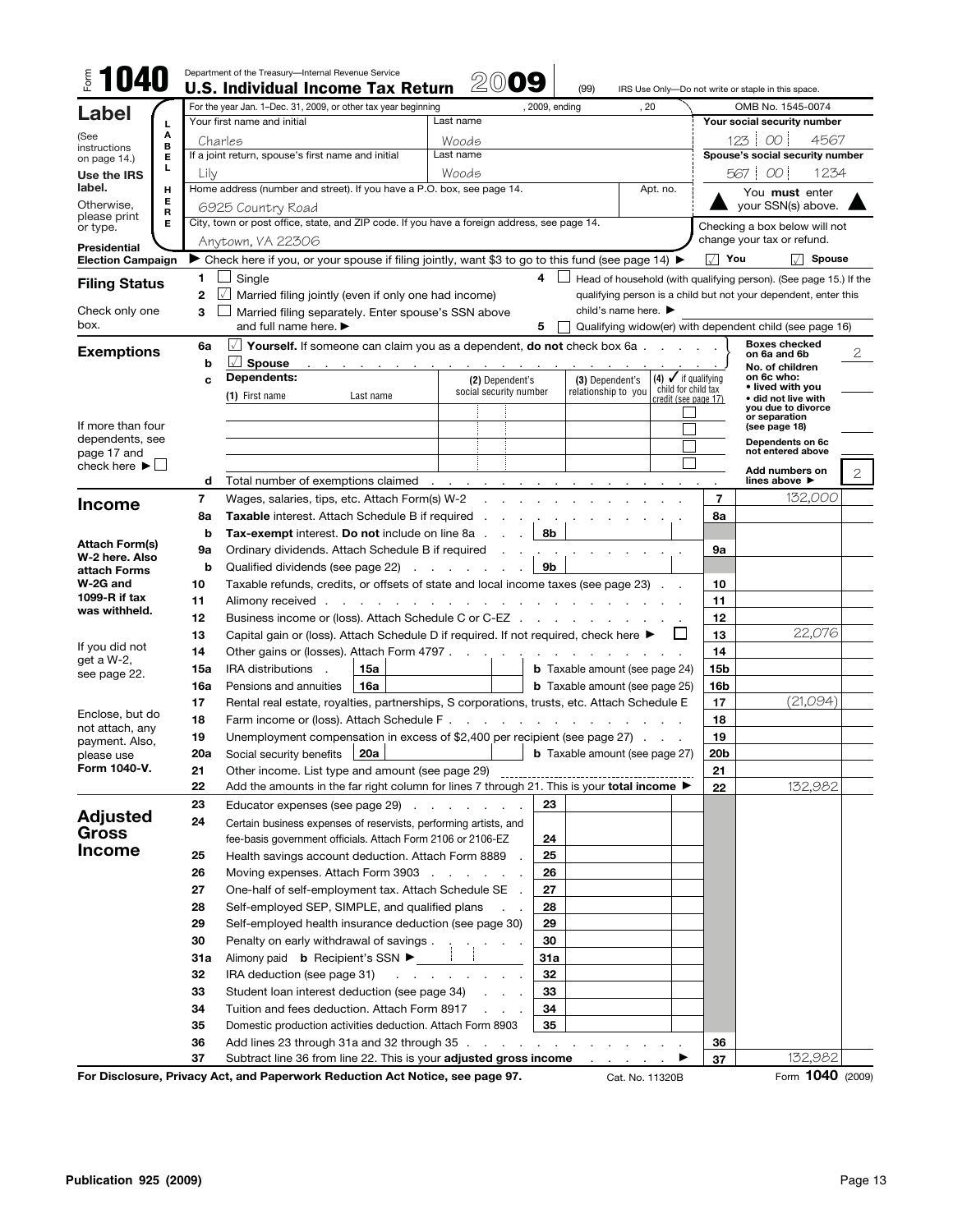| <b>1040</b><br>$\overline{1}$ om   |        |                         | Department of the Treasury-Internal Revenue Service<br><b>U.S. Individual Income Tax Return</b>                         | 2009                                                                                                                                                                                                                                 |                      | (99)                                                                                                            |                                             |                 | IRS Use Only-Do not write or staple in this space.                                                                                   |   |
|------------------------------------|--------|-------------------------|-------------------------------------------------------------------------------------------------------------------------|--------------------------------------------------------------------------------------------------------------------------------------------------------------------------------------------------------------------------------------|----------------------|-----------------------------------------------------------------------------------------------------------------|---------------------------------------------|-----------------|--------------------------------------------------------------------------------------------------------------------------------------|---|
|                                    |        |                         | For the year Jan. 1-Dec. 31, 2009, or other tax year beginning                                                          |                                                                                                                                                                                                                                      | , 2009, ending       |                                                                                                                 | .20                                         |                 | OMB No. 1545-0074                                                                                                                    |   |
| Label                              | L      |                         | Your first name and initial                                                                                             | Last name                                                                                                                                                                                                                            |                      |                                                                                                                 |                                             |                 | Your social security number                                                                                                          |   |
| (See<br>instructions               | A<br>в |                         | Charles                                                                                                                 | Woods                                                                                                                                                                                                                                |                      |                                                                                                                 |                                             |                 | 123  <br>00<br>4567                                                                                                                  |   |
| on page 14.)                       | Е      |                         | If a joint return, spouse's first name and initial                                                                      | Last name                                                                                                                                                                                                                            |                      |                                                                                                                 |                                             |                 | Spouse's social security number                                                                                                      |   |
| Use the IRS                        | L      | Lily                    |                                                                                                                         | Woods                                                                                                                                                                                                                                |                      |                                                                                                                 |                                             |                 | 567 00<br>1234                                                                                                                       |   |
| label.                             | н      |                         | Home address (number and street). If you have a P.O. box, see page 14.                                                  |                                                                                                                                                                                                                                      |                      |                                                                                                                 | Apt. no.                                    |                 | You must enter                                                                                                                       |   |
| Otherwise,<br>please print         | Е<br>R |                         | 6925 Country Road                                                                                                       |                                                                                                                                                                                                                                      |                      |                                                                                                                 |                                             |                 | your SSN(s) above.                                                                                                                   |   |
| or type.                           | Е      |                         | City, town or post office, state, and ZIP code. If you have a foreign address, see page 14.                             |                                                                                                                                                                                                                                      |                      |                                                                                                                 |                                             |                 | Checking a box below will not                                                                                                        |   |
| Presidential                       |        |                         | Anytown, VA 22306                                                                                                       |                                                                                                                                                                                                                                      |                      |                                                                                                                 |                                             |                 | change your tax or refund.                                                                                                           |   |
| <b>Election Campaign</b>           |        |                         | ▶ Check here if you, or your spouse if filing jointly, want \$3 to go to this fund (see page 14) ▶                      |                                                                                                                                                                                                                                      |                      |                                                                                                                 |                                             | √∣ You          | Spouse                                                                                                                               |   |
| <b>Filing Status</b>               |        | 1<br>$\mathbf{2}$       | Single<br>$\sqrt{}$                                                                                                     |                                                                                                                                                                                                                                      | 4                    |                                                                                                                 |                                             |                 | Head of household (with qualifying person). (See page 15.) If the<br>qualifying person is a child but not your dependent, enter this |   |
| Check only one                     |        | 3                       | Married filing jointly (even if only one had income)<br>Married filing separately. Enter spouse's SSN above             |                                                                                                                                                                                                                                      |                      |                                                                                                                 | child's name here. ▶                        |                 |                                                                                                                                      |   |
| box.                               |        |                         | and full name here. ▶                                                                                                   |                                                                                                                                                                                                                                      | 5                    |                                                                                                                 |                                             |                 | Qualifying widow(er) with dependent child (see page 16)                                                                              |   |
|                                    |        | 6a                      | $\Box$ Yourself. If someone can claim you as a dependent, do not check box 6a.                                          |                                                                                                                                                                                                                                      |                      |                                                                                                                 |                                             |                 | <b>Boxes checked</b>                                                                                                                 |   |
| <b>Exemptions</b>                  |        | b                       | V<br><b>Spouse</b>                                                                                                      |                                                                                                                                                                                                                                      |                      |                                                                                                                 |                                             |                 | on 6a and 6b<br>No. of children                                                                                                      | 2 |
|                                    |        | c                       | Dependents:                                                                                                             | (2) Dependent's                                                                                                                                                                                                                      |                      | (3) Dependent's                                                                                                 | (4) $\checkmark$ if qualifying              |                 | on 6c who:                                                                                                                           |   |
|                                    |        |                         | (1) First name<br>Last name                                                                                             | social security number                                                                                                                                                                                                               |                      | relationship to you                                                                                             | child for child tax<br>credit (see page 17) |                 | • lived with you<br>• did not live with                                                                                              |   |
|                                    |        |                         |                                                                                                                         |                                                                                                                                                                                                                                      |                      |                                                                                                                 |                                             |                 | you due to divorce<br>or separation                                                                                                  |   |
| If more than four                  |        |                         |                                                                                                                         |                                                                                                                                                                                                                                      |                      |                                                                                                                 |                                             |                 | (see page 18)                                                                                                                        |   |
| dependents, see<br>page 17 and     |        |                         |                                                                                                                         |                                                                                                                                                                                                                                      |                      |                                                                                                                 |                                             |                 | Dependents on 6c<br>not entered above                                                                                                |   |
| check here $\blacktriangleright$ L |        |                         |                                                                                                                         |                                                                                                                                                                                                                                      |                      |                                                                                                                 |                                             |                 | Add numbers on                                                                                                                       |   |
|                                    |        | d                       | Total number of exemptions claimed                                                                                      |                                                                                                                                                                                                                                      |                      |                                                                                                                 |                                             |                 | lines above ▶                                                                                                                        | 2 |
| <b>Income</b>                      |        | $\overline{\mathbf{r}}$ | Wages, salaries, tips, etc. Attach Form(s) W-2                                                                          |                                                                                                                                                                                                                                      | $\sim$ $\sim$ $\sim$ |                                                                                                                 |                                             | $\overline{7}$  | 132,000                                                                                                                              |   |
|                                    |        | 8а                      | <b>Taxable</b> interest. Attach Schedule B if required                                                                  |                                                                                                                                                                                                                                      |                      |                                                                                                                 |                                             | 8a              |                                                                                                                                      |   |
|                                    |        | b                       | <b>Tax-exempt</b> interest. Do not include on line 8a.                                                                  | $\ddot{\phantom{a}}$                                                                                                                                                                                                                 | 8b                   |                                                                                                                 |                                             |                 |                                                                                                                                      |   |
| Attach Form(s)<br>W-2 here. Also   |        | 9а                      | Ordinary dividends. Attach Schedule B if required                                                                       | $\sim$<br>$\sim 100$                                                                                                                                                                                                                 |                      |                                                                                                                 | and the control of                          | <b>9a</b>       |                                                                                                                                      |   |
| attach Forms                       |        | b                       | Qualified dividends (see page 22)                                                                                       |                                                                                                                                                                                                                                      | 9b                   |                                                                                                                 |                                             |                 |                                                                                                                                      |   |
| W-2G and                           |        | 10                      | Taxable refunds, credits, or offsets of state and local income taxes (see page 23)                                      |                                                                                                                                                                                                                                      |                      |                                                                                                                 |                                             | 10              |                                                                                                                                      |   |
| 1099-R if tax<br>was withheld.     |        | 11                      | Alimony received.<br>and the contract of the contract of                                                                |                                                                                                                                                                                                                                      |                      |                                                                                                                 |                                             | 11              |                                                                                                                                      |   |
|                                    |        | 12                      | Business income or (loss). Attach Schedule C or C-EZ .                                                                  |                                                                                                                                                                                                                                      |                      | the contract of the contract of the contract of the contract of the contract of the contract of the contract of |                                             | 12              |                                                                                                                                      |   |
| If you did not                     |        | 13                      | Capital gain or (loss). Attach Schedule D if required. If not required, check here ▶                                    |                                                                                                                                                                                                                                      |                      |                                                                                                                 | ப                                           | 13              | 22,076                                                                                                                               |   |
| get a W-2,                         |        | 14                      | Other gains or (losses). Attach Form 4797.                                                                              |                                                                                                                                                                                                                                      |                      |                                                                                                                 |                                             | 14              |                                                                                                                                      |   |
| see page 22.                       |        | 15a                     | IRA distributions.<br>15a                                                                                               |                                                                                                                                                                                                                                      |                      |                                                                                                                 | <b>b</b> Taxable amount (see page 24)       | 15 <sub>b</sub> |                                                                                                                                      |   |
|                                    |        | 16a                     | Pensions and annuities<br>16a                                                                                           |                                                                                                                                                                                                                                      |                      |                                                                                                                 | <b>b</b> Taxable amount (see page 25)       | 16b             | (21,094)                                                                                                                             |   |
| Enclose, but do                    |        | 17<br>18                | Rental real estate, royalties, partnerships, S corporations, trusts, etc. Attach Schedule E                             | $\mathbf{r}$ and $\mathbf{r}$ are the set of the set of the set of the set of the set of the set of the set of the set of the set of the set of the set of the set of the set of the set of the set of the set of the set of the set |                      |                                                                                                                 |                                             | 17<br>18        |                                                                                                                                      |   |
| not attach, any                    |        | 19                      | Farm income or (loss). Attach Schedule F.<br>Unemployment compensation in excess of \$2,400 per recipient (see page 27) |                                                                                                                                                                                                                                      |                      |                                                                                                                 |                                             | 19              |                                                                                                                                      |   |
| payment. Also,                     |        | 20a                     | 20a<br>Social security benefits                                                                                         |                                                                                                                                                                                                                                      |                      |                                                                                                                 | <b>b</b> Taxable amount (see page 27)       | 20 <sub>b</sub> |                                                                                                                                      |   |
| please use<br>Form 1040-V.         |        | 21                      | Other income. List type and amount (see page 29)                                                                        |                                                                                                                                                                                                                                      |                      |                                                                                                                 |                                             | 21              |                                                                                                                                      |   |
|                                    |        | 22                      | Add the amounts in the far right column for lines 7 through 21. This is your total income $\blacktriangleright$         |                                                                                                                                                                                                                                      |                      |                                                                                                                 |                                             | 22              | 132,982                                                                                                                              |   |
|                                    |        | 23                      | Educator expenses (see page 29)                                                                                         |                                                                                                                                                                                                                                      | 23                   |                                                                                                                 |                                             |                 |                                                                                                                                      |   |
| <b>Adjusted</b>                    |        | 24                      | Certain business expenses of reservists, performing artists, and                                                        |                                                                                                                                                                                                                                      |                      |                                                                                                                 |                                             |                 |                                                                                                                                      |   |
| Gross                              |        |                         | fee-basis government officials. Attach Form 2106 or 2106-EZ                                                             |                                                                                                                                                                                                                                      | 24                   |                                                                                                                 |                                             |                 |                                                                                                                                      |   |
| <b>Income</b>                      |        | 25                      | Health savings account deduction. Attach Form 8889                                                                      |                                                                                                                                                                                                                                      | 25                   |                                                                                                                 |                                             |                 |                                                                                                                                      |   |
|                                    |        | 26                      | Moving expenses. Attach Form 3903                                                                                       |                                                                                                                                                                                                                                      | 26                   |                                                                                                                 |                                             |                 |                                                                                                                                      |   |
|                                    |        | 27                      | One-half of self-employment tax. Attach Schedule SE .                                                                   |                                                                                                                                                                                                                                      | 27                   |                                                                                                                 |                                             |                 |                                                                                                                                      |   |
|                                    |        | 28                      | Self-employed SEP, SIMPLE, and qualified plans                                                                          |                                                                                                                                                                                                                                      | 28                   |                                                                                                                 |                                             |                 |                                                                                                                                      |   |
|                                    |        | 29                      | Self-employed health insurance deduction (see page 30)                                                                  |                                                                                                                                                                                                                                      | 29                   |                                                                                                                 |                                             |                 |                                                                                                                                      |   |
|                                    |        | 30                      | Penalty on early withdrawal of savings                                                                                  |                                                                                                                                                                                                                                      | 30                   |                                                                                                                 |                                             |                 |                                                                                                                                      |   |
|                                    |        | 31a                     | Alimony paid <b>b</b> Recipient's SSN ▶ │                                                                               |                                                                                                                                                                                                                                      | 31a                  |                                                                                                                 |                                             |                 |                                                                                                                                      |   |
|                                    |        | 32                      | IRA deduction (see page 31)                                                                                             | and a state of the state of                                                                                                                                                                                                          | 32                   |                                                                                                                 |                                             |                 |                                                                                                                                      |   |
|                                    |        | 33                      | Student loan interest deduction (see page 34)                                                                           | <b>Contract Contract</b>                                                                                                                                                                                                             | 33                   |                                                                                                                 |                                             |                 |                                                                                                                                      |   |
|                                    |        | 34                      | Tuition and fees deduction. Attach Form 8917                                                                            |                                                                                                                                                                                                                                      | 34                   |                                                                                                                 |                                             |                 |                                                                                                                                      |   |
|                                    |        | 35                      | Domestic production activities deduction. Attach Form 8903                                                              |                                                                                                                                                                                                                                      | 35                   |                                                                                                                 |                                             |                 |                                                                                                                                      |   |
|                                    |        | 36                      | Add lines 23 through 31a and 32 through 35.                                                                             |                                                                                                                                                                                                                                      | and the company of   |                                                                                                                 |                                             | 36              |                                                                                                                                      |   |
|                                    |        | 37                      | Subtract line 36 from line 22. This is your adjusted gross income                                                       |                                                                                                                                                                                                                                      |                      |                                                                                                                 |                                             | 37              | 132,982                                                                                                                              |   |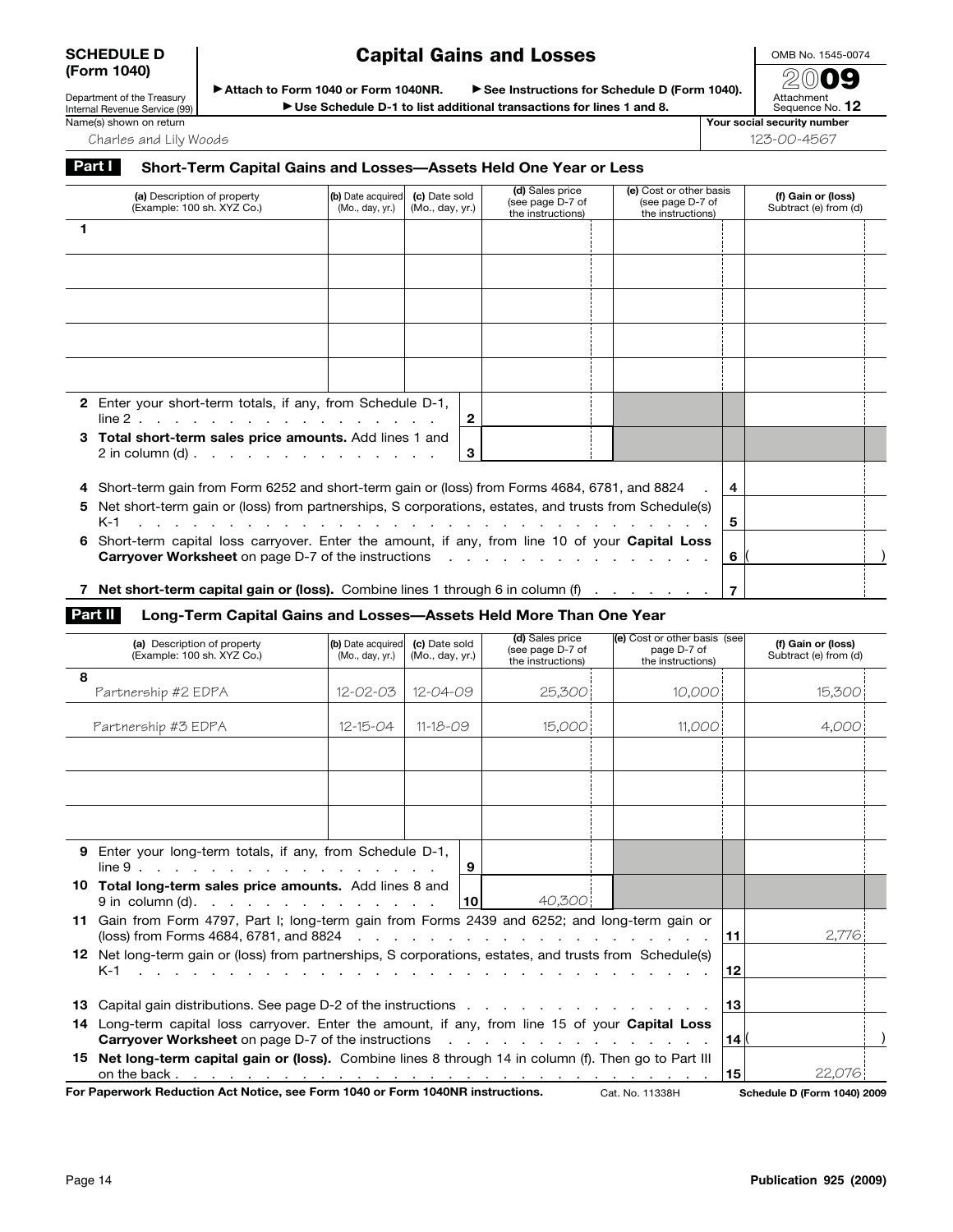## **SCHEDULE D (Form 1040)**

# Department of the Treasury Internal Revenue Service (99)

# Capital Gains and Losses

OMB No. 1545-0074

▶ Attach to Form 1040 or Form 1040NR. ▶ See Instructions for Schedule D (Form 1040).

**Use Schedule D-1 to list additional transactions for lines 1 and 8.** 

**2009** Attachment Sequence No. **12** Name(s) shown on return **Your social security number Your social security number** 

Charles and Lily Woods 123-00-4567

|   | (a) Description of property<br>(Example: 100 sh. XYZ Co.)                                                                                                                                                                                                                                                                             | (b) Date acquired<br>(Mo., day, yr.) | (c) Date sold<br>(Mo., day, yr.) |              | (d) Sales price<br>(see page D-7 of<br>the instructions) | (e) Cost or other basis<br>(see page D-7 of<br>the instructions) |  | (f) Gain or (loss)<br>Subtract (e) from (d) |  |
|---|---------------------------------------------------------------------------------------------------------------------------------------------------------------------------------------------------------------------------------------------------------------------------------------------------------------------------------------|--------------------------------------|----------------------------------|--------------|----------------------------------------------------------|------------------------------------------------------------------|--|---------------------------------------------|--|
|   |                                                                                                                                                                                                                                                                                                                                       |                                      |                                  |              |                                                          |                                                                  |  |                                             |  |
|   |                                                                                                                                                                                                                                                                                                                                       |                                      |                                  |              |                                                          |                                                                  |  |                                             |  |
|   |                                                                                                                                                                                                                                                                                                                                       |                                      |                                  |              |                                                          |                                                                  |  |                                             |  |
|   |                                                                                                                                                                                                                                                                                                                                       |                                      |                                  |              |                                                          |                                                                  |  |                                             |  |
|   |                                                                                                                                                                                                                                                                                                                                       |                                      |                                  |              |                                                          |                                                                  |  |                                             |  |
|   | 2 Enter your short-term totals, if any, from Schedule D-1,<br>$line 2$                                                                                                                                                                                                                                                                |                                      |                                  | $\mathbf{2}$ |                                                          |                                                                  |  |                                             |  |
| 3 | Total short-term sales price amounts. Add lines 1 and<br>$2$ in column (d) $\ldots$ $\ldots$ $\ldots$ $\ldots$ $\ldots$ $\ldots$                                                                                                                                                                                                      |                                      |                                  | 3            |                                                          |                                                                  |  |                                             |  |
| 4 | Short-term gain from Form 6252 and short-term gain or (loss) from Forms 4684, 6781, and 8824                                                                                                                                                                                                                                          |                                      |                                  |              |                                                          |                                                                  |  |                                             |  |
| 5 | Net short-term gain or (loss) from partnerships, S corporations, estates, and trusts from Schedule(s)                                                                                                                                                                                                                                 | 5                                    |                                  |              |                                                          |                                                                  |  |                                             |  |
| 6 | Short-term capital loss carryover. Enter the amount, if any, from line 10 of your Capital Loss<br><b>Carryover Worksheet</b> on page D-7 of the instructions enter the state of the control of the control of the instructions of the control of the control of the control of the control of the control of the control of the contr | 6                                    |                                  |              |                                                          |                                                                  |  |                                             |  |
|   | 7 Net short-term capital gain or (loss). Combine lines 1 through 6 in column (f)                                                                                                                                                                                                                                                      |                                      |                                  |              |                                                          |                                                                  |  |                                             |  |

# **Part II Long-Term Capital Gains and Losses—Assets Held More Than One Year**

|     | (a) Description of property<br>(Example: 100 sh. XYZ Co.)                                                                                                                                                                                                                                                                                                                                                                                                                                                                               | (b) Date acquired<br>(Mo., day, yr.) | (c) Date sold<br>(Mo., day, yr.) | (d) Sales price<br>(see page D-7 of<br>the instructions) | (e) Cost or other basis (see<br>page D-7 of<br>the instructions) |    | (f) Gain or (loss)<br>Subtract (e) from (d) |
|-----|-----------------------------------------------------------------------------------------------------------------------------------------------------------------------------------------------------------------------------------------------------------------------------------------------------------------------------------------------------------------------------------------------------------------------------------------------------------------------------------------------------------------------------------------|--------------------------------------|----------------------------------|----------------------------------------------------------|------------------------------------------------------------------|----|---------------------------------------------|
| 8   | Partnership #2 EDPA                                                                                                                                                                                                                                                                                                                                                                                                                                                                                                                     | $12 - 02 - 03$                       | 12-04-09                         | 25,300                                                   | 10,000                                                           |    | 15,300                                      |
|     |                                                                                                                                                                                                                                                                                                                                                                                                                                                                                                                                         |                                      |                                  |                                                          |                                                                  |    |                                             |
|     | Partnership #3 EDPA                                                                                                                                                                                                                                                                                                                                                                                                                                                                                                                     | $12 - 15 - 04$                       | $11 - 18 - 09$                   | 15,000                                                   | 11,000                                                           |    | 4,000                                       |
|     |                                                                                                                                                                                                                                                                                                                                                                                                                                                                                                                                         |                                      |                                  |                                                          |                                                                  |    |                                             |
|     |                                                                                                                                                                                                                                                                                                                                                                                                                                                                                                                                         |                                      |                                  |                                                          |                                                                  |    |                                             |
|     |                                                                                                                                                                                                                                                                                                                                                                                                                                                                                                                                         |                                      |                                  |                                                          |                                                                  |    |                                             |
|     |                                                                                                                                                                                                                                                                                                                                                                                                                                                                                                                                         |                                      |                                  |                                                          |                                                                  |    |                                             |
|     |                                                                                                                                                                                                                                                                                                                                                                                                                                                                                                                                         |                                      |                                  |                                                          |                                                                  |    |                                             |
|     | 9 Enter your long-term totals, if any, from Schedule D-1,<br>$line 9$ .                                                                                                                                                                                                                                                                                                                                                                                                                                                                 |                                      | 9                                |                                                          |                                                                  |    |                                             |
|     | 10 Total long-term sales price amounts. Add lines 8 and<br>$9$ in column (d). $\therefore$ $\therefore$ $\therefore$ $\therefore$ $\therefore$ $\therefore$ $\therefore$ $\therefore$ $\therefore$ $\therefore$ $\therefore$ $\therefore$ $\therefore$ $\therefore$ $\therefore$ $\therefore$ $\therefore$ $\therefore$ $\therefore$ $\therefore$ $\therefore$ $\therefore$ $\therefore$ $\therefore$ $\therefore$ $\therefore$ $\therefore$ $\therefore$ $\therefore$ $\therefore$ $\therefore$ $\therefore$ $\therefore$ $\therefore$ |                                      | <b>10</b>                        | 40,300                                                   |                                                                  |    |                                             |
|     | 11 Gain from Form 4797, Part I; long-term gain from Forms 2439 and 6252; and long-term gain or                                                                                                                                                                                                                                                                                                                                                                                                                                          |                                      |                                  |                                                          |                                                                  | 11 | 2,776                                       |
|     | 12 Net long-term gain or (loss) from partnerships, S corporations, estates, and trusts from Schedule(s)<br>$K-1$<br>and the company of the company of the company of the company of the company of the company of the company of the company of the company of the company of the company of the company of the company of the company of the comp                                                                                                                                                                                      |                                      | 12                               |                                                          |                                                                  |    |                                             |
|     |                                                                                                                                                                                                                                                                                                                                                                                                                                                                                                                                         |                                      |                                  |                                                          |                                                                  |    |                                             |
| 13. |                                                                                                                                                                                                                                                                                                                                                                                                                                                                                                                                         |                                      | 13                               |                                                          |                                                                  |    |                                             |
|     | 14 Long-term capital loss carryover. Enter the amount, if any, from line 15 of your Capital Loss<br><b>Carryover Worksheet</b> on page D-7 of the instructions enter the state of the state of the state of the state of the state of the state of the state of the state of the state of the state of the state of the state of the st                                                                                                                                                                                                 |                                      | 14 K                             |                                                          |                                                                  |    |                                             |
|     | 15 Net long-term capital gain or (loss). Combine lines 8 through 14 in column (f). Then go to Part III                                                                                                                                                                                                                                                                                                                                                                                                                                  | 15                                   | 22,076                           |                                                          |                                                                  |    |                                             |

**For Paperwork Reduction Act Notice, see Form 1040 or Form 1040NR instructions.** Cat. No. 11338H **Schedule D (Form 1040) 2009**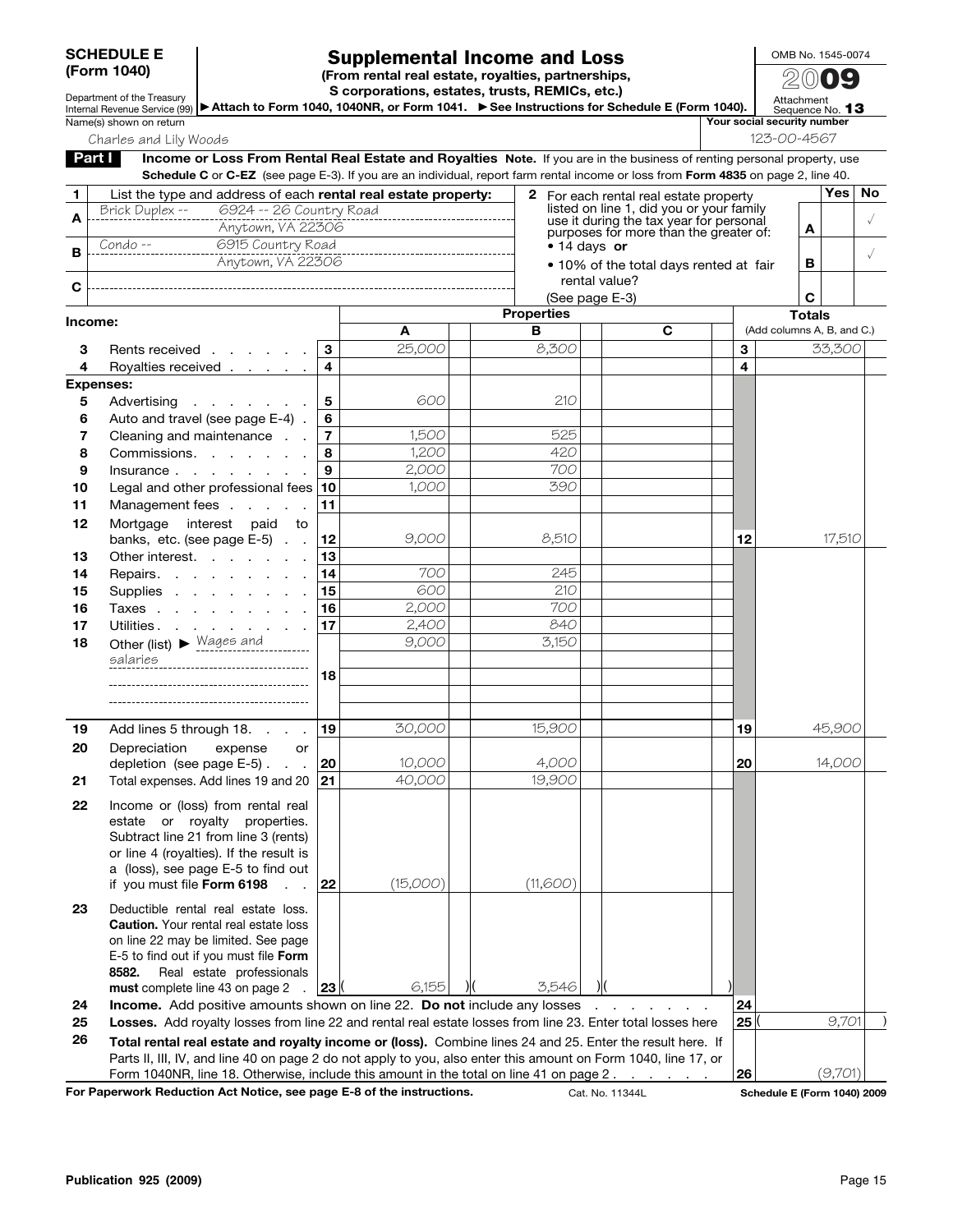# Supplemental Income and Loss

| <b>SCHEDULE E</b>          | <b>Supplemental Income and Loss</b>                                                                                       |  | OMB No. 1545-0074             |  |  |
|----------------------------|---------------------------------------------------------------------------------------------------------------------------|--|-------------------------------|--|--|
| (Form 1040)                | (From rental real estate, royalties, partnerships,                                                                        |  | 2009                          |  |  |
| Department of the Treasury | S corporations, estates, trusts, REMICs, etc.)                                                                            |  | Attachment<br>Sequence No. 13 |  |  |
|                            | Internal Revenue Service (99) ▶ Attach to Form 1040, 1040NR, or Form 1041. ▶ See Instructions for Schedule E (Form 1040). |  |                               |  |  |
| Name(s) shown on return    |                                                                                                                           |  | Your social security number   |  |  |
| Charles and Lily Woods     |                                                                                                                           |  | 123-00-4567                   |  |  |

| 23-00-4567 |  |  |
|------------|--|--|
|            |  |  |

|              | Charles and Lily Woods                                                                                                                                                                                                      |                |                                    |                   |                                                                                   |          | 123-00-4567                                 |           |
|--------------|-----------------------------------------------------------------------------------------------------------------------------------------------------------------------------------------------------------------------------|----------------|------------------------------------|-------------------|-----------------------------------------------------------------------------------|----------|---------------------------------------------|-----------|
|              | Part I<br>Income or Loss From Rental Real Estate and Royalties Note. If you are in the business of renting personal property, use                                                                                           |                |                                    |                   |                                                                                   |          |                                             |           |
| $\mathbf{1}$ | Schedule C or C-EZ (see page E-3). If you are an individual, report farm rental income or loss from Form 4835 on page 2, line 40.<br>List the type and address of each rental real estate property:                         |                |                                    |                   | <b>2</b> For each rental real estate property                                     |          |                                             | Yes   No  |
| A            | 6924 -- 26 Country Road<br>Brick Duplex --                                                                                                                                                                                  |                |                                    |                   | listed on line 1, did you or your family                                          |          |                                             |           |
|              | Anytown, VA 22306                                                                                                                                                                                                           |                |                                    |                   | use it during the tax year for personal<br>purposes for more than the greater of: |          | A                                           | $\sqrt{}$ |
| в            | 6915 Country Road<br>$\overline{Cond}$                                                                                                                                                                                      |                | ---------------------------------- |                   | $\bullet$ 14 days or                                                              |          |                                             | √         |
|              | Anytown, VA 22306                                                                                                                                                                                                           |                |                                    |                   | . 10% of the total days rented at fair                                            |          | В                                           |           |
| С            |                                                                                                                                                                                                                             |                |                                    |                   | rental value?                                                                     |          |                                             |           |
|              |                                                                                                                                                                                                                             |                |                                    | <b>Properties</b> | (See page E-3)                                                                    |          | С                                           |           |
|              | Income:                                                                                                                                                                                                                     |                | A                                  | в                 | С                                                                                 |          | <b>Totals</b><br>(Add columns A, B, and C.) |           |
| 3            | Rents received                                                                                                                                                                                                              | 3              | 25,000                             | 8.300             |                                                                                   | 3        | 33,300                                      |           |
| 4            | Royalties received                                                                                                                                                                                                          | 4              |                                    |                   |                                                                                   | 4        |                                             |           |
|              | <b>Expenses:</b>                                                                                                                                                                                                            |                |                                    |                   |                                                                                   |          |                                             |           |
| 5            | Advertising<br>the contract of the contract of                                                                                                                                                                              | 5              | 600                                | 210               |                                                                                   |          |                                             |           |
| 6            | Auto and travel (see page E-4).                                                                                                                                                                                             | 6              |                                    |                   |                                                                                   |          |                                             |           |
| 7            | Cleaning and maintenance                                                                                                                                                                                                    | $\overline{7}$ | 1,500                              | 525               |                                                                                   |          |                                             |           |
| 8            | Commissions.                                                                                                                                                                                                                | 8              | 1,200                              | 420               |                                                                                   |          |                                             |           |
| 9            | Insurface                                                                                                                                                                                                                   | 9              | 2,000                              | 700               |                                                                                   |          |                                             |           |
| 10           | Legal and other professional fees                                                                                                                                                                                           | 10             | 1,000                              | 390               |                                                                                   |          |                                             |           |
| 11           | Management fees                                                                                                                                                                                                             | 11             |                                    |                   |                                                                                   |          |                                             |           |
| 12           | Mortgage interest paid to                                                                                                                                                                                                   |                |                                    |                   |                                                                                   |          |                                             |           |
|              | banks, etc. (see page E-5).                                                                                                                                                                                                 | 12             | 9.000                              | 8,510             |                                                                                   | 12       | 17,510                                      |           |
| 13<br>14     | Other interest.                                                                                                                                                                                                             | 13<br>14       | 700                                | 245               |                                                                                   |          |                                             |           |
| 15           | Repairs.<br>Supplies                                                                                                                                                                                                        | 15             | 600                                | 210               |                                                                                   |          |                                             |           |
| 16           | Taxes                                                                                                                                                                                                                       | 16             | 2,000                              | 700               |                                                                                   |          |                                             |           |
| 17           | Utilities.                                                                                                                                                                                                                  | 17             | 2,400                              | 840               |                                                                                   |          |                                             |           |
| 18           | Other (list) $\triangleright$ Wages and                                                                                                                                                                                     |                | 9,000                              | 3,150             |                                                                                   |          |                                             |           |
|              | salaries <sub>______________________________</sub> ____                                                                                                                                                                     |                |                                    |                   |                                                                                   |          |                                             |           |
|              |                                                                                                                                                                                                                             | 18             |                                    |                   |                                                                                   |          |                                             |           |
|              | ----------------------------------                                                                                                                                                                                          |                |                                    |                   |                                                                                   |          |                                             |           |
|              |                                                                                                                                                                                                                             |                |                                    |                   |                                                                                   |          |                                             |           |
| 19           | Add lines 5 through 18.                                                                                                                                                                                                     | 19             | 30,000                             | 15,900            |                                                                                   | 19       | 45,900                                      |           |
| 20           | Depreciation<br>expense<br>or                                                                                                                                                                                               |                |                                    |                   |                                                                                   |          |                                             |           |
|              | depletion (see page E-5)                                                                                                                                                                                                    | 20             | 10,000                             | 4,000             |                                                                                   | 20       | 14,000                                      |           |
| 21           | Total expenses. Add lines 19 and 20                                                                                                                                                                                         | 21             | 40,000                             | 19,900            |                                                                                   |          |                                             |           |
| 22           | Income or (loss) from rental real                                                                                                                                                                                           |                |                                    |                   |                                                                                   |          |                                             |           |
|              | estate or royalty properties.                                                                                                                                                                                               |                |                                    |                   |                                                                                   |          |                                             |           |
|              | Subtract line 21 from line 3 (rents)<br>or line 4 (royalties). If the result is                                                                                                                                             |                |                                    |                   |                                                                                   |          |                                             |           |
|              | a (loss), see page E-5 to find out                                                                                                                                                                                          |                |                                    |                   |                                                                                   |          |                                             |           |
|              | if you must file Form 6198                                                                                                                                                                                                  | 22             | (15,000)                           | (11,600)          |                                                                                   |          |                                             |           |
| 23           | Deductible rental real estate loss.                                                                                                                                                                                         |                |                                    |                   |                                                                                   |          |                                             |           |
|              | <b>Caution.</b> Your rental real estate loss                                                                                                                                                                                |                |                                    |                   |                                                                                   |          |                                             |           |
|              | on line 22 may be limited. See page                                                                                                                                                                                         |                |                                    |                   |                                                                                   |          |                                             |           |
|              | E-5 to find out if you must file Form                                                                                                                                                                                       |                |                                    |                   |                                                                                   |          |                                             |           |
|              | 8582.<br>Real estate professionals                                                                                                                                                                                          |                |                                    |                   |                                                                                   |          |                                             |           |
|              | must complete line 43 on page 2                                                                                                                                                                                             | 23             | 6,155                              | 3,546             |                                                                                   |          |                                             |           |
| 24<br>25     | <b>Income.</b> Add positive amounts shown on line 22. Do not include any losses                                                                                                                                             |                |                                    |                   |                                                                                   | 24<br>25 | 9,701                                       |           |
| 26           | Losses. Add royalty losses from line 22 and rental real estate losses from line 23. Enter total losses here                                                                                                                 |                |                                    |                   |                                                                                   |          |                                             |           |
|              | Total rental real estate and royalty income or (loss). Combine lines 24 and 25. Enter the result here. If<br>Parts II, III, IV, and line 40 on page 2 do not apply to you, also enter this amount on Form 1040, line 17, or |                |                                    |                   |                                                                                   |          |                                             |           |
|              | Form 1040NR, line 18. Otherwise, include this amount in the total on line 41 on page 2.                                                                                                                                     |                |                                    |                   |                                                                                   | 26       | (9,701)                                     |           |
|              |                                                                                                                                                                                                                             |                |                                    |                   |                                                                                   |          |                                             |           |

**For Paperwork Reduction Act Notice, see page E-8 of the instructions.** Cat. No. 11344L **Schedule E (Form 1040) 2009**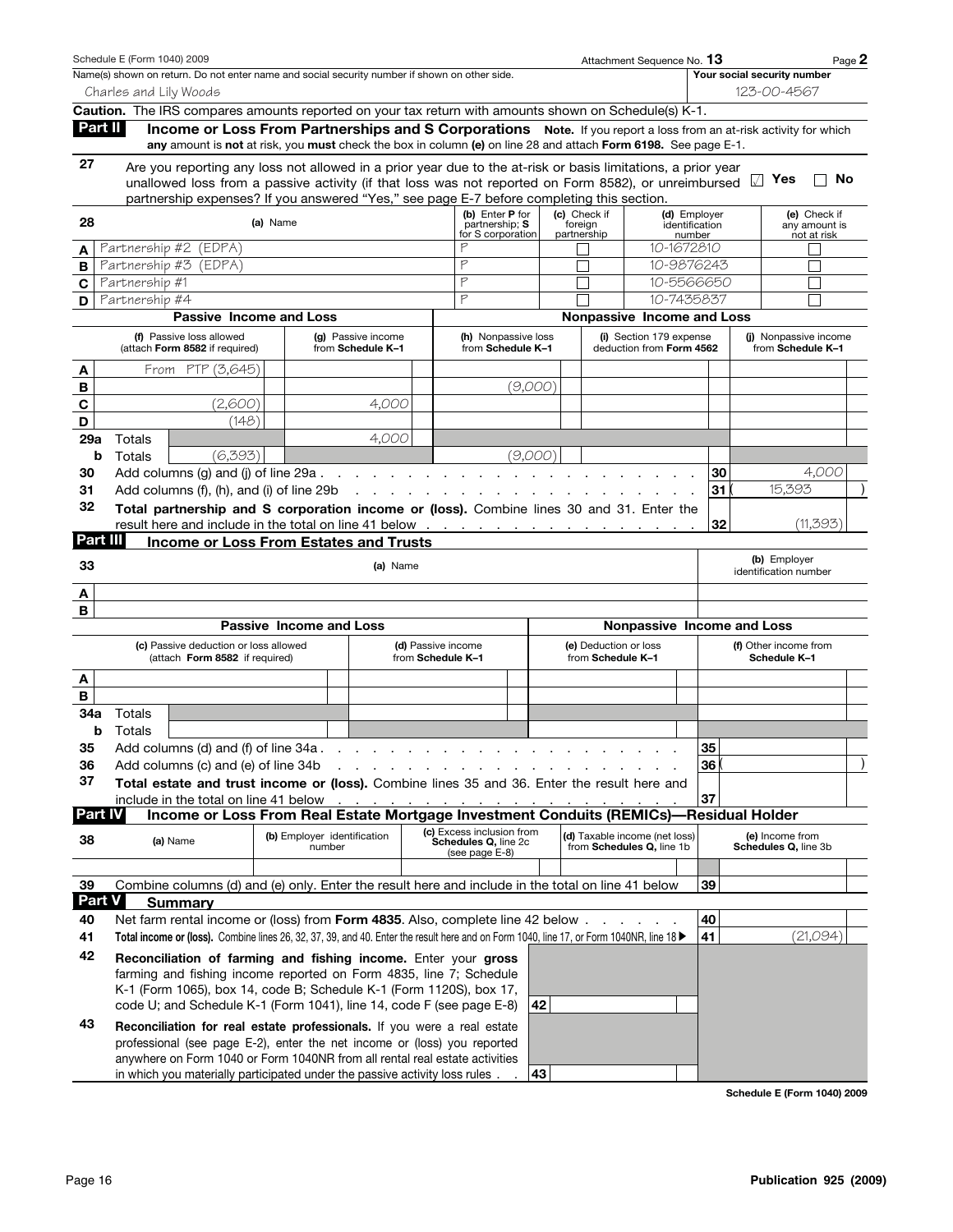|             | Schedule E (Form 1040) 2009                                                                                                               |                                       |                                         |                                         |                                                   |         |                                            | Attachment Sequence No. 13                                 |              |                                            |                               | Page 2 |
|-------------|-------------------------------------------------------------------------------------------------------------------------------------------|---------------------------------------|-----------------------------------------|-----------------------------------------|---------------------------------------------------|---------|--------------------------------------------|------------------------------------------------------------|--------------|--------------------------------------------|-------------------------------|--------|
|             | Name(s) shown on return. Do not enter name and social security number if shown on other side.                                             |                                       |                                         |                                         |                                                   |         |                                            |                                                            |              | Your social security number<br>123-00-4567 |                               |        |
|             | Charles and Lily Woods<br>Caution. The IRS compares amounts reported on your tax return with amounts shown on Schedule(s) K-1.            |                                       |                                         |                                         |                                                   |         |                                            |                                                            |              |                                            |                               |        |
|             | Part II<br>Income or Loss From Partnerships and S Corporations Note. If you report a loss from an at-risk activity for which              |                                       |                                         |                                         |                                                   |         |                                            |                                                            |              |                                            |                               |        |
|             | any amount is not at risk, you must check the box in column (e) on line 28 and attach Form 6198. See page E-1.                            |                                       |                                         |                                         |                                                   |         |                                            |                                                            |              |                                            |                               |        |
| 27          | Are you reporting any loss not allowed in a prior year due to the at-risk or basis limitations, a prior year                              |                                       |                                         |                                         |                                                   |         |                                            |                                                            |              |                                            |                               |        |
|             | unallowed loss from a passive activity (if that loss was not reported on Form 8582), or unreimbursed $\Box$ Yes                           |                                       |                                         |                                         |                                                   |         |                                            |                                                            |              |                                            |                               | No     |
|             | partnership expenses? If you answered "Yes," see page E-7 before completing this section.                                                 |                                       |                                         |                                         |                                                   |         |                                            |                                                            |              |                                            |                               |        |
| 28          |                                                                                                                                           | (a) Name                              |                                         |                                         | (b) Enter P for<br>partnership; S                 |         | (c) Check if<br>foreign                    | identification                                             | (d) Employer |                                            | (e) Check if<br>any amount is |        |
|             | Partnership #2 (EDPA)                                                                                                                     |                                       |                                         |                                         | for S corporation<br>P                            |         | partnership                                | 10-1672810                                                 | number       |                                            | not at risk                   |        |
| A<br>в      | Partnership #3 (EDPA)                                                                                                                     |                                       |                                         |                                         | P                                                 |         |                                            | 10-9876243                                                 |              |                                            |                               |        |
| C           | Partnership #1                                                                                                                            |                                       |                                         |                                         | P                                                 |         |                                            | 10-5566650                                                 |              |                                            |                               |        |
| D           | Partnership #4                                                                                                                            |                                       |                                         |                                         | $\triangleright$                                  |         |                                            | 10-7435837                                                 |              |                                            |                               |        |
|             | <b>Passive Income and Loss</b>                                                                                                            |                                       |                                         |                                         |                                                   |         |                                            | <b>Nonpassive Income and Loss</b>                          |              |                                            |                               |        |
|             | (f) Passive loss allowed<br>(attach Form 8582 if required)                                                                                |                                       | (g) Passive income<br>from Schedule K-1 |                                         | (h) Nonpassive loss<br>from Schedule K-1          |         |                                            | (i) Section 179 expense<br>deduction from Form 4562        |              | (i) Nonpassive income<br>from Schedule K-1 |                               |        |
| A           | From PTP (3,645)                                                                                                                          |                                       |                                         |                                         |                                                   |         |                                            |                                                            |              |                                            |                               |        |
| В           |                                                                                                                                           |                                       |                                         |                                         |                                                   | (9,000) |                                            |                                                            |              |                                            |                               |        |
| $\mathbf C$ | (2,600)                                                                                                                                   |                                       | 4,000                                   |                                         |                                                   |         |                                            |                                                            |              |                                            |                               |        |
| D<br>29a    | (148)<br>Totals                                                                                                                           |                                       | 4.000                                   |                                         |                                                   |         |                                            |                                                            |              |                                            |                               |        |
|             | (6,393)<br>Totals<br>b                                                                                                                    |                                       |                                         |                                         |                                                   | (9,000) |                                            |                                                            |              |                                            |                               |        |
| 30          | Add columns (g) and (j) of line 29a.                                                                                                      |                                       |                                         | and a state of                          |                                                   |         |                                            |                                                            | 30           |                                            | 4,000                         |        |
| 31          | Add columns (f), (h), and (i) of line 29b                                                                                                 |                                       | .                                       |                                         |                                                   |         |                                            |                                                            | 31           | 15,393                                     |                               |        |
| 32          | Total partnership and S corporation income or (loss). Combine lines 30 and 31. Enter the                                                  |                                       |                                         |                                         |                                                   |         |                                            |                                                            |              |                                            |                               |        |
|             | Part III                                                                                                                                  |                                       |                                         |                                         |                                                   |         |                                            |                                                            | 32           |                                            | (11,393)                      |        |
|             | <b>Income or Loss From Estates and Trusts</b>                                                                                             |                                       |                                         |                                         |                                                   |         |                                            |                                                            |              | (b) Employer                               |                               |        |
| 33          |                                                                                                                                           |                                       | (a) Name                                |                                         |                                                   |         |                                            |                                                            |              | identification number                      |                               |        |
| A           |                                                                                                                                           |                                       |                                         |                                         |                                                   |         |                                            |                                                            |              |                                            |                               |        |
| В           |                                                                                                                                           |                                       |                                         |                                         |                                                   |         |                                            |                                                            |              |                                            |                               |        |
|             |                                                                                                                                           | <b>Passive Income and Loss</b>        |                                         |                                         |                                                   |         |                                            | <b>Nonpassive Income and Loss</b>                          |              |                                            |                               |        |
|             | (c) Passive deduction or loss allowed<br>(attach Form 8582 if required)                                                                   |                                       |                                         | (d) Passive income<br>from Schedule K-1 |                                                   |         | (e) Deduction or loss<br>from Schedule K-1 |                                                            |              | (f) Other income from<br>Schedule K-1      |                               |        |
| A           |                                                                                                                                           |                                       |                                         |                                         |                                                   |         |                                            |                                                            |              |                                            |                               |        |
| В           |                                                                                                                                           |                                       |                                         |                                         |                                                   |         |                                            |                                                            |              |                                            |                               |        |
| 34a         | Totals                                                                                                                                    |                                       |                                         |                                         |                                                   |         |                                            |                                                            |              |                                            |                               |        |
|             | Totals<br>b                                                                                                                               |                                       |                                         |                                         |                                                   |         |                                            |                                                            |              |                                            |                               |        |
| 35          | Add columns (d) and (f) of line 34a                                                                                                       |                                       |                                         |                                         |                                                   |         |                                            |                                                            | 35<br>36     |                                            |                               |        |
| 36<br>37    | Add columns (c) and (e) of line 34b<br>Total estate and trust income or (loss). Combine lines 35 and 36. Enter the result here and        |                                       |                                         |                                         |                                                   |         |                                            |                                                            |              |                                            |                               |        |
|             | include in the total on line 41 below                                                                                                     |                                       |                                         |                                         |                                                   |         |                                            |                                                            | 37           |                                            |                               |        |
|             | <b>Part IV</b><br>Income or Loss From Real Estate Mortgage Investment Conduits (REMICs)                                                   |                                       |                                         |                                         |                                                   |         |                                            |                                                            |              | –Residual Holder                           |                               |        |
| 38          | (a) Name                                                                                                                                  | (b) Employer identification<br>number |                                         |                                         | (c) Excess inclusion from<br>Schedules Q, line 2c |         |                                            | (d) Taxable income (net loss)<br>from Schedules Q, line 1b |              | (e) Income from<br>Schedules Q, line 3b    |                               |        |
|             |                                                                                                                                           |                                       |                                         |                                         | (see page E-8)                                    |         |                                            |                                                            |              |                                            |                               |        |
| 39          | Combine columns (d) and (e) only. Enter the result here and include in the total on line 41 below                                         |                                       |                                         |                                         |                                                   |         |                                            |                                                            | 39           |                                            |                               |        |
|             | <b>Part V</b><br><b>Summary</b>                                                                                                           |                                       |                                         |                                         |                                                   |         |                                            |                                                            |              |                                            |                               |        |
| 40          | Net farm rental income or (loss) from Form 4835. Also, complete line 42 below.                                                            |                                       |                                         |                                         |                                                   |         |                                            |                                                            | 40           |                                            |                               |        |
| 41          | Total income or (loss). Combine lines 26, 32, 37, 39, and 40. Enter the result here and on Form 1040, line 17, or Form 1040NR, line 18 ▶  |                                       |                                         |                                         |                                                   |         |                                            |                                                            | 41           |                                            | (21,094)                      |        |
| 42          | Reconciliation of farming and fishing income. Enter your gross                                                                            |                                       |                                         |                                         |                                                   |         |                                            |                                                            |              |                                            |                               |        |
|             | farming and fishing income reported on Form 4835, line 7; Schedule<br>K-1 (Form 1065), box 14, code B; Schedule K-1 (Form 1120S), box 17, |                                       |                                         |                                         |                                                   |         |                                            |                                                            |              |                                            |                               |        |
|             | code U; and Schedule K-1 (Form 1041), line 14, code F (see page E-8)                                                                      |                                       |                                         |                                         |                                                   | 42      |                                            |                                                            |              |                                            |                               |        |
| 43          | Reconciliation for real estate professionals. If you were a real estate                                                                   |                                       |                                         |                                         |                                                   |         |                                            |                                                            |              |                                            |                               |        |
|             | professional (see page E-2), enter the net income or (loss) you reported                                                                  |                                       |                                         |                                         |                                                   |         |                                            |                                                            |              |                                            |                               |        |
|             | anywhere on Form 1040 or Form 1040NR from all rental real estate activities                                                               |                                       |                                         |                                         |                                                   |         |                                            |                                                            |              |                                            |                               |        |
|             | in which you materially participated under the passive activity loss rules.                                                               |                                       |                                         |                                         |                                                   | 43      |                                            |                                                            |              |                                            |                               |        |

**Schedule E (Form 1040) 2009**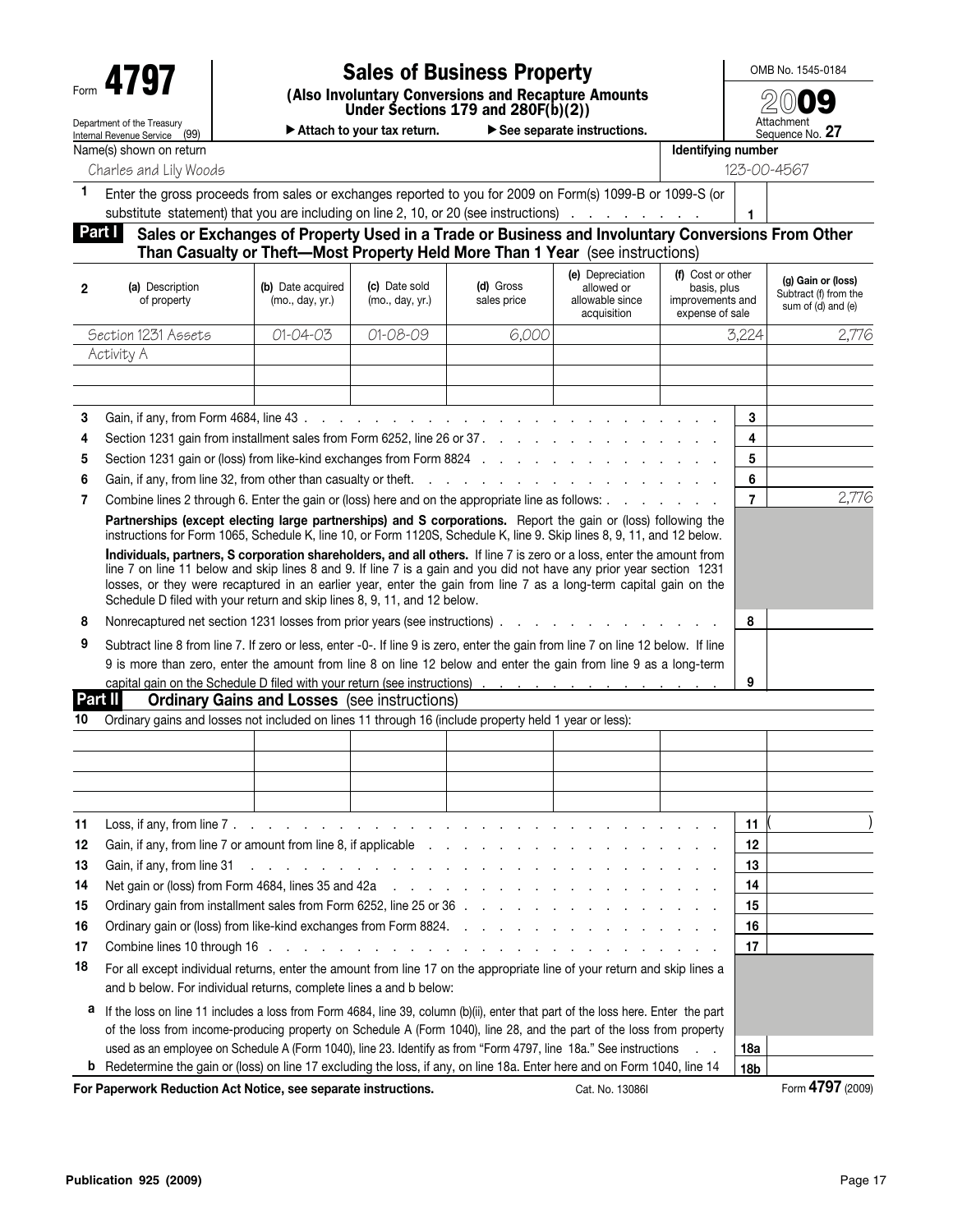Form **4797**

Department of the Treasury Internal Revenue Service (99)

# Sales of Business Property

OMB No. 1545-0184

(Also Involuntary Conversions and Recapture Amounts Under Sections 179 and 280F(b)(2))

▶ Attach to your tax return. ▶ See separate instructions.

Attachment<br>Sequence No. **27 2009** Name(s) shown on return **If the struck of the struck of the struck of the struck of the struck of the struck of the struck of the struck of the struck of the struck of the struck of the struck of the struck of the struck o** 

Charles and Lily Woods 123-00-4567

| <sup>1</sup> Enter the gross proceeds from sales or exchanges reported to you for 2009 on Form(s) 1099-B or 1099-S (or |  |
|------------------------------------------------------------------------------------------------------------------------|--|
| substitute statement) that you are including on line 2, 10, or 20 (see instructions)                                   |  |

### **Sales or Exchanges of Property Used in a Trade or Business and Involuntary Conversions From Other Than Casualty or Theft—Most Property Held More Than 1 Year** (see instructions) **Part I**

| 2       | (a) Description<br>of property                                                                                                                                                                                                                                                                                                                                                                                                                 | (b) Date acquired<br>(mo., day, yr.)         | (c) Date sold<br>(mo., day, yr.) | (d) Gross<br>sales price | (e) Depreciation<br>allowed or<br>allowable since<br>acquisition                                                                                                                                                               | (f) Cost or other<br>basis, plus<br>improvements and<br>expense of sale |                 | (g) Gain or (loss)<br>Subtract (f) from the<br>sum of (d) and (e) |
|---------|------------------------------------------------------------------------------------------------------------------------------------------------------------------------------------------------------------------------------------------------------------------------------------------------------------------------------------------------------------------------------------------------------------------------------------------------|----------------------------------------------|----------------------------------|--------------------------|--------------------------------------------------------------------------------------------------------------------------------------------------------------------------------------------------------------------------------|-------------------------------------------------------------------------|-----------------|-------------------------------------------------------------------|
|         | Section 1231 Assets                                                                                                                                                                                                                                                                                                                                                                                                                            | 01-04-03                                     | 01-08-09                         | 6,000                    |                                                                                                                                                                                                                                |                                                                         | 3,224           | 2,776                                                             |
|         | Activity A                                                                                                                                                                                                                                                                                                                                                                                                                                     |                                              |                                  |                          |                                                                                                                                                                                                                                |                                                                         |                 |                                                                   |
|         |                                                                                                                                                                                                                                                                                                                                                                                                                                                |                                              |                                  |                          |                                                                                                                                                                                                                                |                                                                         |                 |                                                                   |
|         |                                                                                                                                                                                                                                                                                                                                                                                                                                                |                                              |                                  |                          |                                                                                                                                                                                                                                |                                                                         |                 |                                                                   |
| 3       |                                                                                                                                                                                                                                                                                                                                                                                                                                                |                                              |                                  |                          |                                                                                                                                                                                                                                |                                                                         | 3               |                                                                   |
| 4       | Section 1231 gain from installment sales from Form 6252, line 26 or 37.                                                                                                                                                                                                                                                                                                                                                                        |                                              |                                  |                          |                                                                                                                                                                                                                                |                                                                         | 4               |                                                                   |
| 5       | Section 1231 gain or (loss) from like-kind exchanges from Form 8824                                                                                                                                                                                                                                                                                                                                                                            |                                              |                                  |                          |                                                                                                                                                                                                                                |                                                                         | 5               |                                                                   |
| 6       |                                                                                                                                                                                                                                                                                                                                                                                                                                                |                                              |                                  |                          |                                                                                                                                                                                                                                |                                                                         | 6               |                                                                   |
| 7       | Combine lines 2 through 6. Enter the gain or (loss) here and on the appropriate line as follows:                                                                                                                                                                                                                                                                                                                                               |                                              |                                  |                          |                                                                                                                                                                                                                                |                                                                         | $\overline{7}$  | 2,776                                                             |
|         | Partnerships (except electing large partnerships) and S corporations. Report the gain or (loss) following the                                                                                                                                                                                                                                                                                                                                  |                                              |                                  |                          |                                                                                                                                                                                                                                |                                                                         |                 |                                                                   |
|         | instructions for Form 1065, Schedule K, line 10, or Form 1120S, Schedule K, line 9. Skip lines 8, 9, 11, and 12 below.                                                                                                                                                                                                                                                                                                                         |                                              |                                  |                          |                                                                                                                                                                                                                                |                                                                         |                 |                                                                   |
|         | Individuals, partners, S corporation shareholders, and all others. If line 7 is zero or a loss, enter the amount from<br>line 7 on line 11 below and skip lines 8 and 9. If line 7 is a gain and you did not have any prior year section 1231<br>losses, or they were recaptured in an earlier year, enter the gain from line 7 as a long-term capital gain on the<br>Schedule D filed with your return and skip lines 8, 9, 11, and 12 below. |                                              |                                  |                          |                                                                                                                                                                                                                                |                                                                         |                 |                                                                   |
| 8       | Nonrecaptured net section 1231 losses from prior years (see instructions).                                                                                                                                                                                                                                                                                                                                                                     |                                              |                                  |                          | and the company of the company of the company of the company of the company of the company of the company of the company of the company of the company of the company of the company of the company of the company of the comp |                                                                         | 8               |                                                                   |
| 9       | Subtract line 8 from line 7. If zero or less, enter -0-. If line 9 is zero, enter the gain from line 7 on line 12 below. If line                                                                                                                                                                                                                                                                                                               |                                              |                                  |                          |                                                                                                                                                                                                                                |                                                                         |                 |                                                                   |
|         | 9 is more than zero, enter the amount from line 8 on line 12 below and enter the gain from line 9 as a long-term                                                                                                                                                                                                                                                                                                                               |                                              |                                  |                          |                                                                                                                                                                                                                                |                                                                         |                 |                                                                   |
|         | capital gain on the Schedule D filed with your return (see instructions)                                                                                                                                                                                                                                                                                                                                                                       |                                              |                                  |                          |                                                                                                                                                                                                                                |                                                                         | 9               |                                                                   |
| Part II | <b>Ordinary Gains and Losses</b> (see instructions)                                                                                                                                                                                                                                                                                                                                                                                            |                                              |                                  |                          |                                                                                                                                                                                                                                |                                                                         |                 |                                                                   |
| 10      | Ordinary gains and losses not included on lines 11 through 16 (include property held 1 year or less):                                                                                                                                                                                                                                                                                                                                          |                                              |                                  |                          |                                                                                                                                                                                                                                |                                                                         |                 |                                                                   |
|         |                                                                                                                                                                                                                                                                                                                                                                                                                                                |                                              |                                  |                          |                                                                                                                                                                                                                                |                                                                         |                 |                                                                   |
|         |                                                                                                                                                                                                                                                                                                                                                                                                                                                |                                              |                                  |                          |                                                                                                                                                                                                                                |                                                                         |                 |                                                                   |
|         |                                                                                                                                                                                                                                                                                                                                                                                                                                                |                                              |                                  |                          |                                                                                                                                                                                                                                |                                                                         |                 |                                                                   |
|         |                                                                                                                                                                                                                                                                                                                                                                                                                                                |                                              |                                  |                          |                                                                                                                                                                                                                                |                                                                         |                 |                                                                   |
| 11      |                                                                                                                                                                                                                                                                                                                                                                                                                                                |                                              |                                  |                          |                                                                                                                                                                                                                                |                                                                         | 11              |                                                                   |
| 12      | Gain, if any, from line 7 or amount from line 8, if applicable                                                                                                                                                                                                                                                                                                                                                                                 |                                              |                                  |                          |                                                                                                                                                                                                                                |                                                                         | 12              |                                                                   |
| 13      | Gain, if any, from line 31                                                                                                                                                                                                                                                                                                                                                                                                                     | and a series and a series and a series and a |                                  |                          |                                                                                                                                                                                                                                |                                                                         | 13              |                                                                   |
| 14      | Net gain or (loss) from Form 4684, lines 35 and 42a                                                                                                                                                                                                                                                                                                                                                                                            |                                              |                                  |                          |                                                                                                                                                                                                                                |                                                                         | 14              |                                                                   |
| 15      |                                                                                                                                                                                                                                                                                                                                                                                                                                                |                                              |                                  |                          |                                                                                                                                                                                                                                |                                                                         | 15              |                                                                   |
| 16      | Ordinary gain from installment sales from Form 6252, line 25 or 36                                                                                                                                                                                                                                                                                                                                                                             |                                              |                                  |                          |                                                                                                                                                                                                                                |                                                                         |                 |                                                                   |
| 17      |                                                                                                                                                                                                                                                                                                                                                                                                                                                |                                              |                                  |                          |                                                                                                                                                                                                                                |                                                                         | 16<br>17        |                                                                   |
| 18      | For all except individual returns, enter the amount from line 17 on the appropriate line of your return and skip lines a                                                                                                                                                                                                                                                                                                                       |                                              |                                  |                          |                                                                                                                                                                                                                                |                                                                         |                 |                                                                   |
|         | and b below. For individual returns, complete lines a and b below:                                                                                                                                                                                                                                                                                                                                                                             |                                              |                                  |                          |                                                                                                                                                                                                                                |                                                                         |                 |                                                                   |
| a       | If the loss on line 11 includes a loss from Form 4684, line 39, column (b)(ii), enter that part of the loss here. Enter the part                                                                                                                                                                                                                                                                                                               |                                              |                                  |                          |                                                                                                                                                                                                                                |                                                                         |                 |                                                                   |
|         | of the loss from income-producing property on Schedule A (Form 1040), line 28, and the part of the loss from property                                                                                                                                                                                                                                                                                                                          |                                              |                                  |                          |                                                                                                                                                                                                                                |                                                                         |                 |                                                                   |
|         | used as an employee on Schedule A (Form 1040), line 23. Identify as from "Form 4797, line 18a." See instructions                                                                                                                                                                                                                                                                                                                               |                                              |                                  |                          |                                                                                                                                                                                                                                |                                                                         | 18a             |                                                                   |
|         | <b>b</b> Redetermine the gain or (loss) on line 17 excluding the loss, if any, on line 18a. Enter here and on Form 1040, line 14                                                                                                                                                                                                                                                                                                               |                                              |                                  |                          |                                                                                                                                                                                                                                |                                                                         | 18 <sub>b</sub> |                                                                   |

**For Paperwork Reduction Act Notice, see separate instructions.** Cat. No. 13086I Form **4797** (2009)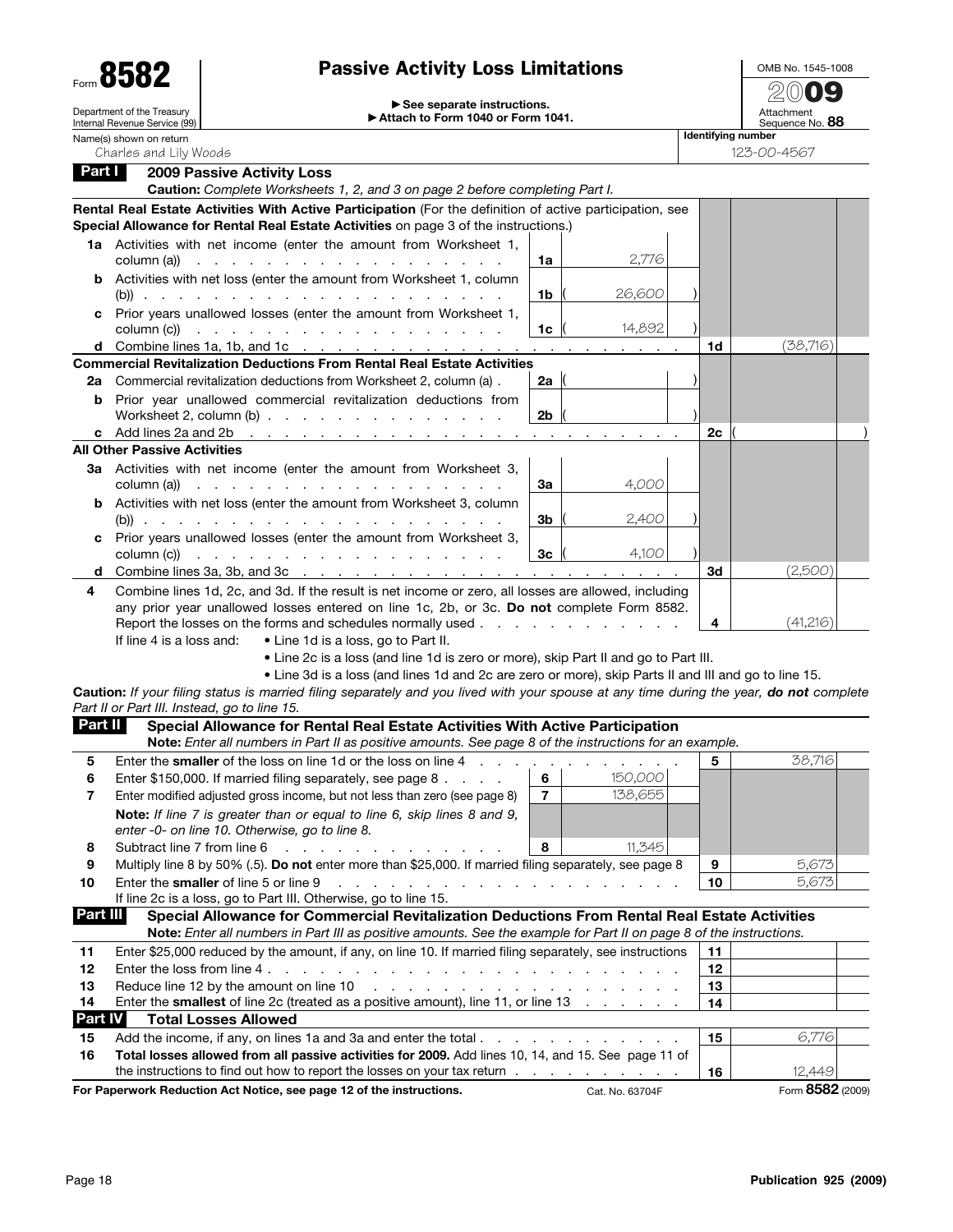|                | Form 8582                                                   | <b>Passive Activity Loss Limitations</b>                                                                                                                                                                                                                                                                                                                                                      |                                 |          | OMB No. 1545-1008             |
|----------------|-------------------------------------------------------------|-----------------------------------------------------------------------------------------------------------------------------------------------------------------------------------------------------------------------------------------------------------------------------------------------------------------------------------------------------------------------------------------------|---------------------------------|----------|-------------------------------|
|                |                                                             |                                                                                                                                                                                                                                                                                                                                                                                               |                                 |          |                               |
|                | Department of the Treasury<br>Internal Revenue Service (99) | See separate instructions.<br>Attach to Form 1040 or Form 1041.                                                                                                                                                                                                                                                                                                                               |                                 |          | Attachment<br>Sequence No. 88 |
|                | Name(s) shown on return                                     |                                                                                                                                                                                                                                                                                                                                                                                               |                                 |          | <b>Identifying number</b>     |
|                | Charles and Lily Woods                                      |                                                                                                                                                                                                                                                                                                                                                                                               |                                 |          | 123-00-4567                   |
| <b>Part I</b>  |                                                             | <b>2009 Passive Activity Loss</b>                                                                                                                                                                                                                                                                                                                                                             |                                 |          |                               |
|                |                                                             | Caution: Complete Worksheets 1, 2, and 3 on page 2 before completing Part I.<br>Rental Real Estate Activities With Active Participation (For the definition of active participation, see                                                                                                                                                                                                      |                                 |          |                               |
|                |                                                             | Special Allowance for Rental Real Estate Activities on page 3 of the instructions.)                                                                                                                                                                                                                                                                                                           |                                 |          |                               |
|                |                                                             | 1a Activities with net income (enter the amount from Worksheet 1,                                                                                                                                                                                                                                                                                                                             |                                 |          |                               |
|                |                                                             | $\text{column (a)}$                                                                                                                                                                                                                                                                                                                                                                           | 2,776<br>1a                     |          |                               |
|                |                                                             | <b>b</b> Activities with net loss (enter the amount from Worksheet 1, column                                                                                                                                                                                                                                                                                                                  | 26,600<br>1b                    |          |                               |
|                |                                                             | c Prior years unallowed losses (enter the amount from Worksheet 1,                                                                                                                                                                                                                                                                                                                            |                                 |          |                               |
|                |                                                             | $\text{column (c)}$ $\ldots$ $\ldots$ $\ldots$ $\ldots$ $\ldots$ $\ldots$ $\ldots$                                                                                                                                                                                                                                                                                                            | 14,892<br>$1c$                  |          |                               |
|                |                                                             |                                                                                                                                                                                                                                                                                                                                                                                               |                                 | 1d       | (38,716)                      |
|                |                                                             | <b>Commercial Revitalization Deductions From Rental Real Estate Activities</b>                                                                                                                                                                                                                                                                                                                |                                 |          |                               |
| 2а             |                                                             | Commercial revitalization deductions from Worksheet 2, column (a).<br>Prior year unallowed commercial revitalization deductions from                                                                                                                                                                                                                                                          | 2a K                            |          |                               |
| b              |                                                             | Worksheet 2, column $(b)$ $\ldots$ $\ldots$ $\ldots$ $\ldots$ $\ldots$ $\ldots$                                                                                                                                                                                                                                                                                                               | $2b$ $\vert$                    |          |                               |
|                |                                                             | c Add lines 2a and 2b $\cdot \cdot \cdot \cdot \cdot \cdot \cdot \cdot$                                                                                                                                                                                                                                                                                                                       | the contract of the contract of | 2c       |                               |
|                | <b>All Other Passive Activities</b>                         |                                                                                                                                                                                                                                                                                                                                                                                               |                                 |          |                               |
|                |                                                             | 3a Activities with net income (enter the amount from Worksheet 3,                                                                                                                                                                                                                                                                                                                             |                                 |          |                               |
|                |                                                             |                                                                                                                                                                                                                                                                                                                                                                                               | 4,000<br>За                     |          |                               |
|                |                                                             | <b>b</b> Activities with net loss (enter the amount from Worksheet 3, column                                                                                                                                                                                                                                                                                                                  | 2,400<br>3b                     |          |                               |
|                |                                                             | Prior years unallowed losses (enter the amount from Worksheet 3,                                                                                                                                                                                                                                                                                                                              |                                 |          |                               |
|                | column (c))                                                 | the contract of the contract of the contract of the contract of                                                                                                                                                                                                                                                                                                                               | 4,100<br>3c                     |          |                               |
| d              |                                                             |                                                                                                                                                                                                                                                                                                                                                                                               |                                 | 3d       | (2,500)                       |
| 4              | If line 4 is a loss and:                                    | Combine lines 1d, 2c, and 3d. If the result is net income or zero, all losses are allowed, including<br>any prior year unallowed losses entered on line 1c, 2b, or 3c. Do not complete Form 8582.<br>Report the losses on the forms and schedules normally used<br>• Line 1d is a loss, go to Part II.<br>• Line 2c is a loss (and line 1d is zero or more), skip Part II and go to Part III. |                                 | 4        | (41,216)                      |
|                |                                                             | . Line 3d is a loss (and lines 1d and 2c are zero or more), skip Parts II and III and go to line 15.                                                                                                                                                                                                                                                                                          |                                 |          |                               |
|                |                                                             | Caution: If your filing status is married filing separately and you lived with your spouse at any time during the year, do not complete                                                                                                                                                                                                                                                       |                                 |          |                               |
| Part II        |                                                             | Part II or Part III. Instead, go to line 15.<br>Special Allowance for Rental Real Estate Activities With Active Participation                                                                                                                                                                                                                                                                 |                                 |          |                               |
|                |                                                             | Note: Enter all numbers in Part II as positive amounts. See page 8 of the instructions for an example.                                                                                                                                                                                                                                                                                        |                                 |          |                               |
| 5              |                                                             | Enter the smaller of the loss on line 1d or the loss on line 4.                                                                                                                                                                                                                                                                                                                               |                                 | 5        | 38,716                        |
| 6              |                                                             | Enter \$150,000. If married filing separately, see page 8.                                                                                                                                                                                                                                                                                                                                    | 150,000<br>6                    |          |                               |
| 7              |                                                             | Enter modified adjusted gross income, but not less than zero (see page 8)                                                                                                                                                                                                                                                                                                                     | 138,655<br>7                    |          |                               |
|                |                                                             | Note: If line 7 is greater than or equal to line 6, skip lines 8 and 9,                                                                                                                                                                                                                                                                                                                       |                                 |          |                               |
| 8              | Subtract line 7 from line 6                                 | enter -0- on line 10. Otherwise, go to line 8.                                                                                                                                                                                                                                                                                                                                                | 11,345<br>8                     |          |                               |
| 9              |                                                             | and the contract of the contract of<br>Multiply line 8 by 50% (.5). Do not enter more than \$25,000. If married filing separately, see page 8                                                                                                                                                                                                                                                 |                                 | 9        | 5,673                         |
| 10             |                                                             | Enter the smaller of line 5 or line 9<br>and the contract of the contract of the                                                                                                                                                                                                                                                                                                              |                                 | 10       | 5,673                         |
|                |                                                             | If line 2c is a loss, go to Part III. Otherwise, go to line 15.                                                                                                                                                                                                                                                                                                                               |                                 |          |                               |
| Part III       |                                                             | Special Allowance for Commercial Revitalization Deductions From Rental Real Estate Activities                                                                                                                                                                                                                                                                                                 |                                 |          |                               |
|                |                                                             | Note: Enter all numbers in Part III as positive amounts. See the example for Part II on page 8 of the instructions.                                                                                                                                                                                                                                                                           |                                 |          |                               |
| 11             |                                                             | Enter \$25,000 reduced by the amount, if any, on line 10. If married filing separately, see instructions                                                                                                                                                                                                                                                                                      |                                 | 11       |                               |
| 12<br>13       | Enter the loss from line 4.                                 | $\sim$<br>Reduce line 12 by the amount on line 10<br>de la caractería de la caractería de la caractería                                                                                                                                                                                                                                                                                       |                                 | 12<br>13 |                               |
| 14             |                                                             | Enter the <b>smallest</b> of line 2c (treated as a positive amount), line 11, or line 13                                                                                                                                                                                                                                                                                                      |                                 | 14       |                               |
| <b>Part IV</b> |                                                             | <b>Total Losses Allowed</b>                                                                                                                                                                                                                                                                                                                                                                   |                                 |          |                               |
| 15             |                                                             | Add the income, if any, on lines 1a and 3a and enter the total                                                                                                                                                                                                                                                                                                                                |                                 | 15       | 6,776                         |
| 16             |                                                             | Total losses allowed from all passive activities for 2009. Add lines 10, 14, and 15. See page 11 of                                                                                                                                                                                                                                                                                           |                                 |          |                               |
|                |                                                             | the instructions to find out how to report the losses on your tax return                                                                                                                                                                                                                                                                                                                      |                                 | 16       | 12,449                        |
|                |                                                             | For Paperwork Reduction Act Notice, see page 12 of the instructions.                                                                                                                                                                                                                                                                                                                          | Cat. No. 63704F                 |          | Form 8582 (2009)              |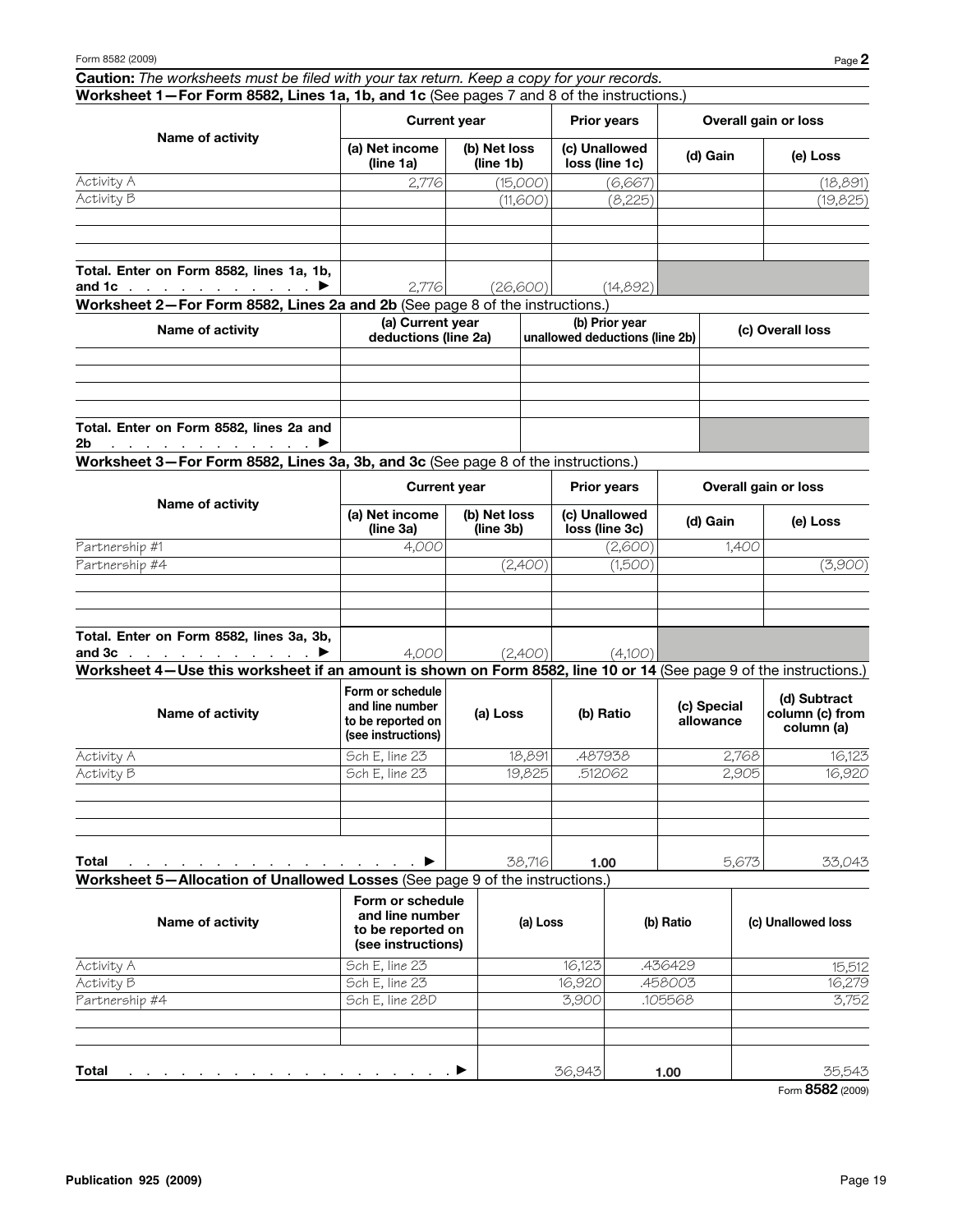| Caution: The worksheets must be filed with your tax return. Keep a copy for your records.<br>Worksheet 1-For Form 8582, Lines 1a, 1b, and 1c (See pages 7 and 8 of the instructions.) |                                                                                |                           |          |                                                  |           |                          |                                               |  |  |  |
|---------------------------------------------------------------------------------------------------------------------------------------------------------------------------------------|--------------------------------------------------------------------------------|---------------------------|----------|--------------------------------------------------|-----------|--------------------------|-----------------------------------------------|--|--|--|
| <b>Name of activity</b>                                                                                                                                                               | <b>Current year</b>                                                            |                           |          | <b>Prior years</b>                               |           | Overall gain or loss     |                                               |  |  |  |
|                                                                                                                                                                                       | (a) Net income<br>(line 1a)                                                    | (b) Net loss<br>(line 1b) |          | (c) Unallowed<br>loss (line 1c)                  |           | (d) Gain                 | (e) Loss                                      |  |  |  |
| Activity A                                                                                                                                                                            | 2,776                                                                          |                           | (15,000) |                                                  | (6,667)   |                          | (18,891)                                      |  |  |  |
| Activity B                                                                                                                                                                            |                                                                                |                           | (11,600) |                                                  | (8,225)   |                          | (19, 825)                                     |  |  |  |
|                                                                                                                                                                                       |                                                                                |                           |          |                                                  |           |                          |                                               |  |  |  |
| Total. Enter on Form 8582, lines 1a, 1b,<br>and 1c $\ldots$ $\ldots$ $\ldots$ $\ldots$                                                                                                | 2.776                                                                          |                           | (26,600) |                                                  | (14,892)  |                          |                                               |  |  |  |
| Worksheet 2-For Form 8582, Lines 2a and 2b (See page 8 of the instructions.)                                                                                                          |                                                                                |                           |          |                                                  |           |                          |                                               |  |  |  |
| Name of activity                                                                                                                                                                      | (a) Current year<br>deductions (line 2a)                                       |                           |          | (b) Prior year<br>unallowed deductions (line 2b) |           | (c) Overall loss         |                                               |  |  |  |
|                                                                                                                                                                                       |                                                                                |                           |          |                                                  |           |                          |                                               |  |  |  |
| Total. Enter on Form 8582, lines 2a and<br>2b                                                                                                                                         |                                                                                |                           |          |                                                  |           |                          |                                               |  |  |  |
| Worksheet 3-For Form 8582, Lines 3a, 3b, and 3c (See page 8 of the instructions.)                                                                                                     |                                                                                |                           |          |                                                  |           |                          |                                               |  |  |  |
|                                                                                                                                                                                       | <b>Current year</b>                                                            |                           |          | <b>Prior years</b>                               |           |                          | <b>Overall gain or loss</b>                   |  |  |  |
| <b>Name of activity</b>                                                                                                                                                               | (a) Net income<br>(line 3a)                                                    | (b) Net loss<br>(line 3b) |          | (c) Unallowed<br>loss (line 3c)                  |           | (d) Gain                 | (e) Loss                                      |  |  |  |
| Partnership #1                                                                                                                                                                        | 4,000                                                                          |                           |          |                                                  | (2,600)   | 1,400                    |                                               |  |  |  |
| Partnership #4                                                                                                                                                                        |                                                                                |                           | (2,400)  |                                                  | (1,500)   |                          | (3,900)                                       |  |  |  |
| Total. Enter on Form 8582, lines 3a, 3b,                                                                                                                                              |                                                                                |                           |          |                                                  |           |                          |                                               |  |  |  |
| and 3c $\ldots$ $\ldots$ $\ldots$ $\ldots$<br>Worksheet 4-Use this worksheet if an amount is shown on Form 8582, line 10 or 14 (See page 9 of the instructions.)                      | 4,000                                                                          |                           | (2,400)  |                                                  | (4,100)   |                          |                                               |  |  |  |
|                                                                                                                                                                                       | Form or schedule                                                               |                           |          |                                                  |           |                          |                                               |  |  |  |
| <b>Name of activity</b>                                                                                                                                                               | and line number<br>to be reported on<br>(see instructions)                     | (a) Loss                  |          | (b) Ratio                                        |           | (c) Special<br>allowance | (d) Subtract<br>column (c) from<br>column (a) |  |  |  |
| Activity A                                                                                                                                                                            | Sch E, line 23                                                                 |                           | 18,891   | .487938                                          |           | 2,768                    | 16,123                                        |  |  |  |
| Activity B                                                                                                                                                                            | Sch E, line 23                                                                 |                           | 19,825   | .512062                                          |           | 2,905                    | 16,920                                        |  |  |  |
| Total                                                                                                                                                                                 |                                                                                |                           | 38,716   | 1.00                                             |           | 5,673                    | 33,043                                        |  |  |  |
| Worksheet 5-Allocation of Unallowed Losses (See page 9 of the instructions.)                                                                                                          |                                                                                |                           |          |                                                  |           |                          |                                               |  |  |  |
| Name of activity                                                                                                                                                                      | Form or schedule<br>and line number<br>to be reported on<br>(see instructions) |                           | (a) Loss |                                                  | (b) Ratio |                          | (c) Unallowed loss                            |  |  |  |
| Activity A                                                                                                                                                                            | Sch E, line 23                                                                 |                           |          | 16,123                                           | .436429   |                          | 15,512                                        |  |  |  |
| Activity B                                                                                                                                                                            | Sch E, line 23                                                                 |                           |          | 16,920                                           | .458003   |                          | 16,279                                        |  |  |  |
| Partnership #4                                                                                                                                                                        | Sch E, line 28D                                                                |                           |          | 3,900                                            | .105568   |                          | 3,752                                         |  |  |  |
| <b>Total</b>                                                                                                                                                                          |                                                                                |                           |          | 36,943                                           | 1.00      |                          | 35,543                                        |  |  |  |

Form **8582** (2009)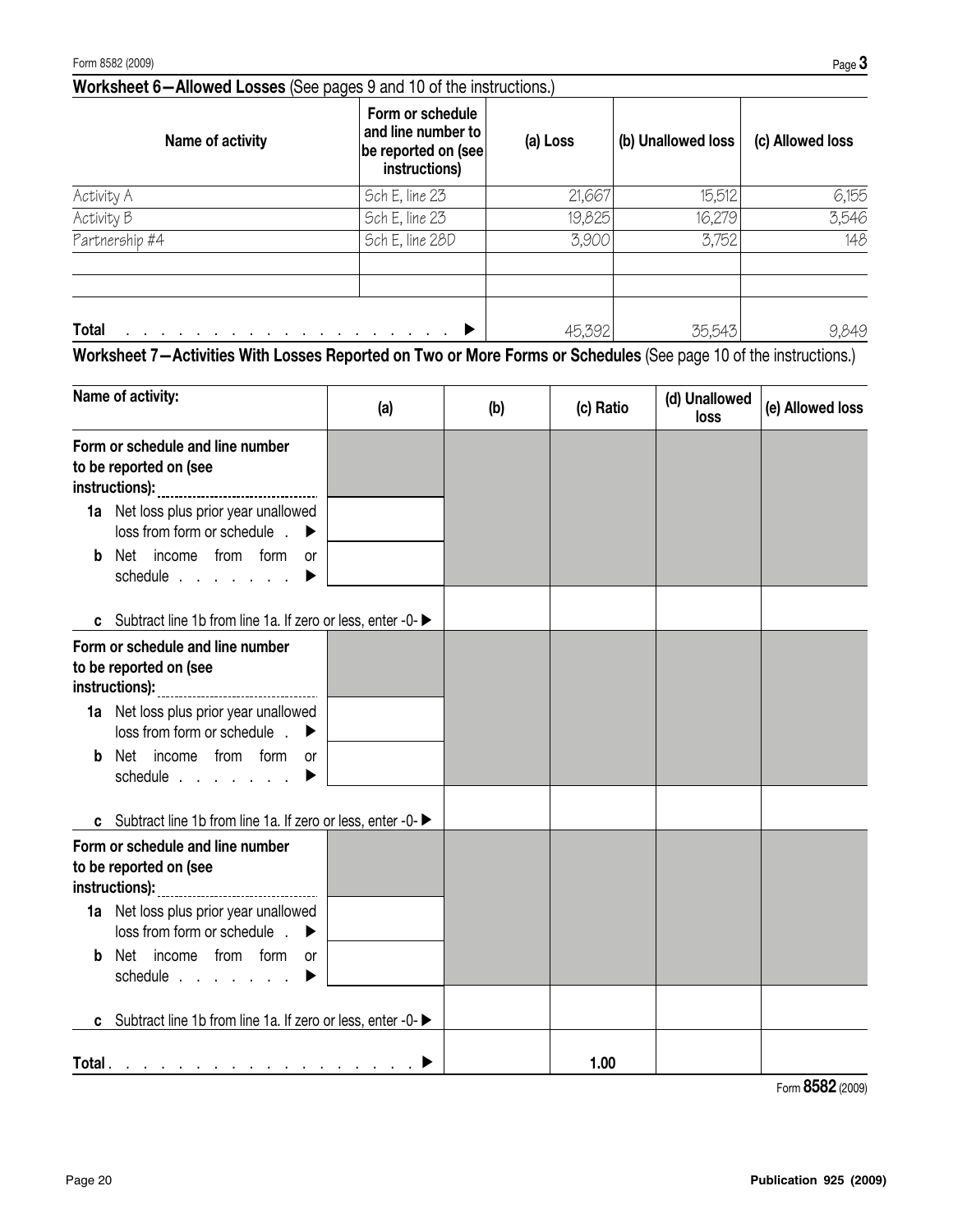# **Worksheet 6—Allowed Losses** (See pages 9 and 10 of the instructions.)

| Name of activity | Form or schedule<br>and line number to<br>be reported on (see<br>instructions) | (a) Loss | (b) Unallowed loss | (c) Allowed loss |
|------------------|--------------------------------------------------------------------------------|----------|--------------------|------------------|
| Activity A       | Sch E, line 23                                                                 | 21,667   | 15,512             | 6,155            |
| Activity B       | Sch E, line 23                                                                 | 19,825   | 16,279             | 3,546            |
| Partnership #4   | Sch E, line 28D                                                                | 3,900    | 3,752              | 148              |
|                  |                                                                                |          |                    |                  |
| <b>Total</b>     |                                                                                | 45,392   | 35,543             | 9,849            |

**Worksheet 7—Activities With Losses Reported on Two or More Forms or Schedules** (See page 10 of the instructions.)

| Name of activity:                                                                                                  | (a) | (b) | (c) Ratio | (d) Unallowed<br>loss | (e) Allowed loss |
|--------------------------------------------------------------------------------------------------------------------|-----|-----|-----------|-----------------------|------------------|
| Form or schedule and line number<br>to be reported on (see<br>instructions):<br>__________________________________ |     |     |           |                       |                  |
| 1a Net loss plus prior year unallowed<br>$loss from form or schedule$ .<br>Net income from form<br>b<br>or         |     |     |           |                       |                  |
| schedule<br>▶<br>c Subtract line 1b from line 1a. If zero or less, enter -0- ▶                                     |     |     |           |                       |                  |
| Form or schedule and line number<br>to be reported on (see<br>instructions):                                       |     |     |           |                       |                  |
| 1a Net loss plus prior year unallowed<br>$loss from form or schedule$ .                                            |     |     |           |                       |                  |
| Net income from form or<br>b<br>schedule<br>▶                                                                      |     |     |           |                       |                  |
| c Subtract line 1b from line 1a. If zero or less, enter -0- ▶                                                      |     |     |           |                       |                  |
| Form or schedule and line number<br>to be reported on (see                                                         |     |     |           |                       |                  |
| 1a Net loss plus prior year unallowed<br>loss from form or schedule . ▶                                            |     |     |           |                       |                  |
| Net income from form<br>b<br>or<br>schedule<br>▶                                                                   |     |     |           |                       |                  |
| c Subtract line 1b from line 1a. If zero or less, enter -0- ▶                                                      |     |     |           |                       |                  |
|                                                                                                                    |     |     | 1.00      |                       | $5 - 0$          |

Form **8582** (2009)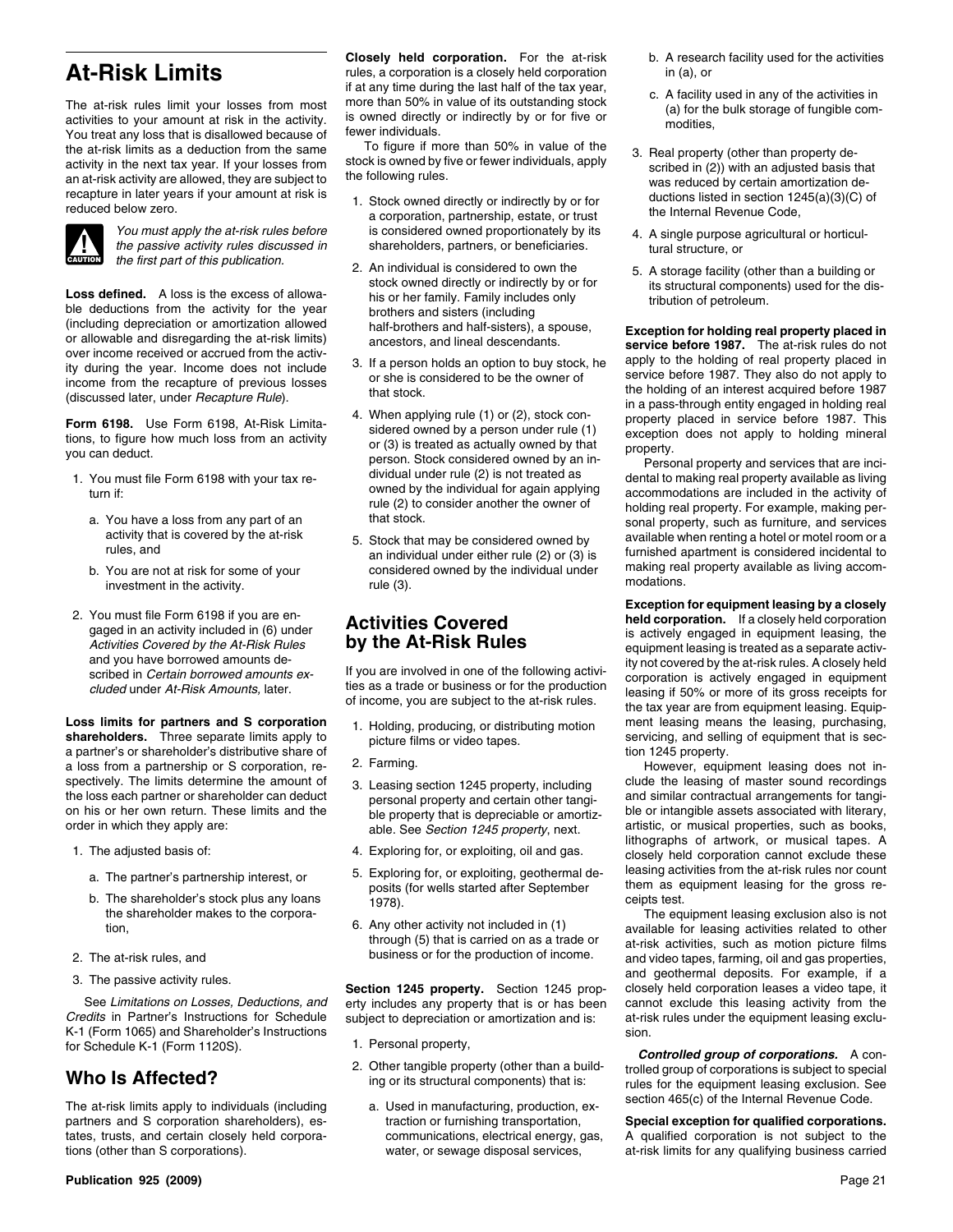You treat any loss that is disallowed because of fewer individuals.<br>the at-risk limits as a deduction from the same. To figure if more than 50% in value of the the at-risk limits as a deduction from the same<br>activity in the next tax year. If your losses from stock is owned by five or fewer individuals, apply<br>an at-risk activity are allowed, they are subject to the following rules



the first part of this publication.

- -
	- investment in the activity.
- 

**Loss limits for partners and S corporation** 1. Holding, producing, or distributing motion ment leasing means the leasing, purchasing, **shareholders.** Three separate limits apply to picture films or video tapes. servicing,

- -
	- b. The shareholder's stock plus any loans the contract of the shareholder's stock plus any loans 1978).<br>The equipment leasing exclusion also is not the shareholder makes to the corpora-
- 
- 

K-1 (Form 1065) and Shareholder's Instructions<br>for Schedule K-1 (Form 1120S). Sinne State Schedule K-1 (Form 1120S).

partners and S corporation shareholders), es- traction or furnishing transportation, **Special exception for qualified corporations.** tates, trusts, and certain closely held corpora- communications, electrical energy, gas, A qualified corporation is not subject to the tions (other than S corporations). water, or sewage disposal services, at-risk limits for any qualifying business carried

- You must apply the at-risk rules before is considered owned proportionately by its 4. A single purpose agricultural or horticul-<br>the passive activity rules discussed in shareholders, partners, or beneficiaries.
- Exception for holding real property placed in<br>the district of the section of the section of the districtions from the activity for the year<br>(including depreciation or amortization allowed the district of the dis-<br>over inco
	-
- Form of the year. Income does not include<br>
income from the recapture of previous losses<br>
(discussed later, under Recapture Rule).<br>
The year. Income does not include<br>
(discussed later, under Recapture Rule).<br>
The state stat
	- b. You are not at risk for some of your considered owned by the individual under making real investment in the activity.

- 
- 
- 
- 
- 
- 

See Limitations on Losses, Deductions, and erty includes any property that is or has been cannot exclude this leasing activity from the Credits in Partner's Instructions for Schedule subject to depreciation or amortization subject to depreciation or amortization and is: at-risk rules under the equipment leasing exclu-

- 
- 
- The at-risk limits apply to individuals (including a. Used in manufacturing, production, ex-<br>
Section 465(c) of the Internal Revenue Code.
- **Closely held corporation.** For the at-risk b. A research facility used for the activities
	-
	-
	-
	-

rule (2) to consider another the owner of bolding real property. For example, making per-<br>sonal property, such as furniture, and services<br>activity that is covered by the at-risk and services are sonal property, such as fur activity that is covered by the at-risk  $\begin{array}{r} 5. \text{Stock that may be considered owned by} \end{array}$  available when renting a hotel or motel room or a rules, and  $\begin{array}{r} \text{and} \end{array}$ an individual under either rule (2) or (3) is furnished apartment is considered incidental to considered owned by the individual under  $\frac{1}{2}$  making real property available as living accom-

2. You must file Form 6198 if you are en-<br>gaged in an activity included in (6) under<br>Activities Covered by the At-Risk Rules<br>and you have borrowed amounts de-<br>scribed in *Certain borrowed amounts ex*-<br>cluded under At-Risk

spectively. The limits determine the amount of and singlection 1245 property, including clude the leasing of master sound recordings<br>the loss each partner or shareholder can deduct personal property and certain other tangi lithographs of artwork, or musical tapes. A<br>1. The adjusted basis of: 4. Exploring for, or exploiting, oil and gas.<br>1. The partner's partnership interest or 4. Exploring for or exploiting geothermal de-<br>1. The partner's pa a. The partner's partnership interest, or b. Exploring for, or exploiting, geothermal de-<br>b. The shareholder's stock plus any loans and the started after September them as equipment leasing for the gross re-<br>b. The shareho

tion,<br>
6. Any other activity not included in (1)<br>
through (5) that is carried on as a trade or<br>
through (5) that is carried on as a trade or<br>
business or for the production of income.<br>
and video tanes farming oil and gas p 2. The at-risk rules, and business or for the production of income. and video tapes, farming, oil and gas properties, and geothermal deposits. For example, if a<br>**3.** Section 1245 property. Section 1245 prop- closely held corporation leases a video tape, it<br>See Limitations on Losses, Deductions, and erty includes any property that is or ha

for Schedule K-1 (Form 1120S).<br>**2. Other tangible property (other than a build- Controlled group of corporations.** A con-<br>2. Other tangible property (other than a build- trolled group of corporations is subject to specia <sup>2.</sup> Other tangible property (other than a build-<br>ing or its structural components) that is: rules for the equipment leasing exclusion. See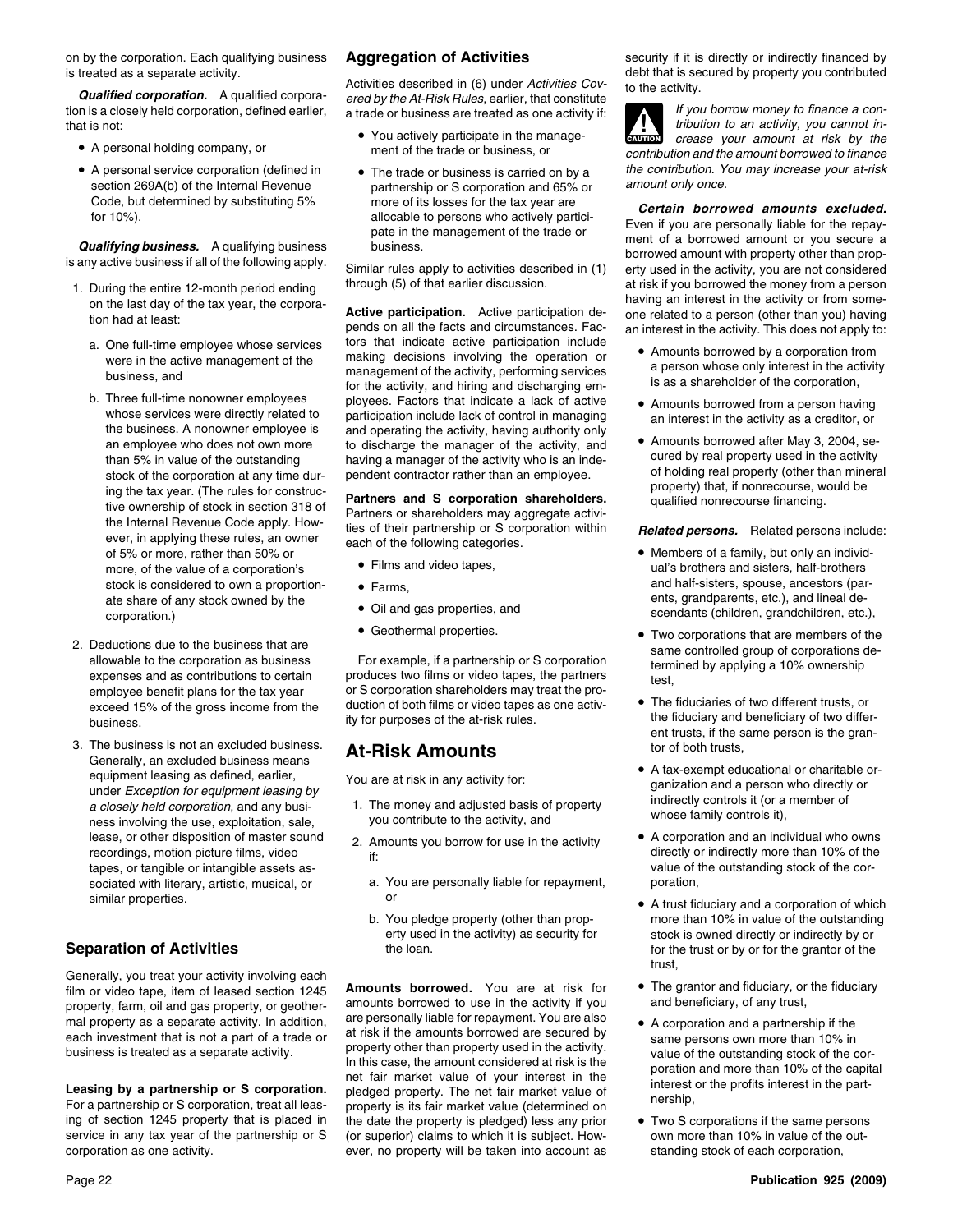tion is a closely held corporation, defined earlier,  $\alpha$  trade or business are treated as one activity if:<br>that is not:

- A personal holding company, or
- 

- -
	- stock of the corporation at any time dur-<br>ing the tax year. (The rules for construc-<br>tive ownership of stock in section 318 of<br>the Internal Revenue Code apply. How-<br>ever, in applying these rules, an owner<br>of 5% or more, ra ate share of any stock owned by the entity of and gas properties, and corporation.)
- business. the final business of the at-risk rules.
- 3. The business is not an excluded business. **At-Risk Amounts** tor of both trusts, Generally, an excluded business means<br>equipment leasing as defined, earlier,  $\frac{M}{V}$  are at risk in any activity for:<br>equipment leasing as defined, earlier,  $\frac{M}{V}$  are at risk in any activity for: equipment leasing as defined, earlier,<br>
under *Exception for equipment leasing by*<br>
a *closely held corporation*, and any busi-<br>
a *closely held corporation*, and any busi-<br>
ness involving the use, exploitation, sale, you tapes, or tangible or intangible assets assimilar properties. The state of the state of the state of the state of the state of the state of the state of

Generally, you treat your activity involving each Amounts borrowed. You are at risk for **•** The grantor and fiduciary, or the fiduciary film or video tape, item of leased section 1245 **Amounts borrowed**. You are at risk for • The grantor and fiduciary, or the fiduciary re property, farm, oil and gas property, or geother-<br>amounts borrowed to use in the activity trust of any trust of any trust of any trust, the activity if you<br>and property as a separate activity. In addition are personally li

is treated as a separate activity.<br> **Activities described in** (6) under Activities Coveraged by property you contributed<br> **Cualified corporation.** A qualified corporation of a qualified corporation of a qualified corporat

- You actively participate in the manage-
- section 269A(b) of the Internal Revenue partnership or S corporation and 65% or amount only once.<br>Code, but determined by substituting 5% more of its losses for the tax year are

a. One full-time employee whose services tors that indicate active participation include a. One fun-time employee whose services<br>were in the active management of the<br>business, and<br>b. Three full-time nonowner employees<br>b. Three full-time nonowner employees<br>b. Three full-time nonowner employees<br>b. Three full-tim Three full-time nonowner employees ployees. Factors that indicate a lack of active • Amounts borrowed from a person having<br>whose services were directly related to participation include lack of control in managing whose services were directly related to participation include lack of control in managing an interest in the activity as a creditor, or<br>the business. A nonowner employee is and operating the activity, having authority only an employee who does not own more to discharge the manager of the activity, and Amounts borrowed after May 3, 2004, se-<br>than 5% in value of the outstanding having a manager of the activity who is an inde-<br>stock of the corp

- 
- 
- 
- Geothermal properties. •

employee benefit plans for the tax year or S corporation shareholders may treat the proexceed 15% of the gross income from the duction of both films or video tapes as one activ-<br>business the fiduciaries of two different trusts, or<br>husiness the at-risk rules.

- 
- 
- sociated with literary, artistic, musical, or a. You are personally liable for repayment, poration,
	-

mal property as a separate activity. In addition, are personally liable for repayment. You are also<br>each investment that is not a part of a trade or<br>business is treated as a separate activity.<br>business is treated as a sepa ing of section 1245 property that is placed in the date the property is pledged) less any prior • Two S corporations if the same persons service in any tax year of the partnership or S (or superior) claims to which it is s (or superior) claims to which it is subject. How- own more than 10% in value of the outcorporation as one activity. ever, no property will be taken into account as standing stock of each corporation,

on by the corporation. Each qualifying business **Aggregation of Activities** security if it is directly or indirectly financed by

tribution to an activity, you cannot in-You actively participate in the manage-<br>ment of the trade or business, or example contribution and the amount borrowed to finance **!** contribution and the amount borrowed to finance  $\bullet$  A personal service corporation (defined in  $\bullet$  The trade or business is carried on by a  $\qquad$  the contribution. You may increase your at-risk

Code, but determined by substituting 5% more of its losses for the tax year are<br>for 10%).<br>**Qualifying business.** A qualifying business are the management of the trade or<br>sany active business if all of the following apply.<br> 1. During the entire 12-month period ending through (5) of that earlier discussion. at risk if you borrowed the money from a person<br>on the last day of the tax year, the corpora-<br>tion had at least:<br>pends on all the facts an

- 
- 
- Amounts borrowed after May 3, 2004, se-

- more, of the value of a corporation's **•** Films and video tapes, ual's brothers and sisters, half-brothers stock is considered to own a proportion-<br>ate share of any stock owned by the and half-sisters, spouse, and half-sisters, spouse, ancestors (par-<br>ate share of any stock owned by the scendants (children, grandchildren, etc.),
- 2. Deductions due to the business that are<br>allowable to the corporation as business<br>expenses and as contributions to certain produces two films or video tapes, the partners<br>expenses and as contributions to certain produces
	- ent trusts, if the same person is the gran-
	-
	- lease, or other disposition of master sound each output of master sound and an individual who owns recordings, motion picture films, video if:<br>
	if:<br>
	tapes, or tangible or intangible assets as-<br>
	value of the outstanding sto
- A trust fiduciary and a corporation of which b. You pledge property (other than prop- more than 10% in value of the outstanding erty used in the activity) as security for stock is owned directly or indirectly by or<br>for the trust or by or for the graphor of the **Separation of Activities** the loan. The loan. The trust or by or for the grantor of the grantor of the grantor of the grantor of the grantor of the grantor of the grantor of the grantor of the grantor of the grantor of th trust,
	-
	-
	-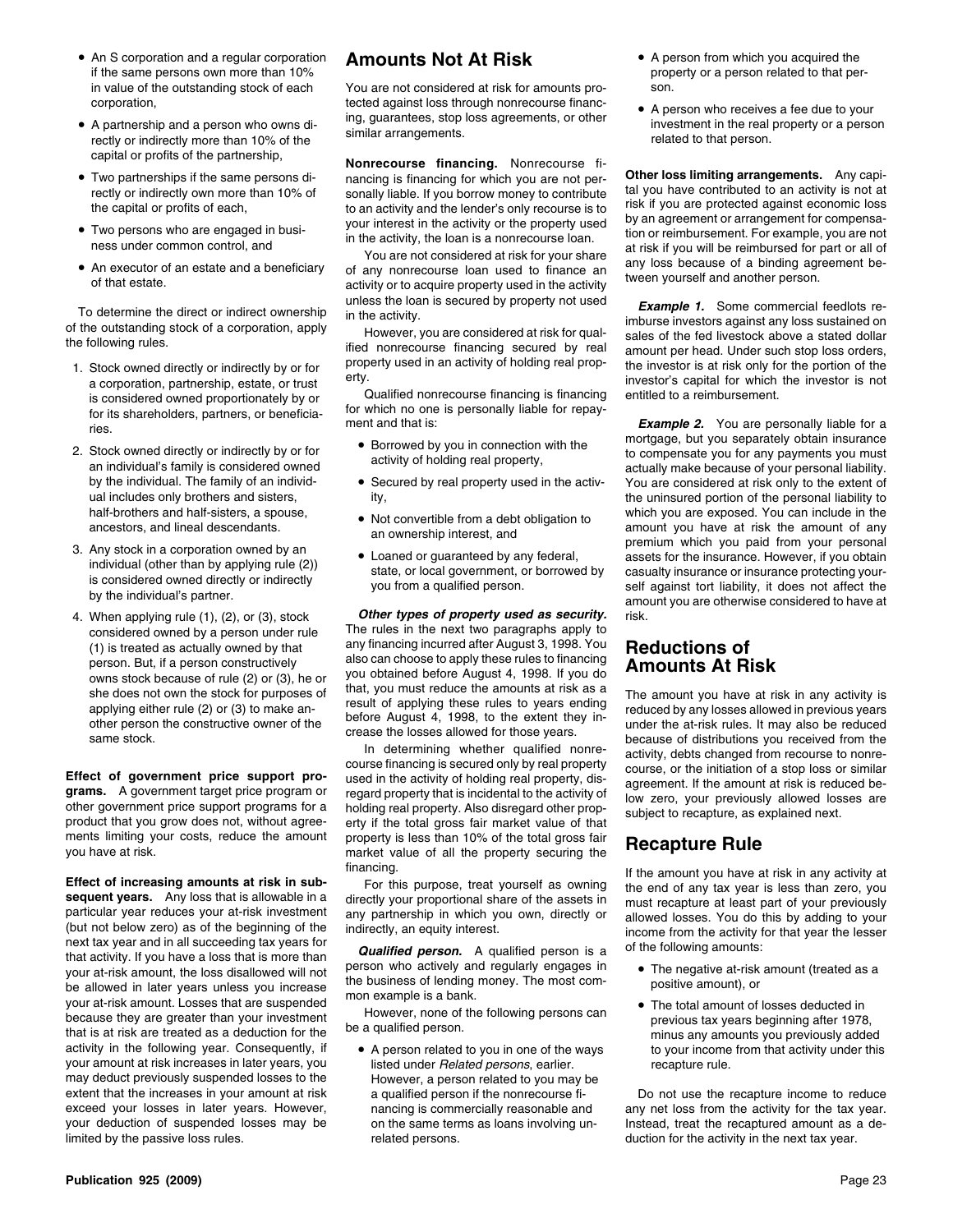- An S corporation and a regular corporation **Amounts Not At Risk** A person from which you acquired the if the same persons own more than 10% property or a person related to that per-
- A partnership and a person who owns di-<br>rectly or indirectly more than 10% of the real similar arrangements. rectly or indirectly more than 10% of the
- Two partnerships if the same persons di-
- 
- 

- 
- 
- 
- 

Effect of increasing amounts at risk in sub-<br>
sequent years. Any loss that is allowable in a<br>
particular year reduces your at-risk investment<br>
(but not below zero) as of the beginning of the<br>
next tax year and in all succe that activity. If you have a loss that is more than<br>your at-risk amount, the loss disallowed will not<br>be allowed in later years unless you increase<br>the business of lending money. The most com-<br>positive amount), or the business of lending money. The most com-<br>
your at-risk amount. Losses that are suspended mon example is a bank.<br>
because they are greater than your investment<br>
However, none of the following persons can<br>
example is a b because they are greater than your investment<br>that is at risk are treated as a deduction for the the a qualified person.<br>activity in the following year. Consequently, if  $\bullet$  A person related to you in one of the ways that your amount at risk increases in later years, you listed under Related persons, earlier. The recapture rule. may deduct previously suspended losses to the However, a person related to you may be extent that the increases in your amount at risk a qualified person if the nonrecourse fiexceed your losses in later years. However, eancing is commercially reasonable and any net loss from the activity for the tax year.

in value of the outstanding stock of each You are not considered at risk for amounts pro- son. corporation, tected against loss through nonrecourse finance A person who receives a fee due to your ing, guarantees, stop loss agreements, or other<br>similar arrangements.<br>investment in the real property or a person

capital or profits of the partnership, **Nonrecourse financing.** Nonrecourse fi- • Two partnerships if the same persons di-<br>rectly or indirectly when more than 10% of sonally liable. If you borrow money to contribute<br>the capital or profits of each,<br>a contribute the capital or profits of each,<br>a contrib

An executor of an estate and a beneficiary of any nonrecourse loan used to finance an any loss because of a binding agreem of that estate.

is considered owned proportionately by or Cualified nonrecourse financing is financing centitled to a reimbursement.<br>for its shareholders, partners, or beneficia for which no one is personally liable for repay-<br>ries. **Exam** 

- 
- 
- 
- 

4. When applying rule (1), (2), or (3), stock **Other types of property used as security.** risk.<br>
considered owned by a person under rule The rules in the next two paragraphs apply to considered owned by a person under rule<br>
(1) is treated as actually owned by that any financing incurred after August 3, 1998. You<br>
person. But, if a person constructively also can choose to apply these rules to financing

ments limiting your costs, reduce the amount property is less than 10% of the total gross fair **Recapture Rule** you have at risk.

- 
- 

• Two persons who are engaged in busi-<br>
in the activity, the loan is a nonrecourse loan.<br>
The activity, the loan is a nonrecourse loan.<br>
You are not considered at risk for your share<br>
The activity, the loan is a nonrecours

To determine the direct or indirect ownership<br>of the outstanding stock of a corporation, apply<br>the activity.<br>In the activity.<br>In the activity.<br>In the activity.<br>In the activity.<br>In the activity.<br>In the activity.<br>In the acti

• Borrowed by you in connection with the mortgage, but you separately obtain insurance 2. Stock owned directly or indirectly by or for<br>an individual's family is considered owned<br>by the individual. The family of an individual owned<br>by the individual. The family of an individual of the Secured by real property by the individual. The family of an individ-<br>ual includes only brothers and sisters, ity, it is extent of the personal liability to ity, the uninsured portion of the personal liability to the sisters, its state of the personal liability to half-brothers and half-sisters, a spouse,<br>an exposed. You can include in the ancestors, and lineal descendants.<br>an ownership interect and ear of amount you have at risk the amount of any ancestors, and lineal descendants.<br>
and interest, and an ownership interest, and an ownership interest, and an ownership interest, and an ownership interest, and premium which you have at risk the amount of any factors, an Figure 1.1 a corporation owned by and the corporation of the insurance. However, if you obtained windividual (other than by applying rule (2)) since the insurance or insurance or insurance protecting your-<br>is considered ow

owns stock because of rule (2) or (3), he or<br>she does not own the stock for purposes of that, you under the amounts at risk as a<br>applying either rule (2) or (3) to make an-<br>applying these rules to years ending<br>applying the

- 
- A person related to you in one of the ways to your income from that activity under this listed under Related persons, earlier, recapture rule.

Do not use the recapture income to reduce your deduction of suspended losses may be on the same terms as loans involving un-<br>
limited by the passive loss rules.<br>
Inited by the passive loss rules.<br>
Inited by the passive loss rules. duction for the activity in the next tax year.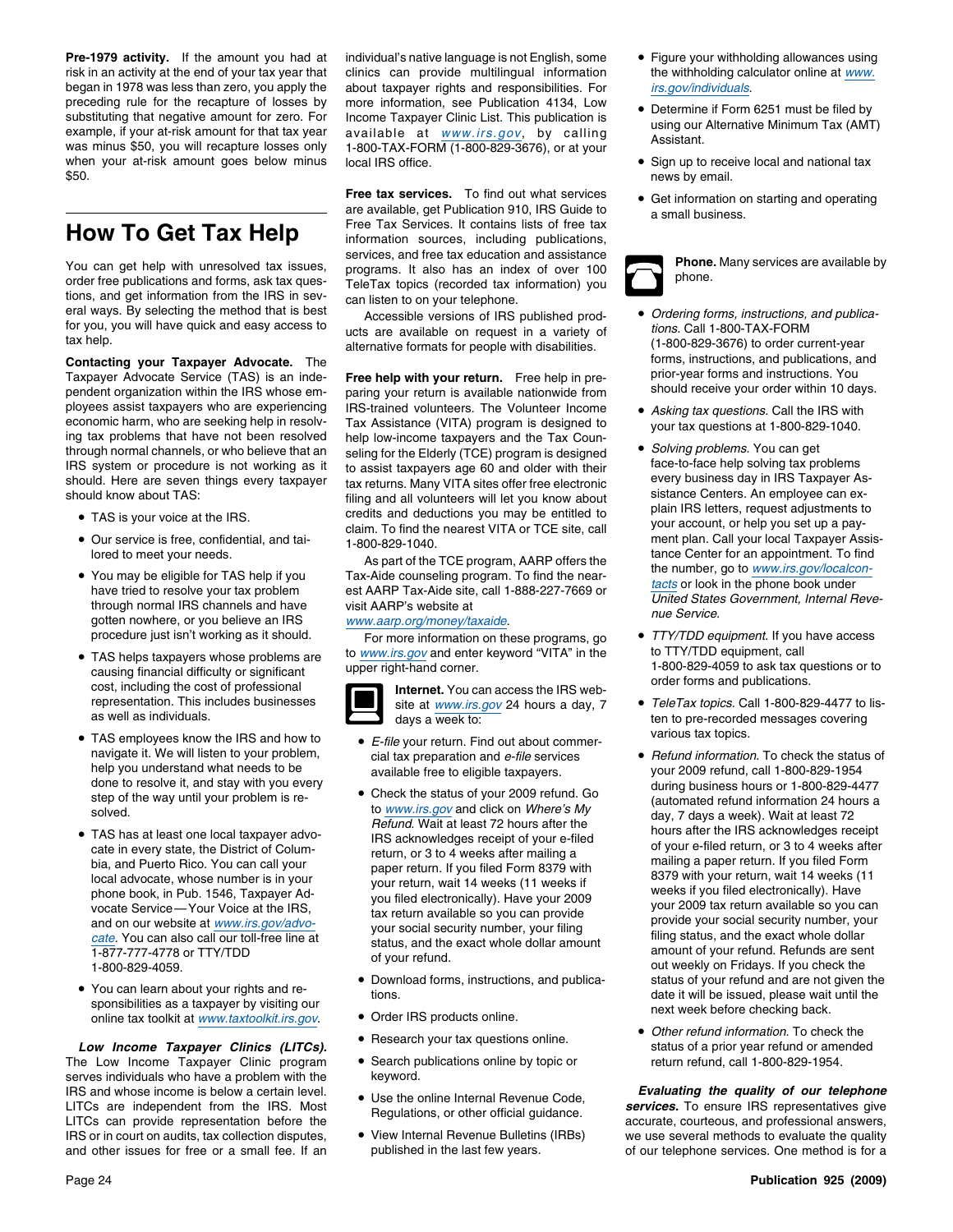**Pre-1979 activity.** If the amount you had at individual's native language is not English, some . Figure your withholding allowances using risk in an activity at the end of your tax year that clinics can provide multilingual information the withholding calculator online at www.<br>began in 1978 was less than zero, you apply the about taxpayer rights and responsi began in 1978 was less than zero, you apply the about taxpayer rights and responsibilities. For *irs.gov/individuals.*<br>preceding rule for the recapture of losses by more information, see Publication 4134, Low preceding rule for the recapture of losses by more information, see Publication 4134, Low • Determine if Form 6251 must be filed by substituting that negative amount for zero. For Income Taxpayer Clinic List. This publicat substituting that negative amount for zero. For Income Taxpayer Clinic List. This publication is<br>example, if your at-risk amount for zero. For Income Taxpayer Clinic List. This publication is<br>was minus \$50, you will recapt when your at-risk amount goes below minus local IRS office. • Sign up to receive local and national tax \$50. https://www.facebook.com/intervalue.com/intervalue.com/intervalue.com/intervalue.com/intervalue.com/intervalue.com/intervalue.com/intervalue.com/intervalue.com/intervalue.com/intervalue.com/intervalue.com/intervalue.c

You can get help with unresolved tax issues,<br>
order free publications and forms, ask tax ques-<br>
TeleTax topics (recorded tax information) you<br>
real ways. By selecting the method that is best<br>
an listen to on your telephone

**Contacting your Taxpayer Advocate.** The forms, instructions, and publications, and publications, and publications, and publications, and publications, and publications, and publications, and publications, and publications Taxpayer Advocate Service (TAS) is an inde-<br>pendent organization within the IRS whose em-<br>paring your return is available nationwide from should receive your redurin 10 days. ployees assist taxpayers who are experiencing IRS-trained volunteers. The Volunteer Income economic harm, who are seeking help in resolv-<br>
ing tax problems that have not been resolved help low-income taxpayers and the Tax Coun-<br>
through normal channels, or who believe that an seling for the Elderly (TCE) program through normal channels, or who believe that an seling for the Elderly (TCE) program is designed<br>IRS system or procedure is not working as it to assist taxpayers age 60 and older with their face-to-face help solving tax pr IRS system or procedure is not working as it to assist taxpayers age 60 and older with their<br>should. Here are seven things every taxpayer tax returns. Many VITA sites offer free electronic every business day in IRS Taxpaye

- 
- 
- You may be eligible for TAS help if you Tax-Aide counseling program. To find the near-<br>have tried to resolve your tax problem est AARP Tax-Aide site, call 1-888-227-7669 or<br>through normal IRS channels and have visit AARP
- TAS helps taxpayers whose problems are to www.irs.gov and enter keyword VITA in the the COTTTADD equipment, can<br>causing financial difficulty or significant upper right-hand corner. 1-800-829-4059 to ask tax questions or representation. This includes businesses site at www.irs.gov 24 hours a day, 7 • TeleTax topics. Call 1-800-829-4477 to lis-<br>as well as individuals.
- TAS employees know the IRS and how to  $\bullet$  E-file your return. Find out about commer-<br> help you understand what needs to be available free to eligible taxpayers. your 2009 refund, call 1-800-829-1954<br>1-800-829-1954 done to resolve it, and stay with you every
- TAS has at least one local taxpayer advocate in every state, the District of Colum-<br>
bia, and Puerto Rico, You can advocate, whose number is in your<br>
local advocate, whose number is in your effect of Colum-<br>
local advoc
- You can learn about your rights and re-<br>sponsibilities as a taxpayer by visiting our dions.<br>online tax toolkit at www.taxtoolkit.irs.gov. Order IRS products online. https://www.taxtoolkit.irs.gov. Order IRS products

The Low Income Taxpayer Clinic program • Search publications online by topic or return refund, call 1-800-829-1954.<br>Serves individuals who have a problem with the keyword. serves individuals who have a problem with the IRS and whose income is below a certain level. **In the set of the set of the colle** and whose income is below a certain level.<br>LITCs are independent from the IRS. Most **Depublies and the afficial suidence services**. To e LITCs are independent from the IRS. Most<br>LITCs can provide representation before the<br>IRS or in court on audits, tax collection disputes,<br>IRS or in court on audits, tax collection disputes,<br>IRS or in court on audits, tax co IRS or in court on audits, tax collection disputes, • View Internal Revenue Bulletins (IRBs) we use several methods to evaluate the quality and other issues for free or a small fee. If an published in the last few years. The of our telephone services. One method is for a

**Free tax services.** To find out what services • Get information on starting and operating are available, get Publication 910, IRS Guide to a small business.<br>Free Tax Services. It contains lists of free tax **How To Get Tax Help Free Tax Services. It contains lists of free tax** including publications, services, and free tax education and assistance

paring your return is available nationwide from should. Here are seven things every taxpayer tax returns. Many VITA sites offer free electronic every business day in IRS Taxpayer As-<br>should know about TAS: filing and all volunteers will let you know about sistance Cente TAS is your voice at the IRS. This credits and deductions you may be entitled to a plain IRS letters, request adjustments to entitled to claim. To find the nearest VITA or TCE site, call your account, or help you set up a • Our service is free, confidential, and tai- 1-800-829-1040. **The ment plane of the ment plane Call your local Taxpayer Assis-**

• TAS helps taxpayers whose problems are  $\frac{10 \text{ } \text{WWW} \cdot \text{irs.gov}}{1000 \text{ } \text{R}}$  in the  $\frac{1}{1000 \text{ } \text{R}}$  to TTY/TDD equipment, call the  $\frac{1}{1000 \text{ } \text{R}}$  and enter keyword "VITA" in the  $\frac{1}{1000 \text{ } \text{R}}$  to ask t



- TAS employees know the IRS and how to  $E$ -file your return. Find out about commer-<br>
navigate it. We will listen to your problem, cial tax preparation and e-file services Refund information. To check the status of<br>
help
- step of the way until your problem is re-<br>solved.<br>• TAS has at least one local taxnaver advo-<br>• TAS has at least one local taxnaver advo-<br>• TAS has at least one local taxnaver advo-<br>• TAS has at least one local taxnaver ad
- Download forms, instructions, and publica- status of your refund and are not given the Download forms, instructions, and publica- status of your refund and are not given the
	-
	-
	-
	-
	-
- 
- 
- 
- 



- for you, you will have quick and easy access to exact ucts are available on request in a variety of the the tons. Call 1-800-TAX-FORM alternative formats for people with disabilities. (1-800-829-3676) to order current-year
	- Asking tax questions. Call the IRS with
	- Solving problems. You can get lored to meet your needs.<br>
	As part of the TCE program, AARP offers the<br>
	Nou may be eligible for TAS help if you<br>
	Tax-Aide counseling program. To find the near-<br>
	tacts or look in the phone book under<br>
	tacts or look in the p
		- procedure just isn't working as it should. For more information on these programs, go TTY/TDD equipment. If you have access<br>TAS helps taxpayers whose problems are to www.irs.gov and enter keyword "VITA" in the to TTY/TDD
			- days a week to: ten to pre-recorded messages covering<br>  $\frac{1}{2}$
		- done to resolve it, and stay with you every<br>step of the way until your problem is re-<br>alternation 24 hours a
	- Other refund information. To check the Low Income Taxpayer Clinics (LITCs).<br> **Low Income Taxpayer Clinics (LITCs).**<br>
	Search publications online by topic or status of a prior year refund or amended<br>
	return refund. call 1-800-829-1954.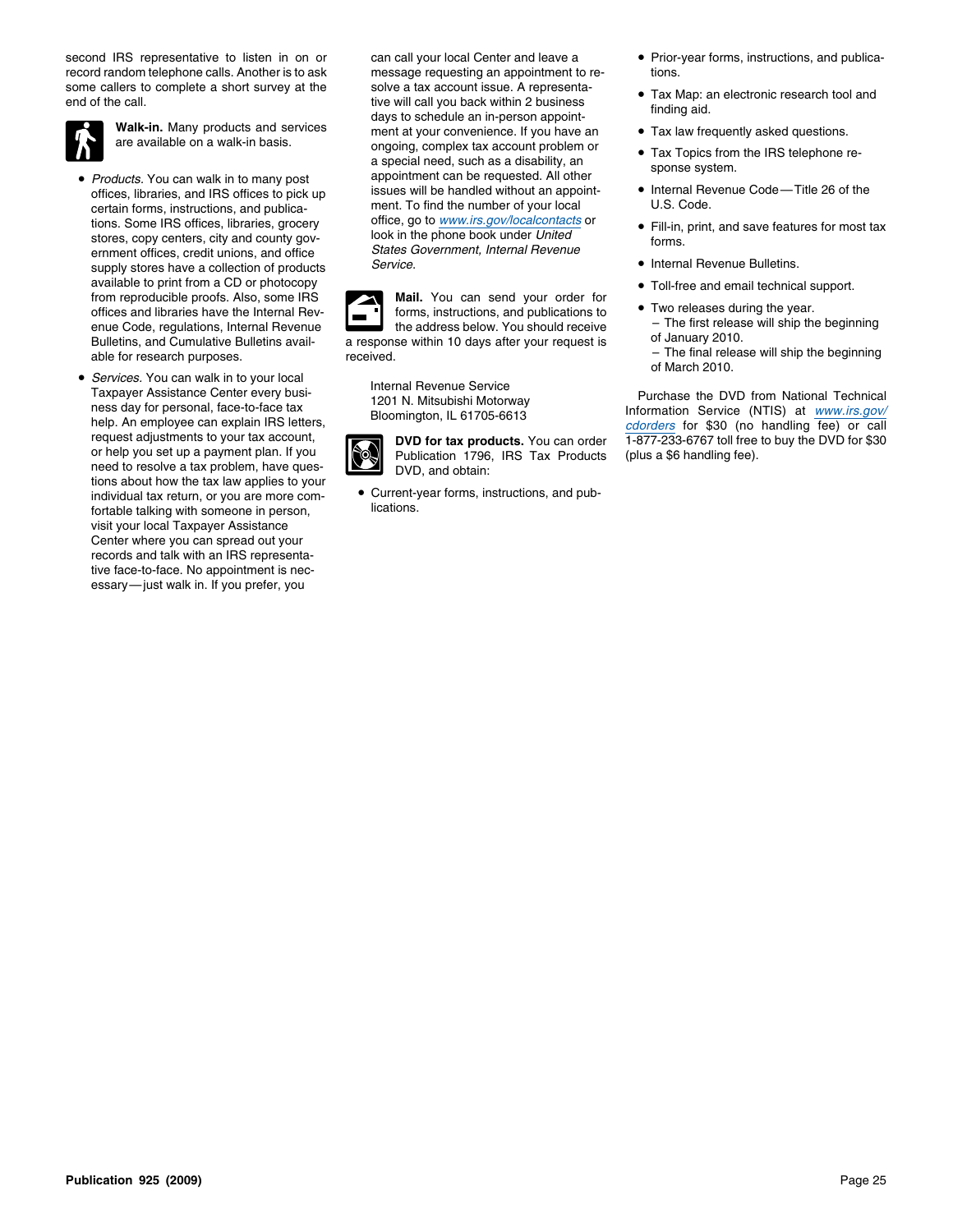second IRS representative to listen in on or can call your local Center and leave a • Prior-year forms, instructions, and publicarecord random telephone calls. Another is to ask message requesting an appointment to re-<br>some callers to complete a short survey at the solve a tax account issue. A representasome callers to complete a short survey at the solve a tax account issue. A representa-<br>end of the call.<br>
solve will call you back within 2 business<br>
finding side for the call.



- Products. You can walk in to many post appointment can be requested. All other offices, libraries, and IRS offices to pick up issues will be handled without an appoint **•** Internal Revenue Code—Title 26 of the<br>certain forms, instructions, and publica-<br>tions. Some IRS offices, libraries, grocery offic tions. Some IRS offices, libraries, grocery office, go to www.irs.gov/localcontacts or<br>stores, copy centers, city and county gov-<br>ernment offices. credit unions. and office States Government, Internal Revenue forms. ernment offices, credit unions, and office States Government offices Government Revenue Council supply stores have a collection of products Service.<br>
Service. Service a collection of products Service. available to print from a CD or photocopy •
- •• Services. You can walk in to your local<br>
Taxpayer Assistance Center every busi-<br>
mess day for personal, face-to-face tax<br>
help. An employee can explain IRS letters,<br>
request adjustments to your tax account,<br>
or help you tions about how the tax law applies to your individual tax return, or you are more com-<br>fortable talking with someone in person, lications. visit your local Taxpayer Assistance Center where you can spread out your records and talk with an IRS representative face-to-face. No appointment is necessary—just walk in. If you prefer, you

and of the call.<br>
and of the call.<br>
Walk-in. Many products and services<br>
are available on a walk-in basis.<br>
are available on a walk-in basis.<br>
are available on a walk-in basis.<br>
are available on a walk-in basis.<br>
are avail ongoing, complex tax account problem or <br>
a special need, such as a disability, an sponse system.<br>
appointment can be requested. All other sponse system.

from reproducible proofs. Also, some IRS **Mail.** You can send your order for offices and libraries have the Internal Rev-<br>enue Code, regulations, Internal Revenue<br>Bulletins, and Cumulative Bulletins avail-<br>Bulletins, and Cumulative Bulletins avail-<br>a response within 10 days after your request is of Bulletins, and Cumulative Bulletins avail-<br>able for research purposes. exerceived. by received. able for research purposes.



• Current-year forms, instructions, and pub-

- 
- 
- 
- 
- 
- 
- 
- 
- Two releases during the year.
- of March 2010.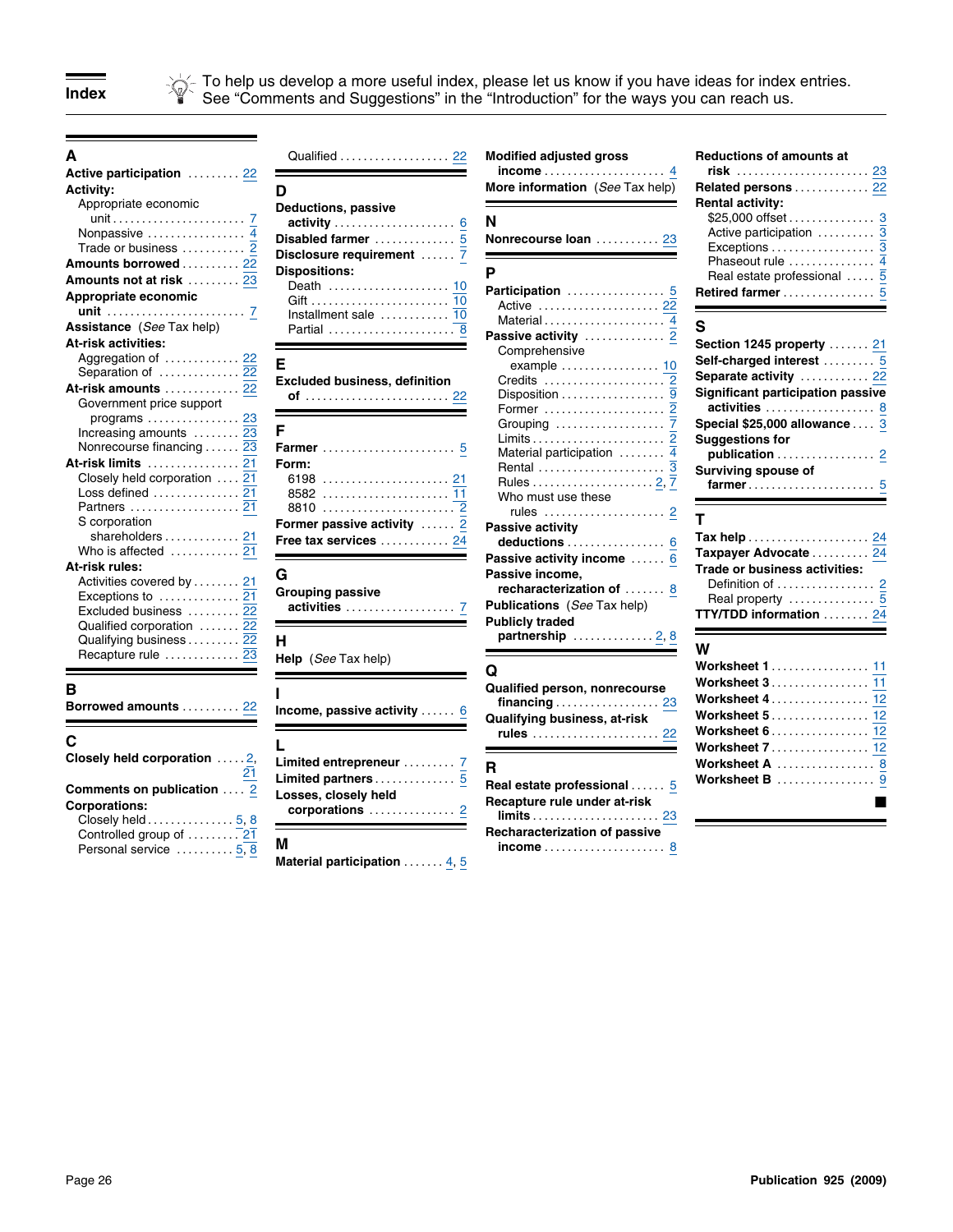To help us develop a more useful index, please let us know if you have ideas for index entries.<br>**Index** See "Comments and Suggestions" in the "Introduction" for the ways you can reach us.

| А                                                     |
|-------------------------------------------------------|
| Active participation  22                              |
| <b>Activity:</b>                                      |
| Appropriate economic                                  |
|                                                       |
| Nonpassive                                            |
|                                                       |
| Amounts borrowed  22                                  |
| Amounts not at risk  23                               |
| Appropriate economic                                  |
|                                                       |
| Assistance (See Tax help)                             |
| <b>At-risk activities:</b>                            |
| Aggregation of  22                                    |
| Separation of  22                                     |
| At-risk amounts  22                                   |
| Government price support                              |
|                                                       |
| Increasing amounts  23                                |
| Nonrecourse financing  23                             |
| At-risk limits  21                                    |
| Closely held corporation  21                          |
| Loss defined  21                                      |
|                                                       |
| S corporation                                         |
| shareholders 21                                       |
| Who is affected $\ldots \ldots \ldots$ 21             |
| At-risk rules:                                        |
| Activities covered by                                 |
| Exceptions to  21                                     |
| Excluded business  22                                 |
| Qualified corporation  22                             |
| Qualifying business 22                                |
| Recapture rule $\,\ldots\ldots\ldots\, \overline{23}$ |
|                                                       |

| Borrowed amounts |  |  |  |  |  |  |
|------------------|--|--|--|--|--|--|
|                  |  |  |  |  |  |  |

| 21<br>Comments on publication $\cdots$ $\frac{2}{ }$ Losses, closely held<br><b>Corporations:</b> | Crossly neta corporation $\dots \leq$ . Limited entrepreneur $\dots \dots$ $7$ p<br>Limited partners 5 | Real estate professional  5<br>Recapture rule under at-risk |  |  |
|---------------------------------------------------------------------------------------------------|--------------------------------------------------------------------------------------------------------|-------------------------------------------------------------|--|--|
| Controlled group of  21                                                                           | M                                                                                                      | Recharacterization of passive                               |  |  |
| Personal service  5, 8                                                                            | .                                                                                                      |                                                             |  |  |

| Active participation  22<br><b>Activity:</b>                                                                                                                      | D                                                               | $income \ldots \ldots \ldots \ldots \ldots 4$<br>More information (See Tax help)                                                                               | risk  23<br>Related persons  22                                                                                             |
|-------------------------------------------------------------------------------------------------------------------------------------------------------------------|-----------------------------------------------------------------|----------------------------------------------------------------------------------------------------------------------------------------------------------------|-----------------------------------------------------------------------------------------------------------------------------|
| Appropriate economic<br>Nonpassive  4                                                                                                                             | <b>Deductions, passive</b><br>activity  6<br>Disabled farmer  5 | N<br>Nonrecourse loan  23                                                                                                                                      | <b>Rental activity:</b><br>Active participation  3<br>Exceptions $\ldots \ldots \ldots \ldots \ldots$ 3                     |
| Amounts borrowed  22<br>Amounts not at risk  23                                                                                                                   | Disclosure requirement  7<br><b>Dispositions:</b><br>Death  10  | P                                                                                                                                                              | Phaseout rule  4<br>Real estate professional  5                                                                             |
| Appropriate economic                                                                                                                                              | Installment sale $\ldots \ldots \ldots \overline{10}$           | Participation  5<br>Material4                                                                                                                                  | Retired farmer $\ldots \ldots \ldots \ldots 5$<br>S                                                                         |
| <b>Assistance</b> (See Tax help)<br>At-risk activities:<br>Aggregation of  22<br>Separation of  22                                                                | Partial  8<br>Е<br><b>Excluded business, definition</b>         | Passive activity  2<br>Comprehensive<br>example  10<br>Credits  2                                                                                              | Section 1245 property  21<br>Self-charged interest  5<br>Separate activity  22                                              |
| At-risk amounts  22<br>Government price support<br>programs $\ldots$ 23<br>Increasing amounts $\ldots \ldots$ 23                                                  | F                                                               | Former  2<br>Grouping $\ldots \ldots \ldots \ldots \ldots$ 7                                                                                                   | <b>Significant participation passive</b><br>activities  8<br>Special \$25,000 allowance 3<br><b>Suggestions for</b>         |
| Nonrecourse financing  23<br>Closely held corporation  21<br>Loss defined $\ldots$ , , ,  21<br>Partners  21                                                      | Farmer  5<br>Form:                                              | Material participation $\ldots \ldots \overline{4}$<br>Rental  3<br>Who must use these                                                                         | publication  2<br>Surviving spouse of                                                                                       |
| S corporation<br>shareholders 21<br>Who is affected  21                                                                                                           | 8810  2<br>Former passive activity  2<br>Free tax services  24  | Passive activity<br>deductions $\ldots \ldots \ldots \ldots \ldots$ 6                                                                                          | Tax help  24<br>Taxpayer Advocate  24                                                                                       |
| At-risk rules:<br>Activities covered by  21<br>Exceptions to $\dots\dots\dots 21$<br>Excluded business  22<br>Qualified corporation  22<br>Qualifying business 22 | G<br><b>Grouping passive</b><br>activities  7<br>н              | Passive activity income  6<br>Passive income,<br>recharacterization of  8<br><b>Publications</b> (See Tax help)<br><b>Publicly traded</b><br>partnership  2, 8 | Trade or business activities:<br>Definition of $\dots\dots\dots\dots\dots$ 2<br>Real property  5<br>TTY/TDD information  24 |
| Recapture rule  23                                                                                                                                                | Help (See Tax help)                                             | Q                                                                                                                                                              | W<br>Worksheet 1 11                                                                                                         |
| в<br>Borrowed amounts  22                                                                                                                                         | Income, passive activity  6                                     | Qualified person, nonrecourse<br>Qualifying business, at-risk                                                                                                  | Worksheet 3 11<br>Worksheet 4 12<br>Worksheet 5 12                                                                          |
| С                                                                                                                                                                 |                                                                 | rules  22                                                                                                                                                      | Worksheet 6 12<br>Worksheet 7 12                                                                                            |
| Closely held corporation $\dots 2$ ,                                                                                                                              | Limited entrepreneur  7<br>Limited partners 5                   | $\mathbf R$                                                                                                                                                    | Worksheet A  8<br>Worksheet B  9                                                                                            |
| Comments on publication  2<br><b>Corporations:</b><br>Closely held      5, 8<br>Controlled group of  21                                                           | Losses, closely held<br>corporations  2                         | Real estate professional  5<br>Recapture rule under at-risk<br>Recharacterization of passive                                                                   |                                                                                                                             |
| $Doseonolronion$ $\qquad \qquad \text{E.}$                                                                                                                        | М                                                               | income and a substantial contracts                                                                                                                             |                                                                                                                             |

**Material participation** ....... 4, 5

| Qualified  22                                                             | <b>Modified adjusted gross</b><br>$income \ldots \ldots \ldots \ldots \ldots 4$                                                                                                             | <b>Reductions of amounts at</b><br><b>risk</b> 23                                                                                         |
|---------------------------------------------------------------------------|---------------------------------------------------------------------------------------------------------------------------------------------------------------------------------------------|-------------------------------------------------------------------------------------------------------------------------------------------|
|                                                                           | More information (See Tax help)                                                                                                                                                             | Related persons  22<br>Rental activity:                                                                                                   |
| eductions, passive<br><b>isabled farmer</b> 5<br>isclosure requirement  7 | N<br>Nonrecourse loan  23                                                                                                                                                                   | \$25,000 offset 5<br>Exceptions  3                                                                                                        |
| ispositions:<br>Death  10                                                 | P<br>Participation  5<br>Active  22                                                                                                                                                         | Real estate professional<br>Retired farmer 5                                                                                              |
| Installment sale  10<br>Partial  8                                        | Material 4<br>Passive activity  2<br>Comprehensive                                                                                                                                          | S<br>Section 1245 property  21                                                                                                            |
| xcluded business, definition                                              | $example \ldots \ldots \ldots \ldots \ldots 10$<br>Credits  2<br>Disposition $\ldots \ldots \ldots \ldots \ldots$ .<br>Former  2                                                            | Self-charged interest  5<br>Separate activity  22<br>Significant participation passive<br>$activities \ldots \ldots \ldots \ldots \ldots$ |
| <b>armer</b> 5<br>orm:<br>8582  11                                        | Grouping $\ldots \ldots \ldots \ldots \ldots$ 7<br>Material participation  4<br>Rental  3<br>Who must use these                                                                             | Special \$25,000 allowance  3<br><b>Suggestions for</b><br>Surviving spouse of                                                            |
| 8810  2<br>ormer passive activity  2<br>ree tax services  24              | rules  2<br>Passive activity<br>deductions $\ldots \ldots \ldots \ldots \ldots$ 6                                                                                                           | т<br>Taxpayer Advocate  24                                                                                                                |
| rouping passive<br>activities  7                                          | Passive activity income  6<br>Passive income,<br>recharacterization of  8<br><b>Publications</b> (See Tax help)<br><b>Publicly traded</b><br>partnership $\ldots \ldots \ldots \ldots$ 2, 8 | Trade or business activities:<br>TTY/TDD information  24                                                                                  |
| elp (See Tax help)                                                        | Q                                                                                                                                                                                           | W<br>Worksheet 1 11                                                                                                                       |
|                                                                           |                                                                                                                                                                                             | <b>Contract Contract Contract Contract</b><br>Warkshoot 2                                                                                 |

| <b>Qualified person, nonrecourse</b><br>financing  23<br>Qualifying business, at-risk<br><b>rules</b> 22 |
|----------------------------------------------------------------------------------------------------------|
| R                                                                                                        |
| Real estate professional  5                                                                              |
| Recapture rule under at-risk                                                                             |
|                                                                                                          |

| т<br>Tax help  24<br>Taxpayer Advocate  24<br>Trade or business activities: |  |
|-----------------------------------------------------------------------------|--|
|                                                                             |  |
|                                                                             |  |
|                                                                             |  |
|                                                                             |  |
|                                                                             |  |
| Real property  5                                                            |  |
| <b>TTY/TDD information</b> 24                                               |  |
|                                                                             |  |
| w                                                                           |  |
| Worksheet 1 11                                                              |  |
|                                                                             |  |
| Worksheet 3 11                                                              |  |
| Worksheet 4 12                                                              |  |
| Worksheet 5 12                                                              |  |
| Worksheet 6 12                                                              |  |